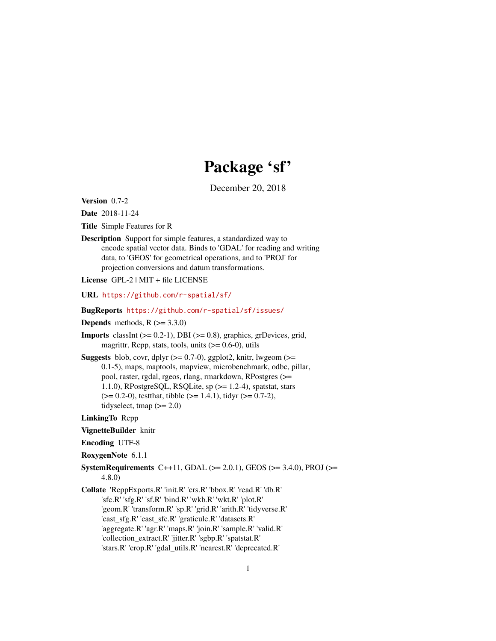# Package 'sf'

December 20, 2018

<span id="page-0-0"></span>Version 0.7-2

Date 2018-11-24

Title Simple Features for R

Description Support for simple features, a standardized way to encode spatial vector data. Binds to 'GDAL' for reading and writing data, to 'GEOS' for geometrical operations, and to 'PROJ' for projection conversions and datum transformations.

License GPL-2 | MIT + file LICENSE

URL <https://github.com/r-spatial/sf/>

# BugReports <https://github.com/r-spatial/sf/issues/>

**Depends** methods,  $R$  ( $> = 3.3.0$ )

**Imports** classInt  $(>= 0.2-1)$ , DBI  $(>= 0.8)$ , graphics, grDevices, grid, magrittr, Rcpp, stats, tools, units  $(>= 0.6-0)$ , utils

**Suggests** blob, covr, dplyr  $(>= 0.7-0)$ , ggplot2, knitr, lwgeom  $(>= 0.7-0)$ 0.1-5), maps, maptools, mapview, microbenchmark, odbc, pillar, pool, raster, rgdal, rgeos, rlang, rmarkdown, RPostgres (>= 1.1.0), RPostgreSQL, RSQLite, sp (>= 1.2-4), spatstat, stars  $(>= 0.2-0)$ , testthat, tibble  $(>= 1.4.1)$ , tidyr  $(>= 0.7-2)$ , tidyselect, tmap  $(>= 2.0)$ 

LinkingTo Rcpp

VignetteBuilder knitr

Encoding UTF-8

- RoxygenNote 6.1.1
- SystemRequirements C++11, GDAL ( $>= 2.0.1$ ), GEOS ( $>= 3.4.0$ ), PROJ ( $>=$ 4.8.0)
- Collate 'RcppExports.R' 'init.R' 'crs.R' 'bbox.R' 'read.R' 'db.R' 'sfc.R' 'sfg.R' 'sf.R' 'bind.R' 'wkb.R' 'wkt.R' 'plot.R' 'geom.R' 'transform.R' 'sp.R' 'grid.R' 'arith.R' 'tidyverse.R' 'cast\_sfg.R' 'cast\_sfc.R' 'graticule.R' 'datasets.R' 'aggregate.R' 'agr.R' 'maps.R' 'join.R' 'sample.R' 'valid.R' 'collection\_extract.R' 'jitter.R' 'sgbp.R' 'spatstat.R' 'stars.R' 'crop.R' 'gdal\_utils.R' 'nearest.R' 'deprecated.R'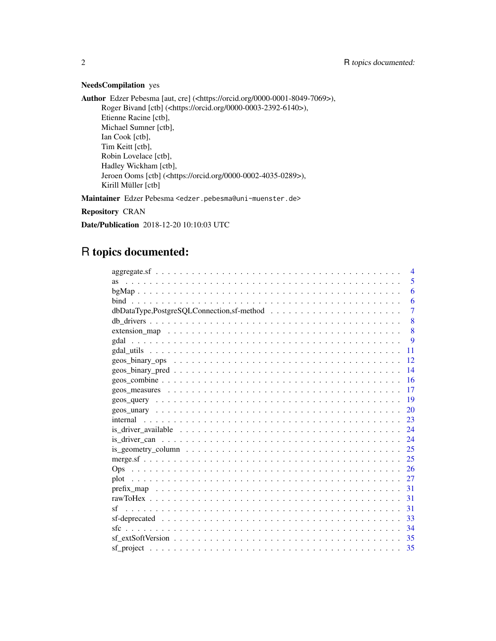# NeedsCompilation yes

Author Edzer Pebesma [aut, cre] (<https://orcid.org/0000-0001-8049-7069>), Roger Bivand [ctb] (<https://orcid.org/0000-0003-2392-6140>), Etienne Racine [ctb], Michael Sumner [ctb], Ian Cook [ctb], Tim Keitt [ctb], Robin Lovelace [ctb], Hadley Wickham [ctb], Jeroen Ooms [ctb] (<https://orcid.org/0000-0002-4035-0289>), Kirill Müller [ctb] Maintainer Edzer Pebesma <edzer.pebesma@uni-muenster.de>

Repository CRAN

Date/Publication 2018-12-20 10:10:03 UTC

# R topics documented:

| $\overline{4}$                                                                                                         |
|------------------------------------------------------------------------------------------------------------------------|
| 5<br><b>as</b>                                                                                                         |
| 6                                                                                                                      |
| 6                                                                                                                      |
| $\overline{7}$                                                                                                         |
| 8                                                                                                                      |
| 8                                                                                                                      |
| 9<br>gdal                                                                                                              |
| 11                                                                                                                     |
| 12                                                                                                                     |
| 14                                                                                                                     |
| 16                                                                                                                     |
| 17                                                                                                                     |
| 19                                                                                                                     |
| 20                                                                                                                     |
| 23                                                                                                                     |
| is driver available $\ldots \ldots \ldots \ldots \ldots \ldots \ldots \ldots \ldots \ldots \ldots \ldots \ldots$<br>24 |
| 24                                                                                                                     |
| -25                                                                                                                    |
| 25                                                                                                                     |
| 26                                                                                                                     |
|                                                                                                                        |
| -31                                                                                                                    |
| 31                                                                                                                     |
| 31<br>sf                                                                                                               |
| -33                                                                                                                    |
| 34                                                                                                                     |
| -35                                                                                                                    |
| 35                                                                                                                     |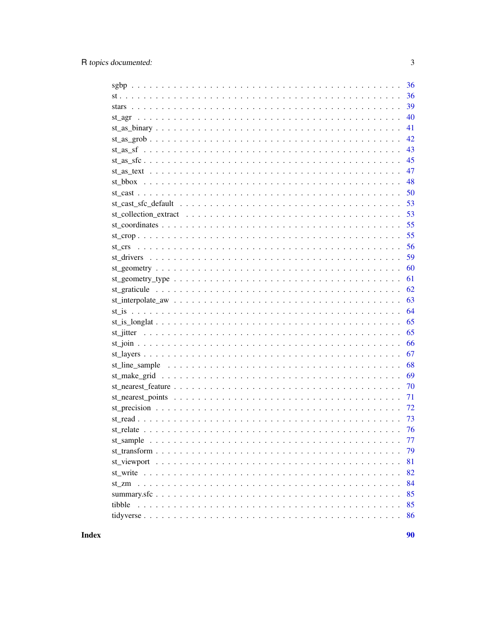| 36 |
|----|
| 36 |
| 39 |
| 40 |
| 41 |
| 42 |
| 43 |
| 45 |
| 47 |
| 48 |
| 50 |
| 53 |
| 53 |
| 55 |
| 55 |
| 56 |
| 59 |
| 60 |
| 61 |
| 62 |
| 63 |
| 64 |
| 65 |
| 65 |
| 66 |
| 67 |
| 68 |
| 69 |
| 70 |
| 71 |
| 72 |
| 73 |
| 76 |
|    |
| 79 |
| 81 |
| 82 |
| 84 |
| 85 |
| 85 |
| 86 |
|    |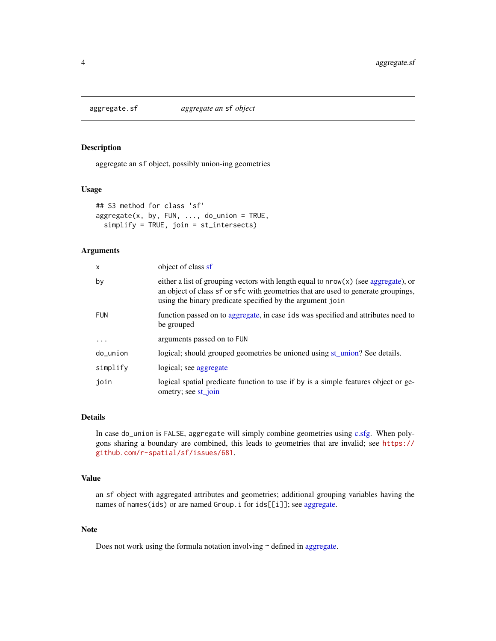<span id="page-3-1"></span><span id="page-3-0"></span>

aggregate an sf object, possibly union-ing geometries

#### Usage

```
## S3 method for class 'sf'
aggregate(x, by, FUN, ..., do-union = TRUE,simplify = TRUE, join = st_intersects)
```
# Arguments

| X          | object of class sf                                                                                                                                                                                                                     |
|------------|----------------------------------------------------------------------------------------------------------------------------------------------------------------------------------------------------------------------------------------|
| by         | either a list of grouping vectors with length equal to $nrow(x)$ (see aggregate), or<br>an object of class sf or sfc with geometries that are used to generate groupings,<br>using the binary predicate specified by the argument join |
| <b>FUN</b> | function passed on to aggregate, in case ids was specified and attributes need to<br>be grouped                                                                                                                                        |
| $\ddots$ . | arguments passed on to FUN                                                                                                                                                                                                             |
| do_union   | logical; should grouped geometries be unioned using st_union? See details.                                                                                                                                                             |
| simplify   | logical; see aggregate                                                                                                                                                                                                                 |
| join       | logical spatial predicate function to use if by is a simple features object or ge-<br>ometry; see st_join                                                                                                                              |

# Details

In case do\_union is FALSE, aggregate will simply combine geometries using [c.sfg.](#page-35-1) When polygons sharing a boundary are combined, this leads to geometries that are invalid; see [https://](https://github.com/r-spatial/sf/issues/681) [github.com/r-spatial/sf/issues/681](https://github.com/r-spatial/sf/issues/681).

# Value

an sf object with aggregated attributes and geometries; additional grouping variables having the names of names(ids) or are named Group.i for ids[[i]]; see [aggregate.](#page-3-1)

# Note

Does not work using the formula notation involving  $\sim$  defined in [aggregate.](#page-3-1)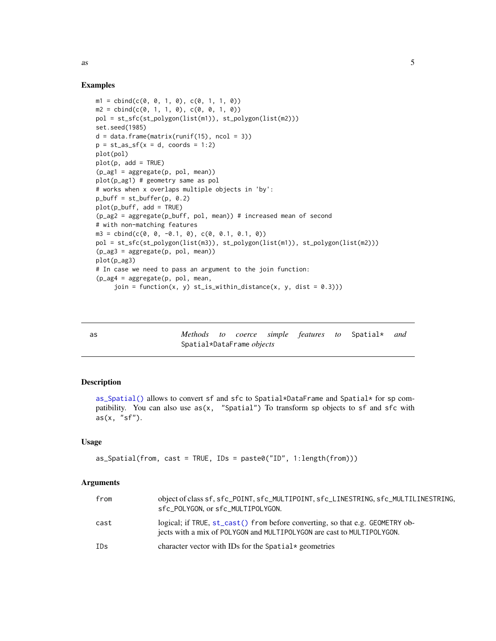```
ml = \text{cbind}(c(0, 0, 1, 0), c(0, 1, 1, 0))m2 = \text{cbind}(c(0, 1, 1, 0), c(0, 0, 1, 0))pol = st_sfc(st_polygon(list(m1)), st_polygon(list(m2)))
set.seed(1985)
d = data-frame(maxrix(runif(15), ncol = 3))p = st_as_s f(x = d, \text{coords} = 1:2)plot(pol)
plot(p, add = TRUE)
(p_ag1 = aggregate(p, pol, mean))
plot(p_ag1) # geometry same as pol
# works when x overlaps multiple objects in 'by':
p_buff = st_buffer(p, 0.2)
plot(p_buff, add = TRUE)
(p_ag2 = aggregate(p_buff, pol, mean)) # increased mean of second
# with non-matching features
m3 = \text{cbind}(c(0, 0, -0.1, 0), c(0, 0.1, 0.1, 0))pol = st_sfc(st_polygon(list(m3)), st_polygon(list(m1)), st_polygon(list(m2)))
(p_a g3 = aggregate(p, pol, mean))plot(p_ag3)
# In case we need to pass an argument to the join function:
(p_aq4 = aggregate(p, pol, mean,join = function(x, y) st_is_within_distance(x, y, dist = (0.3)))
```
as *Methods to coerce simple features to* Spatial\* *and* Spatial\*DataFrame *objects*

## <span id="page-4-1"></span>Description

[as\\_Spatial\(\)](#page-4-1) allows to convert sf and sfc to Spatial\*DataFrame and Spatial\* for sp compatibility. You can also use as(x, "Spatial") To transform sp objects to sf and sfc with  $as(x, "sf")$ .

#### Usage

```
as_Spatial(from, cast = TRUE, IDs = paste0("ID", 1:length(from)))
```
#### Arguments

| from | object of class sf, sfc_POINT, sfc_MULTIPOINT, sfc_LINESTRING, sfc_MULTILINESTRING,<br>sfc_POLYGON, or sfc_MULTIPOLYGON.                                |
|------|---------------------------------------------------------------------------------------------------------------------------------------------------------|
| cast | logical; if TRUE, st_cast() from before converting, so that e.g. GEOMETRY ob-<br>jects with a mix of POLYGON and MULTIPOLYGON are cast to MULTIPOLYGON. |
| IDs  | character vector with IDs for the Spatial $*$ geometries                                                                                                |

# <span id="page-4-0"></span> $\frac{1}{2}$  as  $\frac{5}{2}$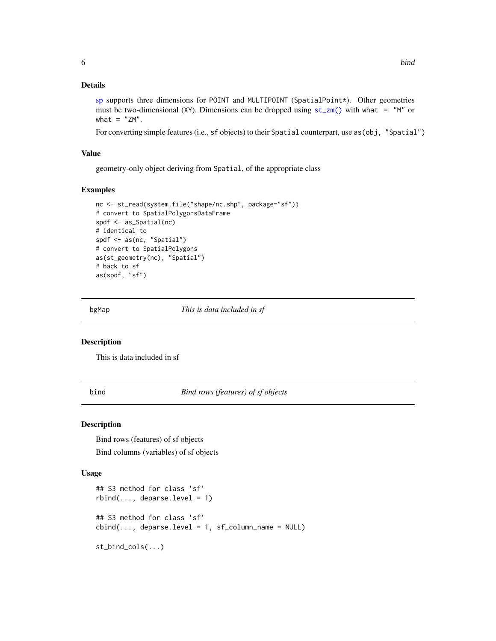# <span id="page-5-0"></span>Details

[sp](#page-0-0) supports three dimensions for POINT and MULTIPOINT (SpatialPoint\*). Other geometries must be two-dimensional (XY). Dimensions can be dropped using  $st\_zm()$  with what = "M" or  $what = "ZM".$ 

For converting simple features (i.e., sf objects) to their Spatial counterpart, use as(obj, "Spatial")

#### Value

geometry-only object deriving from Spatial, of the appropriate class

### Examples

```
nc <- st_read(system.file("shape/nc.shp", package="sf"))
# convert to SpatialPolygonsDataFrame
spdf <- as_Spatial(nc)
# identical to
spdf <- as(nc, "Spatial")
# convert to SpatialPolygons
as(st_geometry(nc), "Spatial")
# back to sf
as(spdf, "sf")
```
bgMap *This is data included in sf*

# Description

This is data included in sf

bind *Bind rows (features) of sf objects*

#### Description

Bind rows (features) of sf objects Bind columns (variables) of sf objects

#### Usage

```
## S3 method for class 'sf'
rbind(..., \text{ deparse. level} = 1)## S3 method for class 'sf'
cbind(..., \text{ deparse. level} = 1, \text{sf\_column_name} = \text{NULL})st_bind_cols(...)
```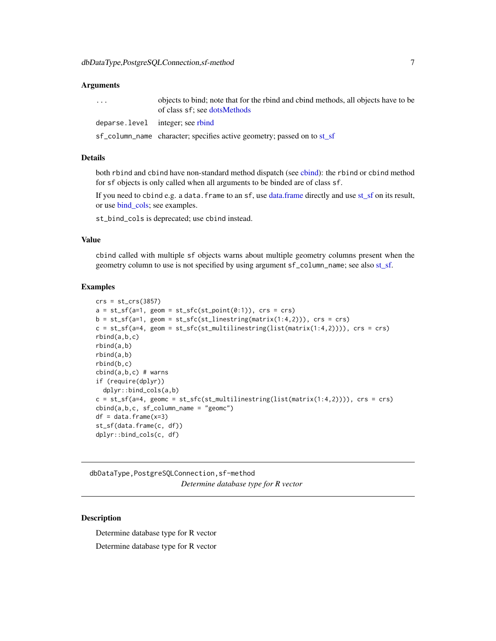#### <span id="page-6-0"></span>Arguments

| .                                | objects to bind; note that for the rbind and cbind methods, all objects have to be<br>of class sf; see dotsMethods |
|----------------------------------|--------------------------------------------------------------------------------------------------------------------|
| deparse.level integer; see rbind |                                                                                                                    |
|                                  | sf_column_name character; specifies active geometry; passed on to st_sf                                            |

#### Details

both rbind and cbind have non-standard method dispatch (see [cbind\)](#page-0-0): the rbind or cbind method for sf objects is only called when all arguments to be binded are of class sf.

If you need to cbind e.g. a data. frame to an sf, use [data.frame](#page-0-0) directly and use [st\\_sf](#page-30-2) on its result, or use [bind\\_cols;](#page-0-0) see examples.

st\_bind\_cols is deprecated; use cbind instead.

# Value

cbind called with multiple sf objects warns about multiple geometry columns present when the geometry column to use is not specified by using argument sf\_column\_name; see also [st\\_sf.](#page-30-2)

#### Examples

```
crs = st_ccrs(3857)a = st_s f(a=1, geom = st_s f c(st_point(0:1)), crs = crs)b = st_s(f(a=1, geom = st_sfc(st_linestring(matrix(1:4,2))), crs = crs)c = st_s f(a=4, geom = st_s f c(st_multilinestrip(glist(matrix(1:4,2))))), crs = crs)rbind(a,b,c)
rbind(a,b)
rbind(a,b)
rbind(b,c)
cbind(a,b,c) # warns
if (require(dplyr))
 dplyr::bind_cols(a,b)
c = st_s f(a=4, geomc = st_s fc(st_multiline string(list(matrix(1:4,2))))), crs = crs)cbind(a,b,c, sf_{collum_name} = "geomc")df = data.frame(x=3)st_sf(data.frame(c, df))
dplyr::bind_cols(c, df)
```
dbDataType,PostgreSQLConnection,sf-method *Determine database type for R vector*

#### Description

Determine database type for R vector Determine database type for R vector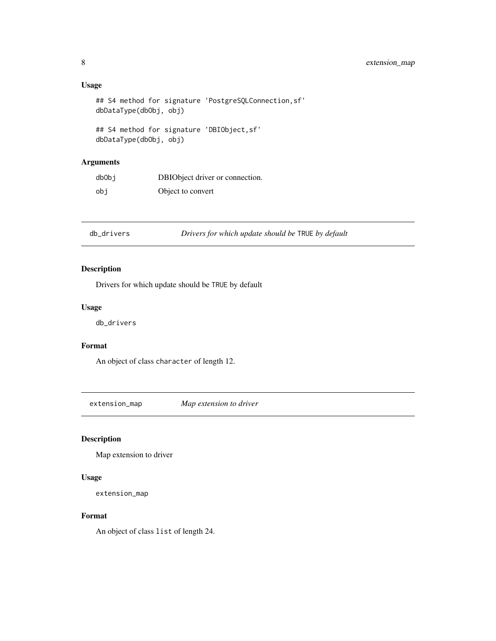# <span id="page-7-0"></span>Usage

```
## S4 method for signature 'PostgreSQLConnection,sf'
dbDataType(dbObj, obj)
## S4 method for signature 'DBIObject,sf'
dbDataType(dbObj, obj)
```
#### Arguments

| dbObi | DBIO bject driver or connection. |
|-------|----------------------------------|
| obi   | Object to convert                |

db\_drivers *Drivers for which update should be* TRUE *by default*

# Description

Drivers for which update should be TRUE by default

# Usage

db\_drivers

# Format

An object of class character of length 12.

extension\_map *Map extension to driver*

# Description

Map extension to driver

# Usage

extension\_map

#### Format

An object of class list of length 24.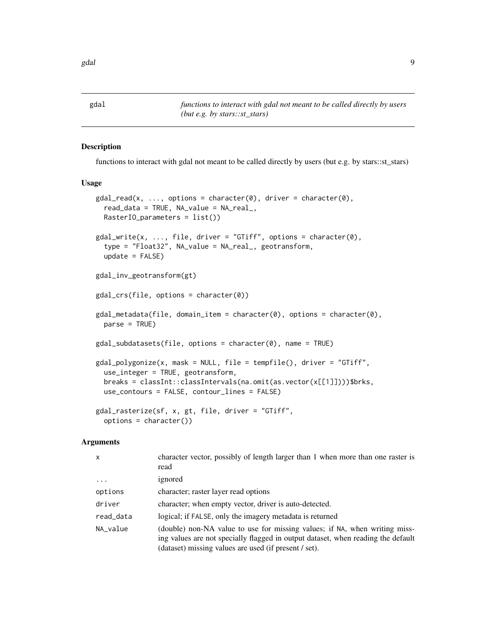<span id="page-8-0"></span>gdal *functions to interact with gdal not meant to be called directly by users (but e.g. by stars::st\_stars)*

# Description

functions to interact with gdal not meant to be called directly by users (but e.g. by stars::st\_stars)

#### Usage

```
gdal_read(x, ..., options = character(0), driver = character(0),read_data = TRUE, NA_value = NA_real_,
 RasterIO_parameters = list())
gdal\_write(x, ..., file, driver = "GTiff", options = character(0),type = "Float32", NA_value = NA_real_, geotransform,
  update = FALSE)gdal_inv_geotransform(gt)
gdal_crs(file, options = character(0))
gdal_metadata(file, domain_item = character(0), options = character(0),
 parse = TRUE)
gdal_subdatasets(file, options = character(0), name = TRUE)
gdal_polygonize(x, mask = NULL, file = tempfile(), driver = "GTiff",
  use_integer = TRUE, geotransform,
 breaks = classInt::classIntervals(na.omit(as.vector(x[[1]])))$brks,
  use_contours = FALSE, contour_lines = FALSE)
gdal_rasterize(sf, x, gt, file, driver = "GTiff",
  options = character()
```

| $\mathsf{x}$ | character vector, possibly of length larger than 1 when more than one raster is<br>read                                                                                                                                 |
|--------------|-------------------------------------------------------------------------------------------------------------------------------------------------------------------------------------------------------------------------|
| $\cdots$     | ignored                                                                                                                                                                                                                 |
| options      | character; raster layer read options                                                                                                                                                                                    |
| driver       | character; when empty vector, driver is auto-detected.                                                                                                                                                                  |
| read_data    | logical; if FALSE, only the imagery metadata is returned                                                                                                                                                                |
| NA_value     | (double) non-NA value to use for missing values; if NA, when writing miss-<br>ing values are not specially flagged in output dataset, when reading the default<br>(dataset) missing values are used (if present / set). |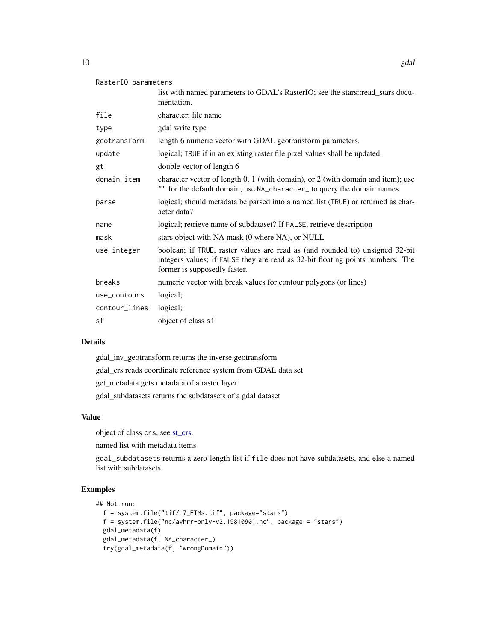#### RasterIO\_parameters

|               | list with named parameters to GDAL's RasterIO; see the stars::read_stars docu-<br>mentation.                                                                                                   |
|---------------|------------------------------------------------------------------------------------------------------------------------------------------------------------------------------------------------|
| file          | character; file name                                                                                                                                                                           |
| type          | gdal write type                                                                                                                                                                                |
| geotransform  | length 6 numeric vector with GDAL geotransform parameters.                                                                                                                                     |
| update        | logical; TRUE if in an existing raster file pixel values shall be updated.                                                                                                                     |
| gt            | double vector of length 6                                                                                                                                                                      |
| domain_item   | character vector of length 0, 1 (with domain), or 2 (with domain and item); use<br>"" for the default domain, use NA_character_ to query the domain names.                                     |
| parse         | logical; should metadata be parsed into a named list (TRUE) or returned as char-<br>acter data?                                                                                                |
| name          | logical; retrieve name of subdataset? If FALSE, retrieve description                                                                                                                           |
| mask          | stars object with NA mask (0 where NA), or NULL                                                                                                                                                |
| use_integer   | boolean; if TRUE, raster values are read as (and rounded to) unsigned 32-bit<br>integers values; if FALSE they are read as 32-bit floating points numbers. The<br>former is supposedly faster. |
| breaks        | numeric vector with break values for contour polygons (or lines)                                                                                                                               |
| use_contours  | logical;                                                                                                                                                                                       |
| contour_lines | logical;                                                                                                                                                                                       |
| sf            | object of class sf                                                                                                                                                                             |

## Details

gdal\_inv\_geotransform returns the inverse geotransform

gdal\_crs reads coordinate reference system from GDAL data set

get\_metadata gets metadata of a raster layer

gdal\_subdatasets returns the subdatasets of a gdal dataset

# Value

object of class crs, see [st\\_crs.](#page-55-1)

named list with metadata items

gdal\_subdatasets returns a zero-length list if file does not have subdatasets, and else a named list with subdatasets.

```
## Not run:
 f = system.file("tif/L7_ETMs.tif", package="stars")
 f = system.file("nc/avhrr-only-v2.19810901.nc", package = "stars")
 gdal_metadata(f)
 gdal_metadata(f, NA_character_)
 try(gdal_metadata(f, "wrongDomain"))
```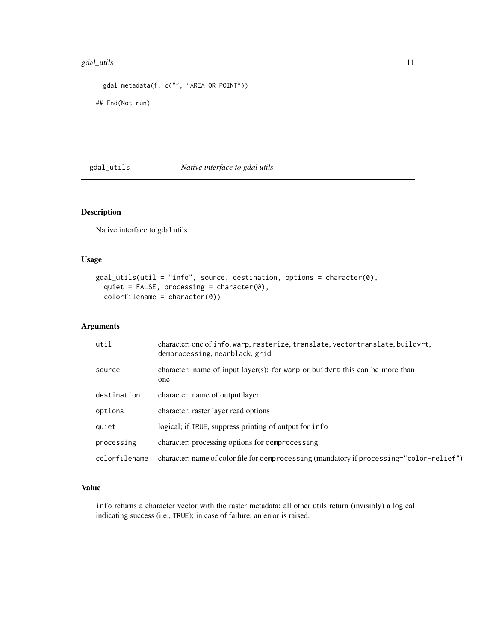#### <span id="page-10-0"></span>gdal\_utils 11

```
gdal_metadata(f, c("", "AREA_OR_POINT"))
```
## End(Not run)

#### gdal\_utils *Native interface to gdal utils*

# Description

Native interface to gdal utils

# Usage

```
gdal_utils(util = "info", source, destination, options = character(0),
 quiet = FALSE, processing = character(0),
  colorfilename = character(0))
```
# Arguments

| util          | character; one of info, warp, rasterize, translate, vectortranslate, buildvrt,<br>demprocessing, nearblack, grid |
|---------------|------------------------------------------------------------------------------------------------------------------|
| source        | character; name of input layer(s); for warp or buid $vrt$ this can be more than<br>one                           |
| destination   | character; name of output layer                                                                                  |
| options       | character; raster layer read options                                                                             |
| quiet         | logical; if TRUE, suppress printing of output for info                                                           |
| processing    | character; processing options for demprocessing                                                                  |
| colorfilename | character; name of color file for demprocessing (mandatory if processing="color-relief")                         |

# Value

info returns a character vector with the raster metadata; all other utils return (invisibly) a logical indicating success (i.e., TRUE); in case of failure, an error is raised.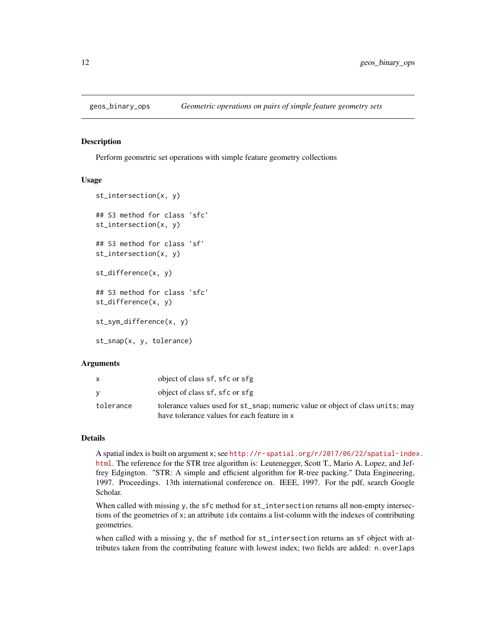<span id="page-11-1"></span><span id="page-11-0"></span>

Perform geometric set operations with simple feature geometry collections

#### Usage

```
st_intersection(x, y)
## S3 method for class 'sfc'
st_intersection(x, y)
## S3 method for class 'sf'
st_intersection(x, y)
st_difference(x, y)
## S3 method for class 'sfc'
st_difference(x, y)
st_sym_difference(x, y)
st_snap(x, y, tolerance)
```
#### Arguments

|           | object of class sf, sfc or sfg                                                 |
|-----------|--------------------------------------------------------------------------------|
|           | object of class sf, sfc or sfg                                                 |
| tolerance | tolerance values used for st_snap; numeric value or object of class units; may |
|           | have tolerance values for each feature in x                                    |

#### Details

A spatial index is built on argument x; see [http://r-spatial.org/r/2017/06/22/spatial-inde](http://r-spatial.org/r/2017/06/22/spatial-index.html)x. [html](http://r-spatial.org/r/2017/06/22/spatial-index.html). The reference for the STR tree algorithm is: Leutenegger, Scott T., Mario A. Lopez, and Jeffrey Edgington. "STR: A simple and efficient algorithm for R-tree packing." Data Engineering, 1997. Proceedings. 13th international conference on. IEEE, 1997. For the pdf, search Google Scholar.

When called with missing y, the sfc method for st\_intersection returns all non-empty intersections of the geometries of x; an attribute idx contains a list-column with the indexes of contributing geometries.

when called with a missing y, the sf method for st\_intersection returns an sf object with attributes taken from the contributing feature with lowest index; two fields are added: n.overlaps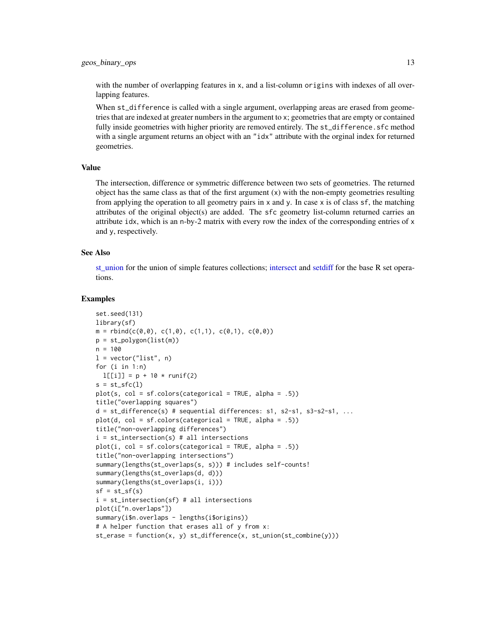#### geos\_binary\_ops 13

with the number of overlapping features in x, and a list-column origins with indexes of all overlapping features.

When st\_difference is called with a single argument, overlapping areas are erased from geometries that are indexed at greater numbers in the argument to x; geometries that are empty or contained fully inside geometries with higher priority are removed entirely. The st\_difference. sfc method with a single argument returns an object with an "idx" attribute with the orginal index for returned geometries.

#### Value

The intersection, difference or symmetric difference between two sets of geometries. The returned object has the same class as that of the first argument (x) with the non-empty geometries resulting from applying the operation to all geometry pairs in x and y. In case x is of class sf, the matching attributes of the original object(s) are added. The sfc geometry list-column returned carries an attribute idx, which is an n-by-2 matrix with every row the index of the corresponding entries of x and y, respectively.

# See Also

[st\\_union](#page-15-1) for the union of simple features collections; [intersect](#page-0-0) and [setdiff](#page-0-0) for the base R set operations.

```
set.seed(131)
library(sf)
m = \text{rbind}(c(0,0), c(1,0), c(1,1), c(0,1), c(0,0))p = st_polygon(list(m))n = 100l = vector("list", n)for (i in 1:n)
 l[[i]] = p + 10 * runif(2)s = st_sfc(1)plot(s, col = sficolors(categorical = TRUE, alpha = .5))title("overlapping squares")
d = st_difference(s) # sequential differences: s1, s2-s1, s3-s2-s1, ...
plot(d, col = sficolors(categorical = TRUE, alpha = .5))title("non-overlapping differences")
i = st_intersection(s) # all intersections
plot(i, col = sf.close(categorical = TRUE, alpha = .5))title("non-overlapping intersections")
summary(lengths(st_overlaps(s, s))) # includes self-counts!
summary(lengths(st_overlaps(d, d)))
summary(lengths(st_overlaps(i, i)))
sf = st_s(f(s))i = st_intersection(sf) # all intersections
plot(i["n.overlaps"])
summary(i$n.overlaps - lengths(i$origins))
# A helper function that erases all of y from x:
st_erase = function(x, y) st_difference(x, st_union(st_combine(y)))
```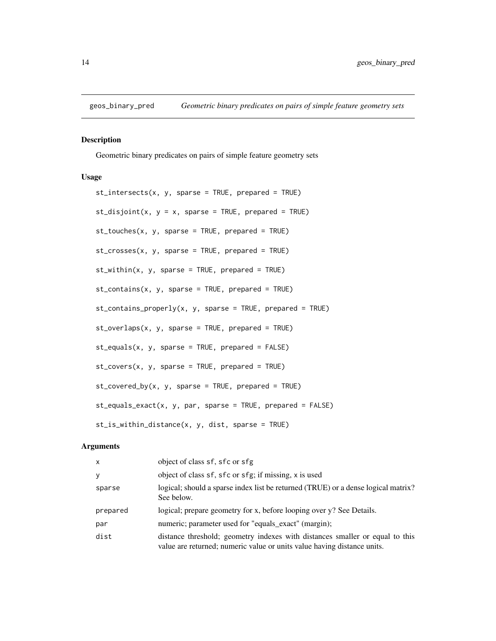<span id="page-13-0"></span>

Geometric binary predicates on pairs of simple feature geometry sets

#### Usage

 $st\_intersects(x, y, sparse = TRUE, prepared = TRUE)$  $st\_disjoint(x, y = x, sparse = TRUE, prepared = TRUE)$ st\_touches(x, y, sparse = TRUE, prepared = TRUE)  $st\_crosses(x, y, sparse = TRUE, prepared = TRUE)$  $st_within(x, y, sparse = TRUE, prepared = TRUE)$  $st\_contains(x, y, sparse = TRUE, prepared = TRUE)$  $st_{\text{contains\_properly(x, y, sparse = TRUE, prepared = TRUE)}$  $st_overlaps(x, y, sparse = TRUE, prepared = TRUE)$  $st_{\text{equals}}(x, y, sparse = TRUE, prepared = FALSE)$  $st\_covers(x, y, sparse = TRUE, prepared = TRUE)$  $st\_covered_by(x, y, sparse = TRUE, prepared = TRUE)$  $st_{\text{equal}}s_{\text{exact}}(x, y, \text{par}, \text{sparse} = \text{TRUE}, \text{prepared} = \text{FALSE}$ st\_is\_within\_distance(x, y, dist, sparse = TRUE)

| $\mathsf{x}$ | object of class sf, sfc or sfg                                                                                                                          |
|--------------|---------------------------------------------------------------------------------------------------------------------------------------------------------|
| У            | object of class sf, sfc or sfg; if missing, x is used                                                                                                   |
| sparse       | logical; should a sparse index list be returned (TRUE) or a dense logical matrix?<br>See below.                                                         |
| prepared     | logical; prepare geometry for x, before looping over y? See Details.                                                                                    |
| par          | numeric; parameter used for "equals_exact" (margin);                                                                                                    |
| dist         | distance threshold; geometry indexes with distances smaller or equal to this<br>value are returned; numeric value or units value having distance units. |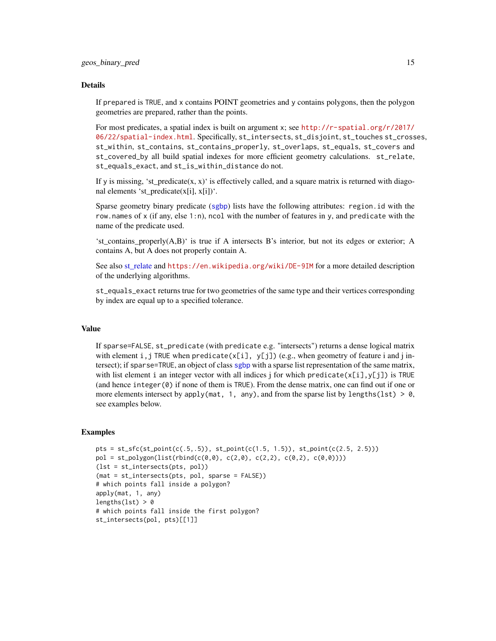#### Details

If prepared is TRUE, and x contains POINT geometries and y contains polygons, then the polygon geometries are prepared, rather than the points.

For most predicates, a spatial index is built on argument x; see [http://r-spatial.org/r/2017/](http://r-spatial.org/r/2017/06/22/spatial-index.html) [06/22/spatial-index.html](http://r-spatial.org/r/2017/06/22/spatial-index.html). Specifically, st\_intersects, st\_disjoint, st\_touches st\_crosses, st\_within, st\_contains, st\_contains\_properly, st\_overlaps, st\_equals, st\_covers and st\_covered\_by all build spatial indexes for more efficient geometry calculations. st\_relate, st\_equals\_exact, and st\_is\_within\_distance do not.

If y is missing, 'st\_predicate(x, x)' is effectively called, and a square matrix is returned with diagonal elements 'st\_predicate(x[i], x[i])'.

Sparse geometry binary predicate ([sgbp](#page-35-2)) lists have the following attributes: region.id with the row. names of x (if any, else 1:n), ncol with the number of features in y, and predicate with the name of the predicate used.

'st\_contains\_properly(A,B)' is true if A intersects B's interior, but not its edges or exterior; A contains A, but A does not properly contain A.

See also [st\\_relate](#page-75-1) and <https://en.wikipedia.org/wiki/DE-9IM> for a more detailed description of the underlying algorithms.

st\_equals\_exact returns true for two geometries of the same type and their vertices corresponding by index are equal up to a specified tolerance.

#### Value

If sparse=FALSE, st\_predicate (with predicate e.g. "intersects") returns a dense logical matrix with element i, j TRUE when predicate( $x[i]$ ,  $y[j]$ ) (e.g., when geometry of feature i and j intersect); if sparse=TRUE, an object of class [sgbp](#page-35-2) with a sparse list representation of the same matrix, with list element i an integer vector with all indices j for which predicate( $x[i], y[i]$ ) is TRUE (and hence integer $(0)$ ) if none of them is TRUE). From the dense matrix, one can find out if one or more elements intersect by apply(mat, 1, any), and from the sparse list by lengths(lst)  $> 0$ , see examples below.

```
pts = st_sfc(st_point(c(.5,.5)), st_point(c(1.5, 1.5)), st_point(c(2.5, 2.5)))pol = st\_polygon(list(rbind(c(0,0), c(2,0), c(2,2), c(0,2), c(0,0))))(lst = st_intersects(pts, pol))
(mat = st_intersects(pts, pol, sparse = FALSE))
# which points fall inside a polygon?
apply(mat, 1, any)
lengths(lst) > 0# which points fall inside the first polygon?
st_intersects(pol, pts)[[1]]
```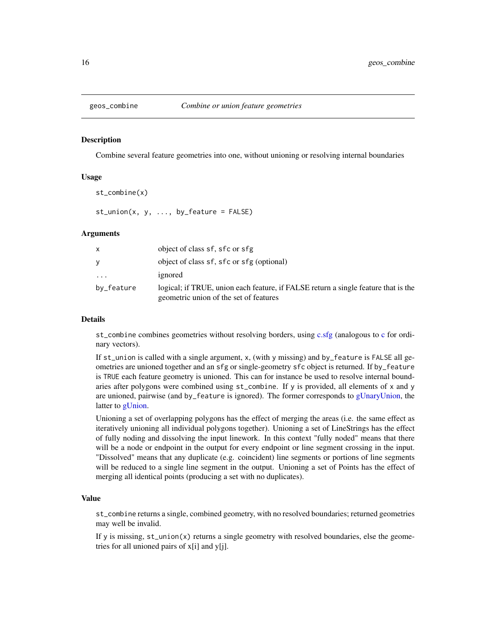<span id="page-15-1"></span><span id="page-15-0"></span>

Combine several feature geometries into one, without unioning or resolving internal boundaries

#### Usage

st\_combine(x)

 $st\_union(x, y, ..., by_f$ eature = FALSE)

#### Arguments

| X          | object of class sf, sfc or sfg                                                                                               |
|------------|------------------------------------------------------------------------------------------------------------------------------|
| У          | object of class sf, sfc or sfg (optional)                                                                                    |
| .          | ignored                                                                                                                      |
| by_feature | logical; if TRUE, union each feature, if FALSE return a single feature that is the<br>geometric union of the set of features |

#### Details

st\_combine combines geometries without resolving borders, using [c.sfg](#page-35-1) (analogous to [c](#page-0-0) for ordinary vectors).

If st\_union is called with a single argument, x, (with y missing) and by\_feature is FALSE all geometries are unioned together and an sfg or single-geometry sfc object is returned. If by\_feature is TRUE each feature geometry is unioned. This can for instance be used to resolve internal boundaries after polygons were combined using st\_combine. If y is provided, all elements of x and y are unioned, pairwise (and by\_feature is ignored). The former corresponds to [gUnaryUnion,](#page-0-0) the latter to [gUnion.](#page-0-0)

Unioning a set of overlapping polygons has the effect of merging the areas (i.e. the same effect as iteratively unioning all individual polygons together). Unioning a set of LineStrings has the effect of fully noding and dissolving the input linework. In this context "fully noded" means that there will be a node or endpoint in the output for every endpoint or line segment crossing in the input. "Dissolved" means that any duplicate (e.g. coincident) line segments or portions of line segments will be reduced to a single line segment in the output. Unioning a set of Points has the effect of merging all identical points (producing a set with no duplicates).

# Value

st\_combine returns a single, combined geometry, with no resolved boundaries; returned geometries may well be invalid.

If y is missing,  $st\_union(x)$  returns a single geometry with resolved boundaries, else the geometries for all unioned pairs of x[i] and y[j].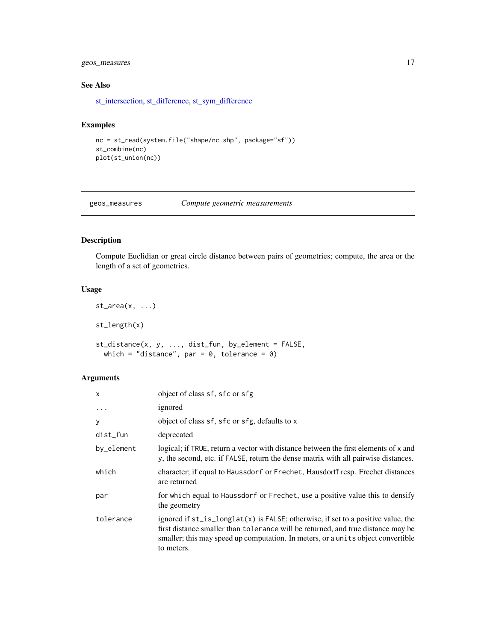<span id="page-16-0"></span>geos\_measures 17

# See Also

[st\\_intersection,](#page-11-1) [st\\_difference,](#page-11-1) [st\\_sym\\_difference](#page-11-1)

# Examples

```
nc = st_read(system.file("shape/nc.shp", package="sf"))
st_combine(nc)
plot(st_union(nc))
```
geos\_measures *Compute geometric measurements*

# Description

Compute Euclidian or great circle distance between pairs of geometries; compute, the area or the length of a set of geometries.

# Usage

```
st_area(x, ...)
st_length(x)
st_distance(x, y, ..., dist_fun, by_element = FALSE,
 which = "distance", par = 0, tolerance = 0)
```

| $\mathsf{x}$ | object of class sf, sfc or sfg                                                                                                                                                                                                                                               |
|--------------|------------------------------------------------------------------------------------------------------------------------------------------------------------------------------------------------------------------------------------------------------------------------------|
| .            | ignored                                                                                                                                                                                                                                                                      |
| y            | object of class sf, sfc or sfg, defaults to x                                                                                                                                                                                                                                |
| dist_fun     | deprecated                                                                                                                                                                                                                                                                   |
| by_element   | logical; if TRUE, return a vector with distance between the first elements of x and<br>y, the second, etc. if FALSE, return the dense matrix with all pairwise distances.                                                                                                    |
| which        | character; if equal to Haussdorf or Frechet, Hausdorff resp. Frechet distances<br>are returned                                                                                                                                                                               |
| par          | for which equal to Haussdorf or Frechet, use a positive value this to densify<br>the geometry                                                                                                                                                                                |
| tolerance    | ignored if $st\_is\_longlat(x)$ is FALSE; otherwise, if set to a positive value, the<br>first distance smaller than tolerance will be returned, and true distance may be<br>smaller; this may speed up computation. In meters, or a unit is object convertible<br>to meters. |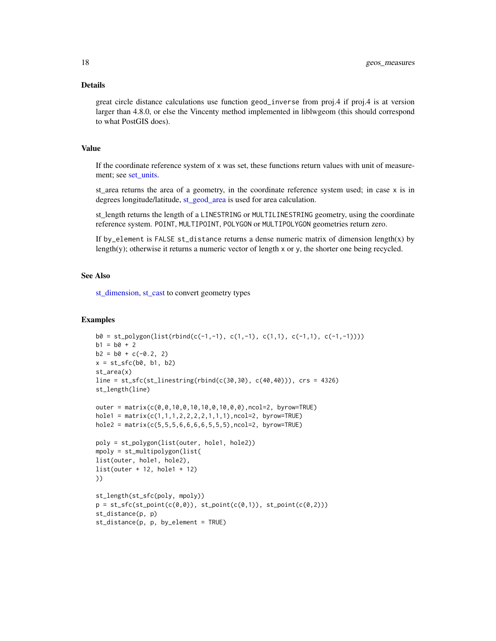#### Details

great circle distance calculations use function geod\_inverse from proj.4 if proj.4 is at version larger than 4.8.0, or else the Vincenty method implemented in liblwgeom (this should correspond to what PostGIS does).

# Value

If the coordinate reference system of  $x$  was set, these functions return values with unit of measurement; see [set\\_units.](#page-0-0)

st\_area returns the area of a geometry, in the coordinate reference system used; in case x is in degrees longitude/latitude, [st\\_geod\\_area](#page-0-0) is used for area calculation.

st\_length returns the length of a LINESTRING or MULTILINESTRING geometry, using the coordinate reference system. POINT, MULTIPOINT, POLYGON or MULTIPOLYGON geometries return zero.

If by\_element is FALSE st\_distance returns a dense numeric matrix of dimension length(x) by length(y); otherwise it returns a numeric vector of length x or y, the shorter one being recycled.

#### See Also

[st\\_dimension,](#page-18-1) [st\\_cast](#page-49-1) to convert geometry types

```
b0 = st\_polygon(list(rbind(c(-1, -1), c(1, -1), c(1, 1), c(-1, 1), c(-1, -1))))b1 = b0 + 2b2 = b0 + c(-0.2, 2)x = st_sfc(b0, b1, b2)st_area(x)
line = st_sfc(st_linestring(rbind(c(30,30), c(40,40))), crs = 4326)st_length(line)
outer = matrix(c(0,0,10,0,10,10,0,10,0,0),ncol=2, byrow=TRUE)
hole1 = matrix(c(1,1,1,2,2,2,2,1,1,1),ncol=2, byrow=TRUE)
hole2 = matrix(c(5,5,5,6,6,6,6,5,5,5),ncol=2, byrow=TRUE)
poly = st_polygon(list(outer, hole1, hole2))
mpoly = st_multipolygon(list(
list(outer, hole1, hole2),
list(outer + 12, hole1 + 12)))
st_length(st_sfc(poly, mpoly))
p = st_sfc(st\_point(c(\theta, \theta)), st\_point(c(\theta, 1)), st\_point(c(\theta, 2)))st_distance(p, p)
st_distance(p, p, by_element = TRUE)
```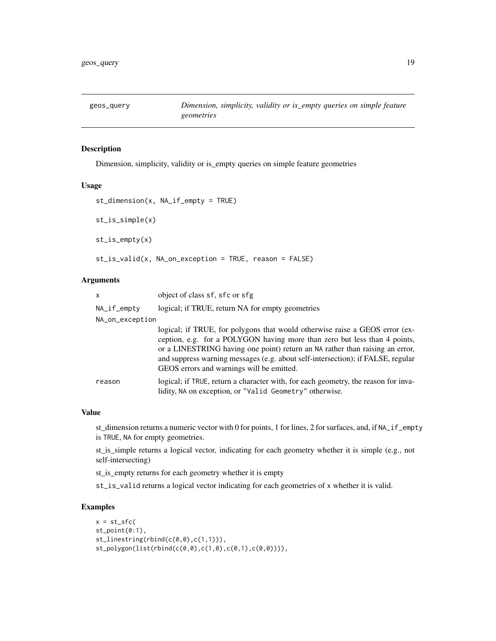<span id="page-18-0"></span>

<span id="page-18-1"></span>Dimension, simplicity, validity or is\_empty queries on simple feature geometries

#### Usage

```
st_dimension(x, NA_if_empty = TRUE)
st_is_simple(x)
st_is_empty(x)
st_is_valid(x, NA_on_exception = TRUE, reason = FALSE)
```
# Arguments

| X               | object of class sf, sfc or sfg                                                                                                                                                                                                                                                                                                                                           |
|-----------------|--------------------------------------------------------------------------------------------------------------------------------------------------------------------------------------------------------------------------------------------------------------------------------------------------------------------------------------------------------------------------|
| NA_if_empty     | logical; if TRUE, return NA for empty geometries                                                                                                                                                                                                                                                                                                                         |
| NA_on_exception |                                                                                                                                                                                                                                                                                                                                                                          |
|                 | logical; if TRUE, for polygons that would otherwise raise a GEOS error (ex-<br>ception, e.g. for a POLYGON having more than zero but less than 4 points,<br>or a LINESTRING having one point) return an NA rather than raising an error,<br>and suppress warning messages (e.g. about self-intersection); if FALSE, regular<br>GEOS errors and warnings will be emitted. |
| reason          | logical; if TRUE, return a character with, for each geometry, the reason for inva-<br>lidity, NA on exception, or "Valid Geometry" otherwise.                                                                                                                                                                                                                            |

# Value

st\_dimension returns a numeric vector with 0 for points, 1 for lines, 2 for surfaces, and, if NA\_if\_empty is TRUE, NA for empty geometries.

st\_is\_simple returns a logical vector, indicating for each geometry whether it is simple (e.g., not self-intersecting)

st\_is\_empty returns for each geometry whether it is empty

st\_is\_valid returns a logical vector indicating for each geometries of x whether it is valid.

```
x = st_sfc(st_point(0:1),
st\_linesring(rbind(c(0,0),c(1,1))),
st_polygon(list(rbind(c(0,0),c(1,0),c(0,1),c(0,0)))),
```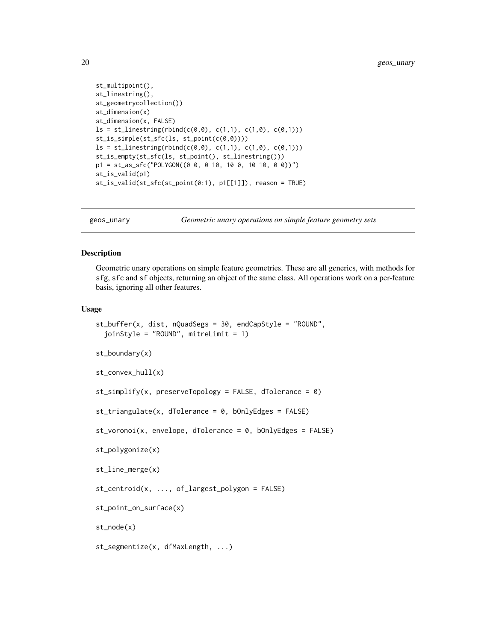```
st_multipoint(),
st_linestring(),
st_geometrycollection())
st_dimension(x)
st_dimension(x, FALSE)
ls = st_{linestring(rbind(c(0,0), c(1,1), c(1,0), c(0,1)))st_is_simple(st_sfc(ls, st_point(c(0,0))))
ls = st_{linestring(rbind(c(0,0), c(1,1), c(1,0), c(0,1)))st_is_empty(st_sfc(ls, st_point(), st_linestring()))
p1 = st_as_sfc("POLYGON((0 0, 0 10, 10 0, 10 10, 0 0))")st_is_valid(p1)
st_is_valid(st_sfc(st_point(0:1), p1[[1]]), reason = TRUE)
```
geos\_unary *Geometric unary operations on simple feature geometry sets*

# **Description**

Geometric unary operations on simple feature geometries. These are all generics, with methods for sfg, sfc and sf objects, returning an object of the same class. All operations work on a per-feature basis, ignoring all other features.

#### Usage

```
st_buffer(x, dist, nQuadSegs = 30, endCapStyle = "ROUND",
  joinStyle = "ROUND", mitreLimit = 1)
st_boundary(x)
st_convex_hull(x)
st_simplify(x, preserveTopology = FALSE, dTolerance = 0)
st\_triangle (x, dTolerance = 0, bOnlyEdges = FALSE)
st_voronoi(x, envelope, dTolerance = 0, bOnlyEdges = FALSE)
st_polygonize(x)
st_line_merge(x)
st_centroid(x, ..., of_largest_polygon = FALSE)
st_point_on_surface(x)
st_node(x)
st_segmentize(x, dfMaxLength, ...)
```
<span id="page-19-0"></span>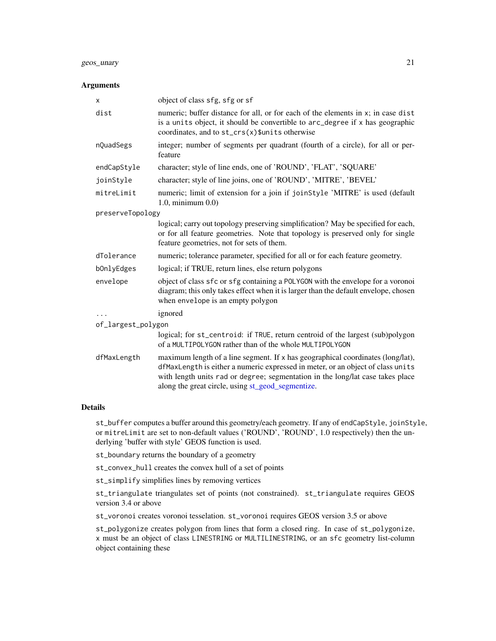# geos\_unary 21

#### Arguments

| X                  | object of class sfg, sfg or sf                                                                                                                                                                                                                                                                            |  |
|--------------------|-----------------------------------------------------------------------------------------------------------------------------------------------------------------------------------------------------------------------------------------------------------------------------------------------------------|--|
| dist               | numeric; buffer distance for all, or for each of the elements in x; in case dist<br>is a units object, it should be convertible to arc_degree if x has geographic<br>coordinates, and to st_crs(x)\$units otherwise                                                                                       |  |
| nQuadSegs          | integer; number of segments per quadrant (fourth of a circle), for all or per-<br>feature                                                                                                                                                                                                                 |  |
| endCapStyle        | character; style of line ends, one of 'ROUND', 'FLAT', 'SQUARE'                                                                                                                                                                                                                                           |  |
| joinStyle          | character; style of line joins, one of 'ROUND', 'MITRE', 'BEVEL'                                                                                                                                                                                                                                          |  |
| mitreLimit         | numeric; limit of extension for a join if joinStyle 'MITRE' is used (default<br>$1.0$ , minimum $0.0$ )                                                                                                                                                                                                   |  |
| preserveTopology   |                                                                                                                                                                                                                                                                                                           |  |
|                    | logical; carry out topology preserving simplification? May be specified for each,<br>or for all feature geometries. Note that topology is preserved only for single<br>feature geometries, not for sets of them.                                                                                          |  |
| dTolerance         | numeric; tolerance parameter, specified for all or for each feature geometry.                                                                                                                                                                                                                             |  |
| bOnlyEdges         | logical; if TRUE, return lines, else return polygons                                                                                                                                                                                                                                                      |  |
| envelope           | object of class sfc or sfg containing a POLYGON with the envelope for a voronoi<br>diagram; this only takes effect when it is larger than the default envelope, chosen<br>when envelope is an empty polygon                                                                                               |  |
|                    | ignored                                                                                                                                                                                                                                                                                                   |  |
| of_largest_polygon |                                                                                                                                                                                                                                                                                                           |  |
|                    | logical; for st_centroid: if TRUE, return centroid of the largest (sub)polygon<br>of a MULTIPOLYGON rather than of the whole MULTIPOLYGON                                                                                                                                                                 |  |
| dfMaxLength        | maximum length of a line segment. If x has geographical coordinates (long/lat),<br>dfMaxLength is either a numeric expressed in meter, or an object of class units<br>with length units rad or degree; segmentation in the long/lat case takes place<br>along the great circle, using st_geod_segmentize. |  |

#### Details

st\_buffer computes a buffer around this geometry/each geometry. If any of endCapStyle, joinStyle, or mitreLimit are set to non-default values ('ROUND', 'ROUND', 1.0 respectively) then the underlying 'buffer with style' GEOS function is used.

st\_boundary returns the boundary of a geometry

st\_convex\_hull creates the convex hull of a set of points

st\_simplify simplifies lines by removing vertices

st\_triangulate triangulates set of points (not constrained). st\_triangulate requires GEOS version 3.4 or above

st\_voronoi creates voronoi tesselation. st\_voronoi requires GEOS version 3.5 or above

st\_polygonize creates polygon from lines that form a closed ring. In case of st\_polygonize, x must be an object of class LINESTRING or MULTILINESTRING, or an sfc geometry list-column object containing these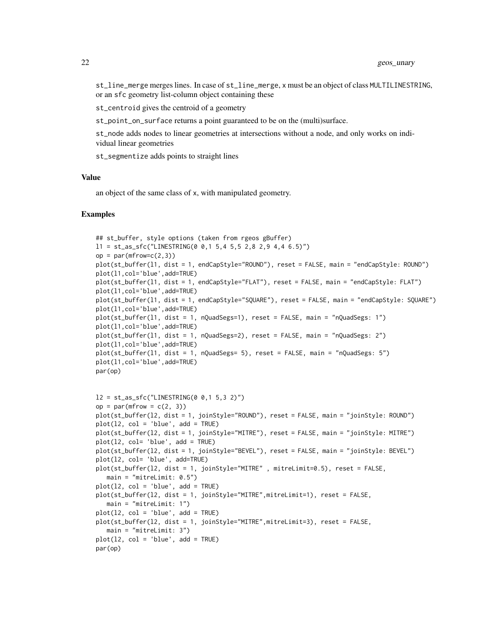st\_line\_merge merges lines. In case of st\_line\_merge, x must be an object of class MULTILINESTRING, or an sfc geometry list-column object containing these

st\_centroid gives the centroid of a geometry

st\_point\_on\_surface returns a point guaranteed to be on the (multi)surface.

st\_node adds nodes to linear geometries at intersections without a node, and only works on individual linear geometries

st\_segmentize adds points to straight lines

#### Value

an object of the same class of x, with manipulated geometry.

```
## st_buffer, style options (taken from rgeos gBuffer)
11 = st_as_sfc("LINESTRING(0 0, 1 5, 4 5, 5 2, 8 2, 9 4, 4 6.5)")op = par(mfrow=c(2,3))plot(st_buffer(l1, dist = 1, endCapStyle="ROUND"), reset = FALSE, main = "endCapStyle: ROUND")
plot(l1,col='blue',add=TRUE)
plot(st_buffer(l1, dist = 1, endCapStyle="FLAT"), reset = FALSE, main = "endCapStyle: FLAT")
plot(l1,col='blue',add=TRUE)
plot(st_buffer(l1, dist = 1, endCapStyle="SQUARE"), reset = FALSE, main = "endCapStyle: SQUARE")
plot(l1,col='blue',add=TRUE)
plot(st_buffer(l1, dist = 1, nQuadSegs=1), reset = FALSE, main = "nQuadSegs: 1")
plot(l1,col='blue',add=TRUE)
plot(st_buffer(l1, dist = 1, nQuadSegs=2), reset = FALSE, main = "nQuadSegs: 2")
plot(l1,col='blue',add=TRUE)
plot(st_buffer(l1, dist = 1, nQuadSegs= 5), reset = FALSE, main = "nQuadSegs: 5")
plot(l1,col='blue',add=TRUE)
par(op)
12 = st_as_sfc("LINESTRING(0 0, 1 5, 3 2)")op = par(mfrow = c(2, 3))plot(st_buffer(l2, dist = 1, joinStyle="ROUND"), reset = FALSE, main = "joinStyle: ROUND")
plot(12, col = 'blue', add = TRUE)plot(st_buffer(l2, dist = 1, joinStyle="MITRE"), reset = FALSE, main = "joinStyle: MITRE")
plot(12, col='blue', add = TRUE)plot(st_buffer(l2, dist = 1, joinStyle="BEVEL"), reset = FALSE, main = "joinStyle: BEVEL")
plot(l2, col= 'blue', add=TRUE)
plot(st_buffer(l2, dist = 1, joinStyle="MITRE" , mitreLimit=0.5), reset = FALSE,
   main = "mitreLimit: 0.5")
plot(12, col = 'blue', add = TRUE)plot(st_buffer(l2, dist = 1, joinStyle="MITRE",mitreLimit=1), reset = FALSE,
   main = "mitreLimit: 1")
plot(12, col = 'blue', add = TRUE)plot(st_buffer(l2, dist = 1, joinStyle="MITRE",mitreLimit=3), reset = FALSE,
   main = "mitreLimit: 3")
plot(12, col = 'blue', add = TRUE)par(op)
```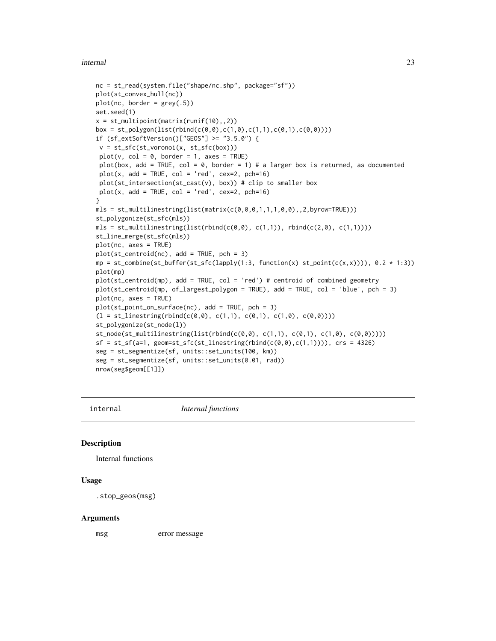#### <span id="page-22-0"></span>internal 23

```
nc = st_read(system.file("shape/nc.shp", package="sf"))
plot(st_convex_hull(nc))
plot(nc, border = grey(.5))set.seed(1)
x = st_multipoint(matrix(runif(10), 2))box = st\_polygon(list(rbind(c(0, 0), c(1, 0), c(1, 1), c(0, 1), c(0, 0))))if (sf_extSoftVersion()["GEOS"] >= "3.5.0") {
 v = st_sfc(st_voronoi(x, st_sfc(box)))
 plot(v, col = 0, border = 1, axes = TRUE)plot(box, add = TRUE, col = 0, border = 1) # a larger box is returned, as documented
 plot(x, add = TRUE, col = 'red', cex=2, pch=16)plot(st_intersection(st_cast(v), box)) # clip to smaller box
plot(x, add = TRUE, col = 'red', cex=2, pch=16)}
mls = st_multipusing(list(matrix(c(0, 0, 0, 1, 1, 1, 0, 0), , 2, byrow=True))st_polygonize(st_sfc(mls))
mls = st_multipusing(list(rbind(c(0,0), c(1,1)), rbind(c(2,0), c(1,1))))st_line_merge(st_sfc(mls))
plot(nc, axes = TRUE)
plot(st_centroid(nc), add = TRUE, pch = 3)mp = st_{combine}(st_buffer(st_sfc(lapply(1:3, function(x) st_point(c(x,x))))), 0.2 * 1:3))plot(mp)
plot(st_centroid(mp), add = TRUE, col = 'red') # centroid of combined geometry
plot(st_centroid(mp, of_largest_polygon = TRUE), add = TRUE, col = 'blue', pch = 3)
plot(nc, axes = TRUE)
plot(st_point_on_surface(nc), add = TRUE, pch = 3)
(1 = st_1 \text{linestring}(\text{rbind}(c(0,0), c(1,1), c(0,1), c(1,0), c(0,0))))st_polygonize(st_node(l))
st_node(st_multilinestring(list(rbind(c(0,0), c(1,1), c(0,1), c(1,0), c(0,0)))))
sf = st_sf(a=1, geometry, geometric, step(s,t_1), (c(0,0),c(1,1)))), crs = 4326)seg = st_segmentize(sf, units::set_units(100, km))
seg = st_segmentize(sf, units::set_units(0.01, rad))
nrow(seg$geom[[1]])
```
internal *Internal functions*

#### **Description**

Internal functions

#### Usage

.stop\_geos(msg)

#### Arguments

msg error message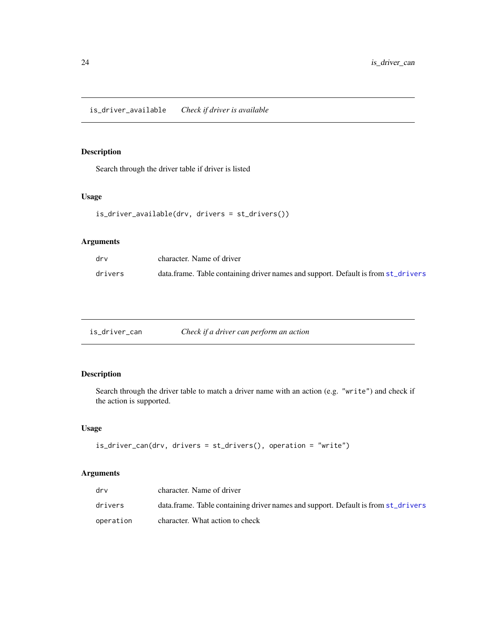<span id="page-23-0"></span>is\_driver\_available *Check if driver is available*

#### Description

Search through the driver table if driver is listed

# Usage

```
is_driver_available(drv, drivers = st_drivers())
```
# Arguments

| drv     | character. Name of driver                                                         |
|---------|-----------------------------------------------------------------------------------|
| drivers | data.frame. Table containing driver names and support. Default is from st_drivers |

is\_driver\_can *Check if a driver can perform an action*

# Description

Search through the driver table to match a driver name with an action (e.g. "write") and check if the action is supported.

# Usage

```
is_driver_can(drv, drivers = st_drivers(), operation = "write")
```

| drv       | character. Name of driver                                                         |
|-----------|-----------------------------------------------------------------------------------|
| drivers   | data frame. Table containing driver names and support. Default is from st_drivers |
| operation | character. What action to check                                                   |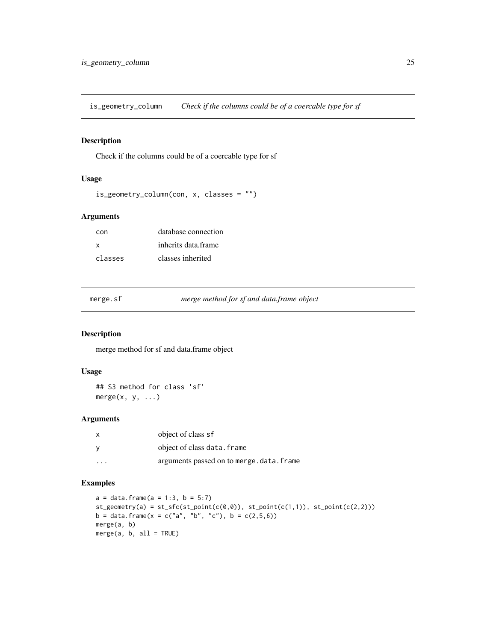<span id="page-24-0"></span>is\_geometry\_column *Check if the columns could be of a coercable type for sf*

# Description

Check if the columns could be of a coercable type for sf

# Usage

```
is_geometry_column(con, x, classes = "")
```
# Arguments

| con     | database connection |
|---------|---------------------|
| X       | inherits data frame |
| classes | classes inherited   |

merge.sf *merge method for sf and data.frame object*

# Description

merge method for sf and data.frame object

#### Usage

## S3 method for class 'sf'  $merge(x, y, \ldots)$ 

# Arguments

| $\boldsymbol{\mathsf{x}}$ | object of class sf                      |
|---------------------------|-----------------------------------------|
|                           | object of class data. frame             |
| .                         | arguments passed on to merge.data.frame |

```
a = data. frame(a = 1:3, b = 5:7)
st\_geometry(a) = st\_sfc(st\_point(c(\emptyset, \emptyset)), st\_point(c(1,1)), st\_point(c(2,2)))b = data. frame(x = c("a", "b", "c"), b = c(2,5,6))
merge(a, b)
merge(a, b, all = TRUE)
```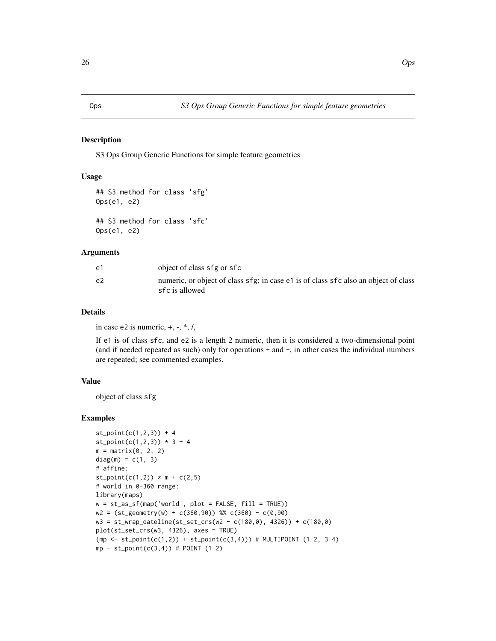<span id="page-25-0"></span>S3 Ops Group Generic Functions for simple feature geometries

# Usage

```
## S3 method for class 'sfg'
Ops(e1, e2)
## S3 method for class 'sfc'
Ops(e1, e2)
```
#### Arguments

| e1 | object of class sfg or sfc                                                                            |
|----|-------------------------------------------------------------------------------------------------------|
| e2 | numeric, or object of class sfg; in case e1 is of class sfc also an object of class<br>sfc is allowed |

# Details

in case e2 is numeric,  $+, -, *, /$ ,

If e1 is of class sfc, and e2 is a length 2 numeric, then it is considered a two-dimensional point (and if needed repeated as such) only for operations + and -, in other cases the individual numbers are repeated; see commented examples.

# Value

object of class sfg

```
st\_point(c(1,2,3)) + 4st\_point(c(1,2,3)) * 3 + 4m = matrix(0, 2, 2)diag(m) = c(1, 3)# affine:
st\_point(c(1,2)) * m + c(2,5)# world in 0-360 range:
library(maps)
w = st_as_s f(map('world', plot = FALSE, fill = TRUE))w2 = (st\_geometry(w) + c(360,90)) %% c(360) - c(0,90)w3 = st_wrap_dateline(st_set_crs(w2 - c(180,0), 4326)) + c(180,0)
plot(st_set_crs(w3, 4326), axes = TRUE)
(mp \leftarrow st\_point(c(1,2)) + st\_point(c(3,4))) # MULTIPOINT (1 2, 3 4)mp - st\_point(c(3, 4)) # POINT (1 2)
```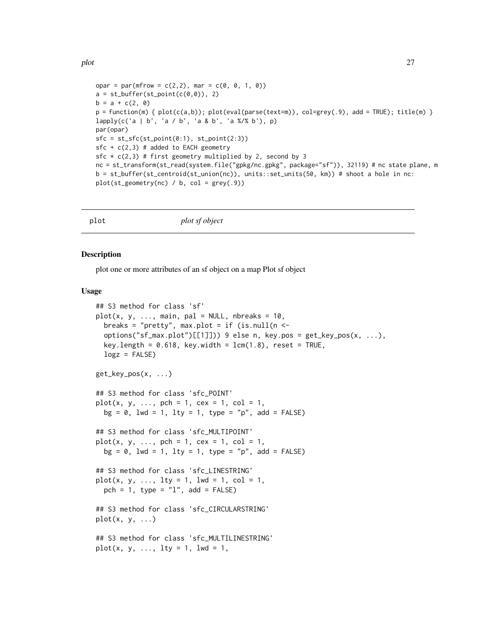```
opar = par(mfrow = c(2,2), mar = c(0, 0, 1, 0))
a = st_buffer(st_point(c(\theta, \theta)), 2)b = a + c(2, 0)p = function(m) { plot(c(a,b)); plot(eval(parse(text=m)), col=grey(.9), add = TRUE); title(m) }
lapply(c('a | b', 'a / b', 'a & b', 'a %/% b'), p)
par(opar)
sfc = st_sfc(st\_point(0:1), st\_point(2:3))sfc + c(2,3) # added to EACH geometry
sfc * c(2,3) # first geometry multiplied by 2, second by 3
nc = st_transform(st_read(system.file("gpkg/nc.gpkg", package="sf")), 32119) # nc state plane, m
b = st_buffer(st_centroid(st_union(nc)), units::set_units(50, km)) # shoot a hole in nc:
plot(st\_geometry(nc) / b, col = grey(.9))
```
<span id="page-26-2"></span>

plot *plot sf object*

#### <span id="page-26-1"></span>Description

plot one or more attributes of an sf object on a map Plot sf object

#### Usage

```
## S3 method for class 'sf'
plot(x, y, ..., main, pal = NULL, nbreaks = 10,breaks = "pretty", max.plot = if (is.null(n < -options("sf_max.plot")[[1]])) 9 else n, key.pos = get_key_pos(x, ...),
 key.length = 0.618, key.width = lcm(1.8), reset = TRUE,
  \log z = FALSE)
get_key_pos(x, ...)
## S3 method for class 'sfc_POINT'
plot(x, y, ..., pch = 1, cex = 1, col = 1,bg = 0, lwd = 1, lty = 1, type = "p", add = FALSE)
## S3 method for class 'sfc_MULTIPOINT'
plot(x, y, ..., pch = 1, cex = 1, col = 1,bg = 0, 1wd = 1, 1ty = 1, type = "p", add = FALSE)## S3 method for class 'sfc_LINESTRING'
plot(x, y, ..., lty = 1, lwd = 1, col = 1,pch = 1, type = "l", add = FALSE)## S3 method for class 'sfc_CIRCULARSTRING'
plot(x, y, \ldots)## S3 method for class 'sfc_MULTILINESTRING'
plot(x, y, ..., 1ty = 1, 1wd = 1,
```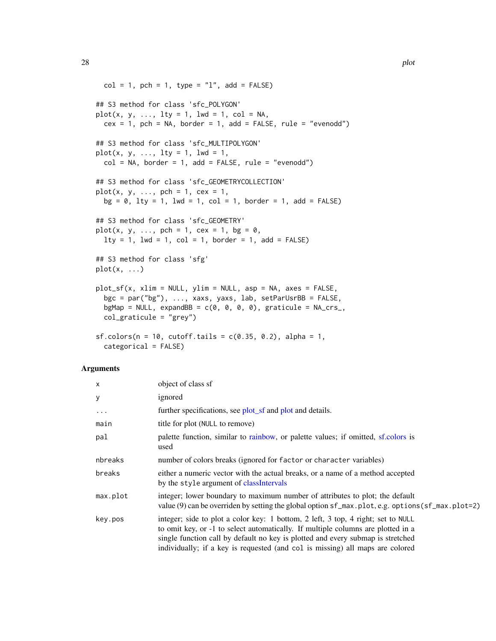```
col = 1, pch = 1, type = "l", add = FALSE## S3 method for class 'sfc_POLYGON'
plot(x, y, ..., 1ty = 1, 1wd = 1, col = NA,cex = 1, pch = NA, border = 1, add = FALSE, rule = "evenodd")
## S3 method for class 'sfc_MULTIPOLYGON'
plot(x, y, ..., 1ty = 1, 1wd = 1,col = NA, border = 1, add = FALSE, rule = "evenodd")
## S3 method for class 'sfc_GEOMETRYCOLLECTION'
plot(x, y, ..., pch = 1, cex = 1,bg = 0, lty = 1, lwd = 1, col = 1, border = 1, add = FALSE)
## S3 method for class 'sfc_GEOMETRY'
plot(x, y, ..., pch = 1, cex = 1, bg = 0,lty = 1, lwd = 1, col = 1, border = 1, add = FALSE)## S3 method for class 'sfg'
plot(x, \ldots)plot_s f(x, xlim = NULL, ylim = NULL, asp = NA, axes = FALSE,bgc = par("bg"), ..., xaxs, yaxs, lab, setParUsrBB = FALSE,
 bgMap = NULL, expandBB = c(0, 0, 0, 0), graticule = NA_crs_col_graticule = "grey")
sf.colors(n = 10, cutoff.tails = c(0.35, 0.2), alpha = 1,
```

```
categorical = FALSE)
```

| х        | object of class sf                                                                                                                                                                                                                                                                                                                       |
|----------|------------------------------------------------------------------------------------------------------------------------------------------------------------------------------------------------------------------------------------------------------------------------------------------------------------------------------------------|
| У        | ignored                                                                                                                                                                                                                                                                                                                                  |
| $\cdots$ | further specifications, see plot_sf and plot and details.                                                                                                                                                                                                                                                                                |
| main     | title for plot (NULL to remove)                                                                                                                                                                                                                                                                                                          |
| pal      | palette function, similar to rainbow, or palette values; if omitted, sf.colors is<br>used                                                                                                                                                                                                                                                |
| nbreaks  | number of colors breaks (ignored for factor or character variables)                                                                                                                                                                                                                                                                      |
| breaks   | either a numeric vector with the actual breaks, or a name of a method accepted<br>by the style argument of class Intervals                                                                                                                                                                                                               |
| max.plot | integer; lower boundary to maximum number of attributes to plot; the default<br>value (9) can be overriden by setting the global option $sf\_max$ , plot, e.g. options $(sf\_max$ , plot=2)                                                                                                                                              |
| key.pos  | integer; side to plot a color key: 1 bottom, 2 left, 3 top, 4 right; set to NULL<br>to omit key, or -1 to select automatically. If multiple columns are plotted in a<br>single function call by default no key is plotted and every submap is stretched<br>individually; if a key is requested (and col is missing) all maps are colored |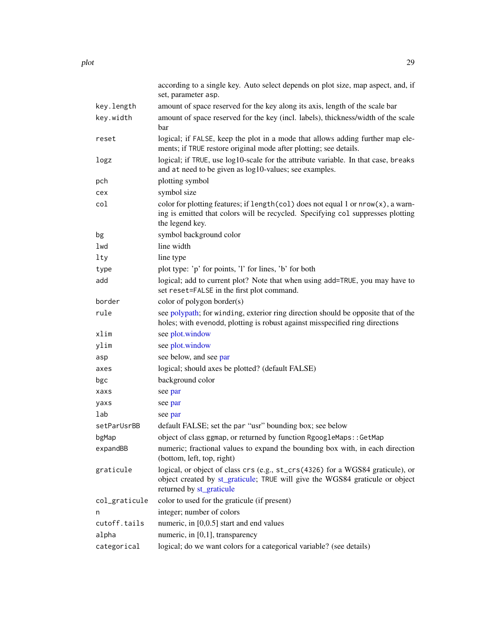|               | according to a single key. Auto select depends on plot size, map aspect, and, if<br>set, parameter asp.                                                                                    |
|---------------|--------------------------------------------------------------------------------------------------------------------------------------------------------------------------------------------|
| key.length    | amount of space reserved for the key along its axis, length of the scale bar                                                                                                               |
| key.width     | amount of space reserved for the key (incl. labels), thickness/width of the scale<br>bar                                                                                                   |
| reset         | logical; if FALSE, keep the plot in a mode that allows adding further map ele-<br>ments; if TRUE restore original mode after plotting; see details.                                        |
| logz          | logical; if TRUE, use log10-scale for the attribute variable. In that case, breaks<br>and at need to be given as log10-values; see examples.                                               |
| pch           | plotting symbol                                                                                                                                                                            |
| cex           | symbol size                                                                                                                                                                                |
| col           | color for plotting features; if length(col) does not equal 1 or nrow(x), a warn-<br>ing is emitted that colors will be recycled. Specifying col suppresses plotting<br>the legend key.     |
| bg            | symbol background color                                                                                                                                                                    |
| lwd           | line width                                                                                                                                                                                 |
| lty           | line type                                                                                                                                                                                  |
| type          | plot type: 'p' for points, 'l' for lines, 'b' for both                                                                                                                                     |
| add           | logical; add to current plot? Note that when using add=TRUE, you may have to<br>set reset=FALSE in the first plot command.                                                                 |
| border        | color of polygon border(s)                                                                                                                                                                 |
| rule          | see polypath; for winding, exterior ring direction should be opposite that of the<br>holes; with evenodd, plotting is robust against misspecified ring directions                          |
| xlim          | see plot.window                                                                                                                                                                            |
| ylim          | see plot.window                                                                                                                                                                            |
| asp           | see below, and see par                                                                                                                                                                     |
| axes          | logical; should axes be plotted? (default FALSE)                                                                                                                                           |
| bgc           | background color                                                                                                                                                                           |
| xaxs          | see par                                                                                                                                                                                    |
| yaxs          | see par                                                                                                                                                                                    |
| lab           | see par                                                                                                                                                                                    |
| setParUsrBB   | default FALSE; set the par "usr" bounding box; see below                                                                                                                                   |
| bgMap         | object of class ggmap, or returned by function RgoogleMaps:: GetMap                                                                                                                        |
| expandBB      | numeric; fractional values to expand the bounding box with, in each direction<br>(bottom, left, top, right)                                                                                |
| graticule     | logical, or object of class crs (e.g., st_crs(4326) for a WGS84 graticule), or<br>object created by st_graticule; TRUE will give the WGS84 graticule or object<br>returned by st_graticule |
| col_graticule | color to used for the graticule (if present)                                                                                                                                               |
| n             | integer; number of colors                                                                                                                                                                  |
| cutoff.tails  | numeric, in [0,0.5] start and end values                                                                                                                                                   |
| alpha         | numeric, in [0,1], transparency                                                                                                                                                            |
| categorical   | logical; do we want colors for a categorical variable? (see details)                                                                                                                       |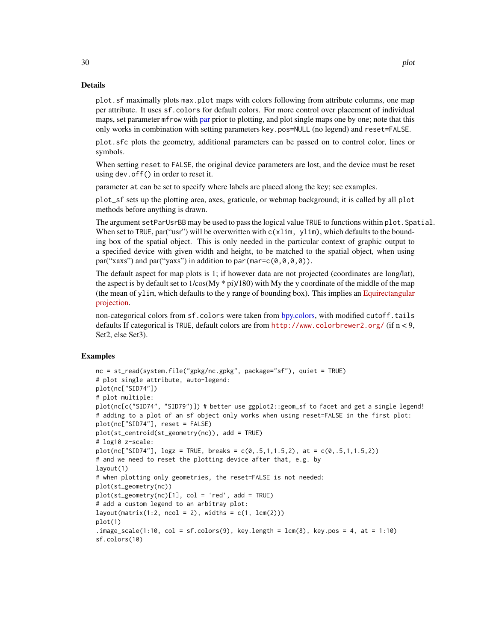#### Details

plot.sf maximally plots max.plot maps with colors following from attribute columns, one map per attribute. It uses sf.colors for default colors. For more control over placement of individual maps, set [par](#page-0-0)ameter mfrow with par prior to plotting, and plot single maps one by one; note that this only works in combination with setting parameters key.pos=NULL (no legend) and reset=FALSE.

plot.sfc plots the geometry, additional parameters can be passed on to control color, lines or symbols.

When setting reset to FALSE, the original device parameters are lost, and the device must be reset using dev.off() in order to reset it.

parameter at can be set to specify where labels are placed along the key; see examples.

plot\_sf sets up the plotting area, axes, graticule, or webmap background; it is called by all plot methods before anything is drawn.

The argument setParUsrBB may be used to pass the logical value TRUE to functions within plot. Spatial. When set to TRUE, par("usr") will be overwritten with  $c(xlim, ylim)$ , which defaults to the bounding box of the spatial object. This is only needed in the particular context of graphic output to a specified device with given width and height, to be matched to the spatial object, when using par("xaxs") and par("yaxs") in addition to par (mar= $c(\theta, \theta, \theta, \theta)$ ).

The default aspect for map plots is 1; if however data are not projected (coordinates are long/lat), the aspect is by default set to  $1/\cos(My * pi)/180$  with My the y coordinate of the middle of the map (the mean of ylim, which defaults to the y range of bounding box). This implies an [Equirectangular](https://en.wikipedia.org/wiki/Equirectangular_projection) [projection.](https://en.wikipedia.org/wiki/Equirectangular_projection)

non-categorical colors from sf.colors were taken from [bpy.colors,](#page-0-0) with modified cutoff.tails defaults If categorical is TRUE, default colors are from <http://www.colorbrewer2.org/> (if n < 9, Set2, else Set3).

```
nc = st_read(system.file("gpkg/nc.gpkg", package="sf"), quiet = TRUE)
# plot single attribute, auto-legend:
plot(nc["SID74"])
# plot multiple:
plot(nc[c("SID74", "SID79")]) # better use ggplot2::geom_sf to facet and get a single legend!
# adding to a plot of an sf object only works when using reset=FALSE in the first plot:
plot(nc["SID74"], reset = FALSE)
plot(st_centroid(st_geometry(nc)), add = TRUE)
# log10 z-scale:
plot(nc["SID74"], logz = TRUE, breaks = c(0,.5,1,1.5,2), at = c(0,.5,1,1.5,2)# and we need to reset the plotting device after that, e.g. by
layout(1)
# when plotting only geometries, the reset=FALSE is not needed:
plot(st_geometry(nc))
plot(st_geometry(nc)[1], col = 'red', add = TRUE)
# add a custom legend to an arbitray plot:
layout(matrix(1:2, ncol = 2), widths = c(1, lcm(2)))plot(1)
.image_scale(1:10, col = sf.colors(9), key.length = lcm(8), key.pos = 4, at = 1:10)
sf.colors(10)
```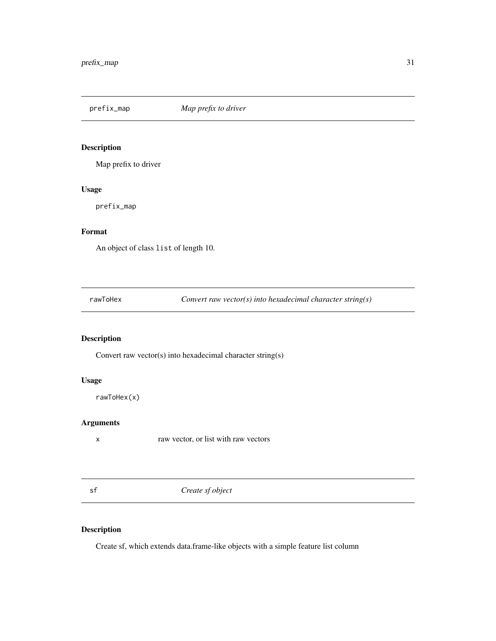<span id="page-30-0"></span>

Map prefix to driver

#### Usage

prefix\_map

# Format

An object of class list of length 10.

rawToHex *Convert raw vector(s) into hexadecimal character string(s)*

# Description

Convert raw vector(s) into hexadecimal character string(s)

# Usage

```
rawToHex(x)
```
# Arguments

x raw vector, or list with raw vectors

<span id="page-30-1"></span>sf *Create sf object*

# <span id="page-30-2"></span>Description

Create sf, which extends data.frame-like objects with a simple feature list column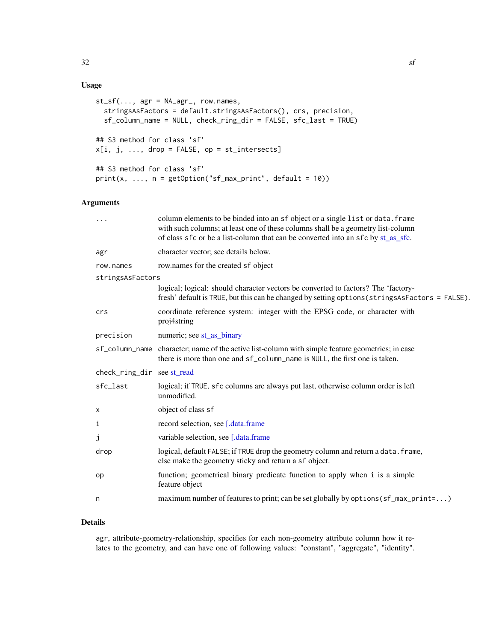# Usage

```
st_s(f(\ldots, agr = NA_agr_-, row.name,stringsAsFactors = default.stringsAsFactors(), crs, precision,
 sf_column_name = NULL, check_ring_dir = FALSE, sfc_last = TRUE)
## S3 method for class 'sf'
x[i, j, ..., drop = FALSE, op = st_interests]## S3 method for class 'sf'
print(x, ..., n = getOption("sf_max\_print", default = 10))
```
# Arguments

| .                          | column elements to be binded into an sf object or a single list or data. frame<br>with such columns; at least one of these columns shall be a geometry list-column<br>of class sfc or be a list-column that can be converted into an sfc by st_as_sfc. |
|----------------------------|--------------------------------------------------------------------------------------------------------------------------------------------------------------------------------------------------------------------------------------------------------|
| agr                        | character vector; see details below.                                                                                                                                                                                                                   |
| row.names                  | row.names for the created sf object                                                                                                                                                                                                                    |
| stringsAsFactors           |                                                                                                                                                                                                                                                        |
|                            | logical; logical: should character vectors be converted to factors? The 'factory-<br>fresh' default is TRUE, but this can be changed by setting options (stringsAsFactors = FALSE).                                                                    |
| crs                        | coordinate reference system: integer with the EPSG code, or character with<br>proj4string                                                                                                                                                              |
| precision                  | numeric; see st_as_binary                                                                                                                                                                                                                              |
|                            | sf_column_name character; name of the active list-column with simple feature geometries; in case<br>there is more than one and sf_column_name is NULL, the first one is taken.                                                                         |
| check_ring_dir see st_read |                                                                                                                                                                                                                                                        |
| sfc_last                   | logical; if TRUE, sfc columns are always put last, otherwise column order is left<br>unmodified.                                                                                                                                                       |
| х                          | object of class sf                                                                                                                                                                                                                                     |
| i                          | record selection, see [.data.frame]                                                                                                                                                                                                                    |
| j                          | variable selection, see [.data.frame]                                                                                                                                                                                                                  |
| drop                       | logical, default FALSE; if TRUE drop the geometry column and return a data. frame,<br>else make the geometry sticky and return a sf object.                                                                                                            |
| op                         | function; geometrical binary predicate function to apply when i is a simple<br>feature object                                                                                                                                                          |
| n                          | maximum number of features to print; can be set globally by options (sf_max_print=)                                                                                                                                                                    |
|                            |                                                                                                                                                                                                                                                        |

# Details

agr, attribute-geometry-relationship, specifies for each non-geometry attribute column how it relates to the geometry, and can have one of following values: "constant", "aggregate", "identity".

 $32$  sf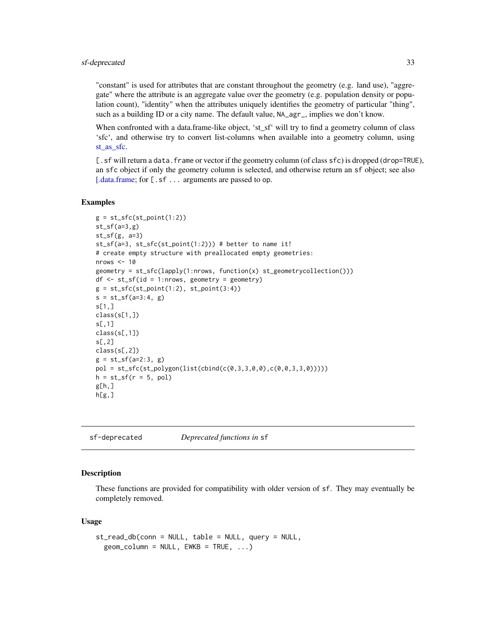# <span id="page-32-0"></span>sf-deprecated 33

"constant" is used for attributes that are constant throughout the geometry (e.g. land use), "aggregate" where the attribute is an aggregate value over the geometry (e.g. population density or population count), "identity" when the attributes uniquely identifies the geometry of particular "thing", such as a building ID or a city name. The default value,  $NA\_\text{agr}$ , implies we don't know.

When confronted with a data.frame-like object, 'st\_sf' will try to find a geometry column of class 'sfc', and otherwise try to convert list-columns when available into a geometry column, using st as sfc.

[.sf will return a data.frame or vector if the geometry column (of class sfc) is dropped (drop=TRUE), an sfc object if only the geometry column is selected, and otherwise return an sf object; see also [\[.data.frame;](#page-0-0) for [.sf ... arguments are passed to op.

#### Examples

```
g = st_sfc(st\_point(1:2))st_s(f(a=3,g))st_s(f(g, a=3))st_sf(a=3, st_sfc(st_point(1:2))) # better to name it!
# create empty structure with preallocated empty geometries:
nrows < -10geometry = st_sfc(lapply(1:nrows, function(x) st_geometrycollection()))
df <- st_sf(id = 1:nrows, geometry = geometry)
g = st_sfc(st\_point(1:2), st\_point(3:4))s = st_s f(a=3:4, g)s[1,]
class(s[1,])
s[,1]
class(s[,1])
s[,2]
class(s[, 2])g = st_s f(a=2:3, g)pol = st_sfc(st_polygon(list(cbind(c(0,3,3,0,0),c(0,0,3,3,0)))))
h = st_s(f(r = 5, pol))g[h,]h[g,]
```
sf-deprecated *Deprecated functions in* sf

#### **Description**

These functions are provided for compatibility with older version of sf. They may eventually be completely removed.

#### Usage

```
st_read_db(conn = NULL, table = NULL, query = NULL,
 geom\_column = NULL, EWKB = TRUE, ...)
```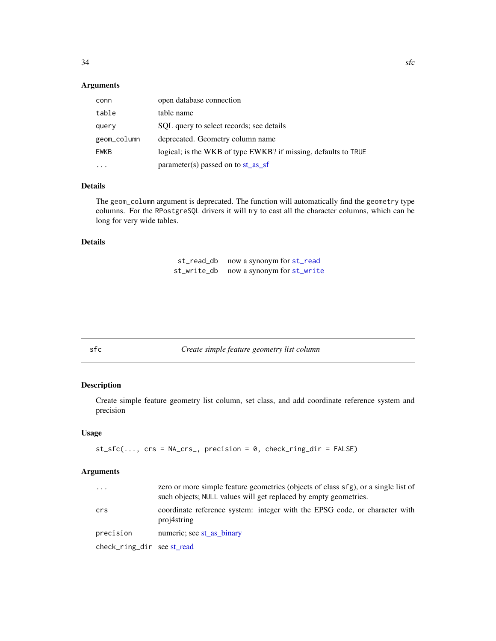# <span id="page-33-0"></span>Arguments

| conn        | open database connection                                       |
|-------------|----------------------------------------------------------------|
| table       | table name                                                     |
| query       | SQL query to select records; see details                       |
| geom_column | deprecated. Geometry column name                               |
| <b>EWKB</b> | logical; is the WKB of type EWKB? if missing, defaults to TRUE |
|             | parameter(s) passed on to $st$ as sf                           |

# Details

The geom\_column argument is deprecated. The function will automatically find the geometry type columns. For the RPostgreSQL drivers it will try to cast all the character columns, which can be long for very wide tables.

#### Details

| st_read_db  | now a synonym for st_read  |
|-------------|----------------------------|
| st_write_db | now a synonym for st_write |

# sfc *Create simple feature geometry list column*

# Description

Create simple feature geometry list column, set class, and add coordinate reference system and precision

# Usage

```
st\_sfc(..., crs = NA\_crs_, precision = 0, check\_ring\_dir = FALSE)
```

| .                           | zero or more simple feature geometries (objects of class sfg), or a single list of<br>such objects; NULL values will get replaced by empty geometries. |
|-----------------------------|--------------------------------------------------------------------------------------------------------------------------------------------------------|
| crs                         | coordinate reference system: integer with the EPSG code, or character with<br>proj4string                                                              |
| precision                   | numeric; see st_as_binary                                                                                                                              |
| check_ring_dir see_st_read_ |                                                                                                                                                        |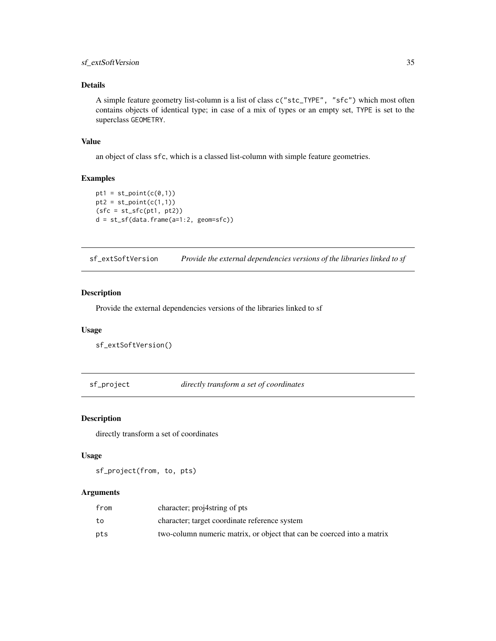# <span id="page-34-0"></span>sf\_extSoftVersion 35

# Details

A simple feature geometry list-column is a list of class c("stc\_TYPE", "sfc") which most often contains objects of identical type; in case of a mix of types or an empty set, TYPE is set to the superclass GEOMETRY.

#### Value

an object of class sfc, which is a classed list-column with simple feature geometries.

# Examples

```
pt1 = st\_point(c(0,1))pt2 = st\_point(c(1,1))(sfc = st_sfc(pt1, pt2))d = st_s(f(data, frame(a=1:2, geom=sfc))
```
sf\_extSoftVersion *Provide the external dependencies versions of the libraries linked to sf*

# Description

Provide the external dependencies versions of the libraries linked to sf

# Usage

sf\_extSoftVersion()

sf\_project *directly transform a set of coordinates*

# Description

directly transform a set of coordinates

#### Usage

sf\_project(from, to, pts)

| from | character; proj4string of pts                                          |
|------|------------------------------------------------------------------------|
| to   | character; target coordinate reference system                          |
| pts  | two-column numeric matrix, or object that can be coerced into a matrix |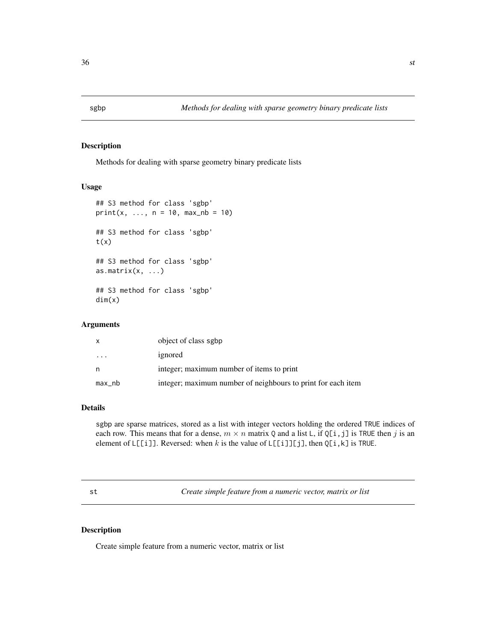<span id="page-35-2"></span><span id="page-35-0"></span>

Methods for dealing with sparse geometry binary predicate lists

# Usage

```
## S3 method for class 'sgbp'
print(x, ..., n = 10, max_n b = 10)## S3 method for class 'sgbp'
t(x)## S3 method for class 'sgbp'
as.matrix(x, \ldots)## S3 method for class 'sgbp'
dim(x)
```
# Arguments

| X                       | object of class sgbp                                         |
|-------------------------|--------------------------------------------------------------|
| $\cdot$ $\cdot$ $\cdot$ | ignored                                                      |
| n                       | integer; maximum number of items to print                    |
| max_nb                  | integer; maximum number of neighbours to print for each item |

#### Details

sgbp are sparse matrices, stored as a list with integer vectors holding the ordered TRUE indices of each row. This means that for a dense,  $m \times n$  matrix Q and a list L, if Q[i,j] is TRUE then j is an element of  $L[[i]]$ . Reversed: when k is the value of  $L[[i]][j]$ , then  $Q[i, k]$  is TRUE.

st *Create simple feature from a numeric vector, matrix or list*

# <span id="page-35-1"></span>Description

Create simple feature from a numeric vector, matrix or list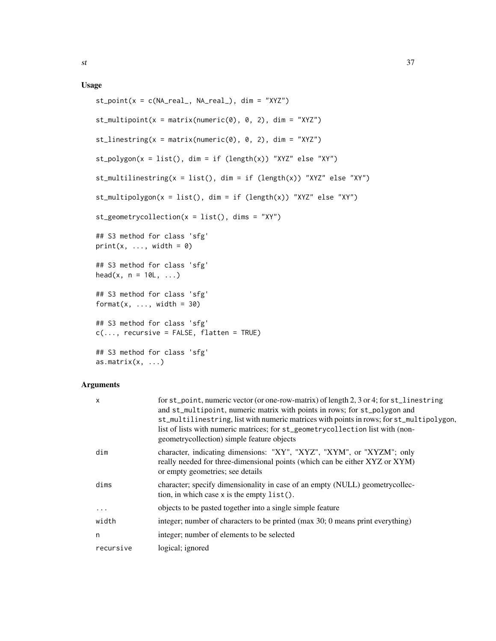# Usage

```
st\_point(x = c(NA\_real_, NA\_real_), dim = "XYZ")st_multipoint(x = matrix(numeric(0), 0, 2), dim = "XYZ")st_linestring(x = matrix(numeric(0), 0, 2), dim = "XYZ")st_polygon(x = list(), dim = if (length(x)) "XYZ" else "XY")
st_multilinestring(x = list(), dim = if (length(x)) "XYZ" else "XY")
st_multipolygon(x = list(), dim = if (length(x)) "XYZ" else "XY")
st_geometrycollection(x = list(), dims = "XY")
## S3 method for class 'sfg'
print(x, ..., width = 0)## S3 method for class 'sfg'
head(x, n = 10L, ...)
## S3 method for class 'sfg'
format(x, \dots, width = 30)
## S3 method for class 'sfg'
c(\ldots, recursive = FALSE, flatten = TRUE)
## S3 method for class 'sfg'
as.matrix(x, \ldots)
```

| X         | for st_point, numeric vector (or one-row-matrix) of length 2, 3 or 4; for st_linestring<br>and st_multipoint, numeric matrix with points in rows; for st_polygon and<br>st_multilinestring, list with numeric matrices with points in rows; for st_multipolygon,<br>list of lists with numeric matrices; for st_geometrycollection list with (non-<br>geometrycollection) simple feature objects |
|-----------|--------------------------------------------------------------------------------------------------------------------------------------------------------------------------------------------------------------------------------------------------------------------------------------------------------------------------------------------------------------------------------------------------|
| dim       | character, indicating dimensions: "XY", "XYZ", "XYM", or "XYZM"; only<br>really needed for three-dimensional points (which can be either XYZ or XYM)<br>or empty geometries; see details                                                                                                                                                                                                         |
| dims      | character; specify dimensionality in case of an empty (NULL) geometrycollec-<br>tion, in which case $x$ is the empty $list()$ .                                                                                                                                                                                                                                                                  |
| $\cdots$  | objects to be pasted together into a single simple feature                                                                                                                                                                                                                                                                                                                                       |
| width     | integer; number of characters to be printed (max 30; 0 means print everything)                                                                                                                                                                                                                                                                                                                   |
| n         | integer; number of elements to be selected                                                                                                                                                                                                                                                                                                                                                       |
| recursive | logical; ignored                                                                                                                                                                                                                                                                                                                                                                                 |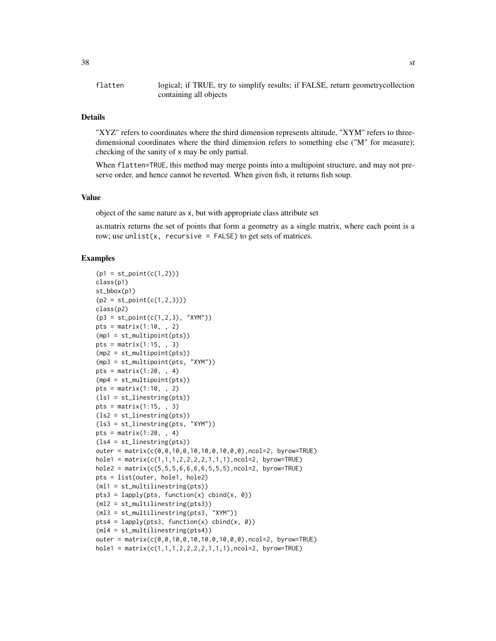### Details

"XYZ" refers to coordinates where the third dimension represents altitude, "XYM" refers to threedimensional coordinates where the third dimension refers to something else ("M" for measure); checking of the sanity of x may be only partial.

When flatten=TRUE, this method may merge points into a multipoint structure, and may not preserve order, and hence cannot be reverted. When given fish, it returns fish soup.

## Value

object of the same nature as x, but with appropriate class attribute set

as.matrix returns the set of points that form a geometry as a single matrix, where each point is a row; use unlist(x, recursive = FALSE) to get sets of matrices.

```
(p1 = st\_point(c(1,2)))class(p1)
st_bbox(p1)
(p2 = st\_point(c(1, 2, 3)))class(p2)
(p3 = st\_point(c(1, 2, 3), "XYM"))pts = matrix(1:10, 2)(mp1 = st_multipoint(pts))
pts = matrix(1:15, , 3)(mp2 = st_multipoint(pts))
(mp3 = st_multipoint(pts, "XYM"))
pts = matrix(1:20, 4)(mp4 = st_multipoint(pts))
pts = matrix(1:10, 2)(ls1 = st_linestring(pts))
pts = matrix(1:15, , 3)(ls2 = st_linestring(pts))
(ls3 = st_linestring(pts, "XYM"))
pts = matrix(1:20, 4)(ls4 = st_linestring(pts))
outer = matrix(c(0,0,10,0,10,10,0,10,0,0),ncol=2, byrow=TRUE)
hole1 = matrix(c(1,1,1,2,2,2,2,1,1,1),ncol=2, byrow=TRUE)
hole2 = matrix(c(5,5,5,6,6,6,6,5,5,5),ncol=2, byrow=TRUE)
pts = list(outer, hole1, hole2)
(ml1 = st_multilinestring(pts))
pts3 = \text{lapply}(pts, function(x) child(x, 0))(ml2 = st_multilinestring(pts3))
(ml3 = st_multilinestring(pts3, "XYM"))
pts4 = lapply(pts3, function(x) child(x, 0))(ml4 = st_multilinestring(pts4))
outer = matrix(c(0,0,10,0,10,10,0,10,0,0),ncol=2, byrow=TRUE)
hole1 = matrix(c(1,1,1,2,2,2,2,1,1,1),ncol=2, byrow=TRUE)
```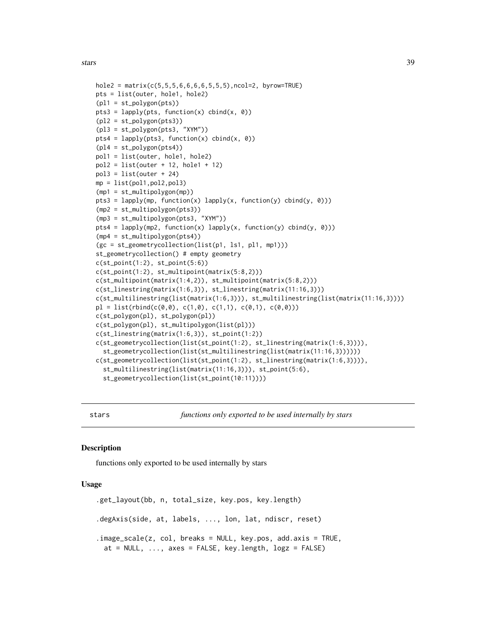stars 39

```
hole2 = matrix(c(5, 5, 5, 6, 6, 6, 6, 5, 5, 5), ncol=2, byrow=True)pts = list(outer, hole1, hole2)
(pl1 = st_polygon(pts))pts3 = lapply(pts, function(x) cbind(x, 0))
(pl2 = st_polygon(pts3))(pl3 = st_polygon(pts3, "XYM"))
pts4 = lapply(pts3, function(x) child(x, 0))(pl4 = st_polygon(pts4))
pol1 = list(outer, hole1, hole2)
pol2 = list(out + 12, hole1 + 12)pol3 = list(out + 24)mp = list(pol1, pol2, pol3)(mp1 = st_multipolygon(mp))
pts3 = lapply(mp, function(x) lapply(x, function(y) cbind(y, 0)))
(mp2 = st_multipolygon(pts3))
(mp3 = st_multipolygon(pts3, "XYM"))
pts4 = lapply(mp2, function(x) lapply(x, function(y) cbind(y, 0)))
(mp4 = st_multipolygon(pts4))
(gc = st_geometrycollection(list(p1, ls1, pl1, mp1)))
st_geometrycollection() # empty geometry
c(st\_point(1:2), st\_point(5:6))c(st_point(1:2), st_multipoint(matrix(5:8,2)))
c(st_multipoint(matrix(1:4,2)), st_multipoint(matrix(5:8,2)))
c(st_linestring(matrix(1:6,3)), st_linestring(matrix(11:16,3)))
c(st_multilinestring(list(matrix(1:6,3))), st_multilinestring(list(matrix(11:16,3))))
pl = list(rbind(c(0,0), c(1,0), c(1,1), c(0,1), c(0,0)))c(st_polygon(pl), st_polygon(pl))
c(st_polygon(pl), st_multipolygon(list(pl)))
c(st_linestring(matrix(1:6,3)), st_point(1:2))
c(st_geometrycollection(list(st_point(1:2), st_linestring(matrix(1:6,3)))),
  st_geometrycollection(list(st_multilinestring(list(matrix(11:16,3))))))
c(st_geometrycollection(list(st_point(1:2), st_linestring(matrix(1:6,3)))),
  st_multilinestring(list(matrix(11:16,3))), st_point(5:6),
  st_geometrycollection(list(st_point(10:11))))
```
stars *functions only exported to be used internally by stars*

#### Description

functions only exported to be used internally by stars

### Usage

```
.get_layout(bb, n, total_size, key.pos, key.length)
.degAxis(side, at, labels, ..., lon, lat, ndiscr, reset)
.image_scale(z, col, breaks = NULL, key.pos, add.axis = TRUE,
 at = NULL, ..., axes = FALSE, key.length, logz = FALSE)
```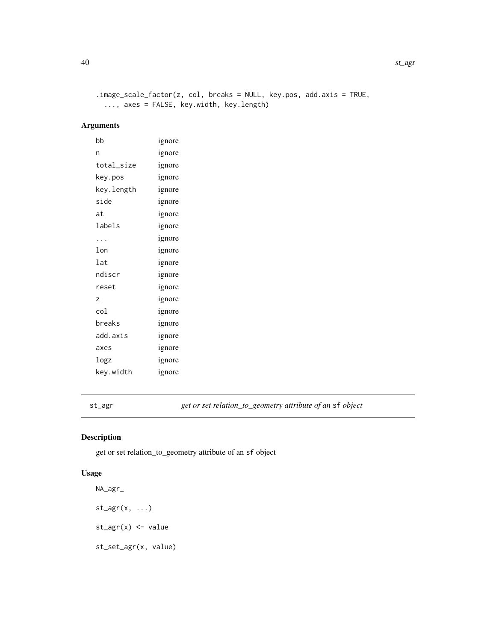```
.image_scale_factor(z, col, breaks = NULL, key.pos, add.axis = TRUE,
 ..., axes = FALSE, key.width, key.length)
```
# Arguments

| bb         | ignore |
|------------|--------|
| n          | ignore |
| total_size | ignore |
| key.pos    | ignore |
| key.length | ignore |
| side       | ignore |
| at         | ignore |
| labels     | ignore |
| .          | ignore |
| lon        | ignore |
| lat        | ignore |
| ndiscr     | ignore |
| reset      | ignore |
| Z          | ignore |
| col        | ignore |
| breaks     | ignore |
| add.axis   | ignore |
| axes       | ignore |
| logz       | ignore |
| key.width  | ignore |

st\_agr *get or set relation\_to\_geometry attribute of an* sf *object*

# Description

get or set relation\_to\_geometry attribute of an sf object

# Usage

```
NA_agr_
st\_\text{agr}(x, \ldots)st_{agr}(x) \leftarrow valuest_set_agr(x, value)
```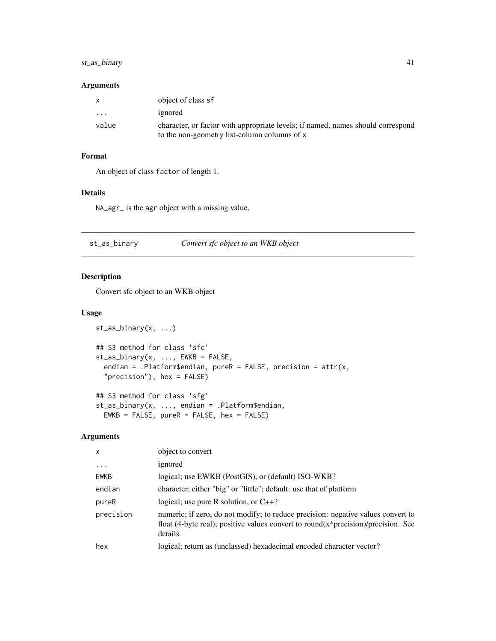# st\_as\_binary 41

### Arguments

| $\mathsf{x}$      | object of class sf                                                              |
|-------------------|---------------------------------------------------------------------------------|
| $\cdot\cdot\cdot$ | ignored                                                                         |
| value             | character, or factor with appropriate levels; if named, names should correspond |
|                   | to the non-geometry list-column columns of x                                    |

# Format

An object of class factor of length 1.

### Details

NA\_agr\_ is the agr object with a missing value.

<span id="page-40-0"></span>st\_as\_binary *Convert sfc object to an WKB object*

# Description

Convert sfc object to an WKB object

### Usage

```
st_as_binary(x, ...)
## S3 method for class 'sfc'
st_as_binary(x, ..., EWKB = FALSE,
 endian = .Platform$endian, pureR = FALSE, precision = attr(x,
  "precision"), hex = FALSE)
## S3 method for class 'sfg'
st_as_binary(x, ..., endian = .Platform$endian,
 EWKB = FALSE, pureR = FALSE, hex = FALSE)
```

| $\mathsf{x}$ | object to convert                                                                                                                                                                      |
|--------------|----------------------------------------------------------------------------------------------------------------------------------------------------------------------------------------|
| $\cdots$     | ignored                                                                                                                                                                                |
| EWKB         | logical; use EWKB (PostGIS), or (default) ISO-WKB?                                                                                                                                     |
| endian       | character; either "big" or "little"; default: use that of platform                                                                                                                     |
| pureR        | logical; use pure R solution, or $C_{++}$ ?                                                                                                                                            |
| precision    | numeric; if zero, do not modify; to reduce precision: negative values convert to<br>float (4-byte real); positive values convert to round( $x^*$ precision)/precision. See<br>details. |
| hex          | logical; return as (unclassed) hexadecimal encoded character vector?                                                                                                                   |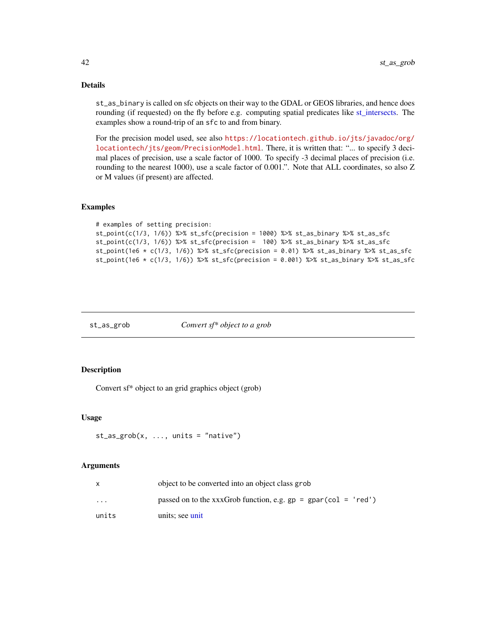# Details

st\_as\_binary is called on sfc objects on their way to the GDAL or GEOS libraries, and hence does rounding (if requested) on the fly before e.g. computing spatial predicates like [st\\_intersects.](#page-13-0) The examples show a round-trip of an sfc to and from binary.

For the precision model used, see also [https://locationtech.github.io/jts/javadoc/org/](https://locationtech.github.io/jts/javadoc/org/locationtech/jts/geom/PrecisionModel.html) [locationtech/jts/geom/PrecisionModel.html](https://locationtech.github.io/jts/javadoc/org/locationtech/jts/geom/PrecisionModel.html). There, it is written that: "... to specify 3 decimal places of precision, use a scale factor of 1000. To specify -3 decimal places of precision (i.e. rounding to the nearest 1000), use a scale factor of 0.001.". Note that ALL coordinates, so also Z or M values (if present) are affected.

#### Examples

```
# examples of setting precision:
st\_point(c(1/3, 1/6)) %>% st\_sfc(precision = 1000) %>% st\_as\_binary %>% st\_as\_sfcst_point(c(1/3, 1/6)) %>% st_sfc(precision = 100) %>% st_as_binary %>% st_as_sfc
st_point(1e6 * c(1/3, 1/6)) %>% st_sfc(precision = 0.01) %>% st_as_binary %>% st_as_sfc
st_point(1e6 \star c(1/3, 1/6)) %>% st_sfc(precision = 0.001) %>% st_as_binary %>% st_as_sfc
```
st\_as\_grob *Convert sf\* object to a grob*

# Description

Convert sf\* object to an grid graphics object (grob)

### Usage

```
st_as\_grob(x, ..., units = "native")
```

|                         | object to be converted into an object class grob                 |  |
|-------------------------|------------------------------------------------------------------|--|
| $\cdot$ $\cdot$ $\cdot$ | passed on to the xxxGrob function, e.g. $gp = gpar(col = 'red')$ |  |
| units                   | units; see unit                                                  |  |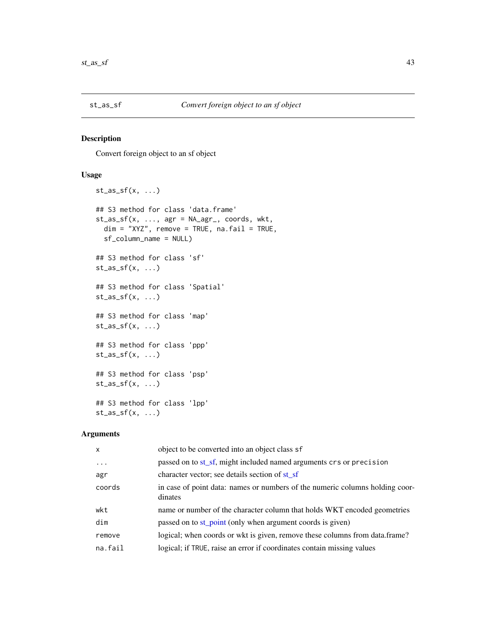# Description

Convert foreign object to an sf object

# Usage

```
st\_as\_sf(x, ...)## S3 method for class 'data.frame'
st\_{as\_sf}(x, \ldots, \text{agr} = \text{NA}\_{agr\_}, \text{coords}, \text{wkt},dim = "XYZ", remove = TRUE, na.fail = TRUE,
  sf_column_name = NULL)
## S3 method for class 'sf'
st\_as\_sf(x, ...)## S3 method for class 'Spatial'
st\_as\_sf(x, \ldots)## S3 method for class 'map'
st\_as\_sf(x, ...)## S3 method for class 'ppp'
st\_as\_sf(x, ...)## S3 method for class 'psp'
st\_as\_sf(x, ...)## S3 method for class 'lpp'
st\_as\_sf(x, ...)
```

| $\mathsf{x}$ | object to be converted into an object class sf                                          |
|--------------|-----------------------------------------------------------------------------------------|
| $\cdots$     | passed on to st_sf, might included named arguments crs or precision                     |
| agr          | character vector; see details section of st sf                                          |
| coords       | in case of point data: names or numbers of the numeric columns holding coor-<br>dinates |
| wkt          | name or number of the character column that holds WKT encoded geometries                |
| dim          | passed on to st_point (only when argument coords is given)                              |
| remove       | logical; when coords or wkt is given, remove these columns from data.frame?             |
| na.fail      | logical; if TRUE, raise an error if coordinates contain missing values                  |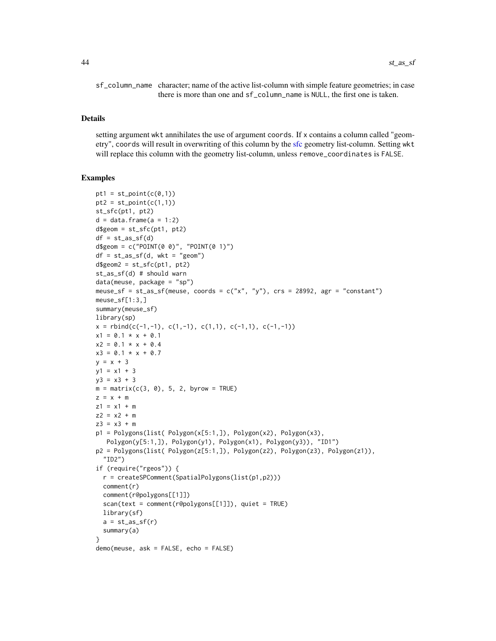sf\_column\_name character; name of the active list-column with simple feature geometries; in case there is more than one and sf\_column\_name is NULL, the first one is taken.

#### Details

setting argument wkt annihilates the use of argument coords. If x contains a column called "geometry", coords will result in overwriting of this column by the [sfc](#page-33-0) geometry list-column. Setting wkt will replace this column with the geometry list-column, unless remove\_coordinates is FALSE.

```
pt1 = st\_point(c(0,1))pt2 = st\_point(c(1,1))st_sfc(pt1, pt2)
d = data.frame(a = 1:2)d$geom = st_sfc(pt1, pt2)df = st_as_s(f(d))d$geom = c("P0INT(0 0)", "P0INT(0 1)")df = st_as_s f(d, wkt = "geom")d$geom2 = st_sfc(pt1, pt2)st_as_sf(d) # should warn
data(meuse, package = "sp")
meuse_sf = st_as_sf(meuse, coords = c("x", "y"), crs = 28992, agr = "constant")
meuse_sf[1:3,]
summary(meuse_sf)
library(sp)
x = \text{rbind}(c(-1,-1), c(1,-1), c(1,1), c(-1,1), c(-1,-1))x1 = 0.1 + x + 0.1x2 = 0.1 \times x + 0.4x3 = 0.1 \times x + 0.7y = x + 3y1 = x1 + 3y3 = x3 + 3m = matrix(c(3, 0), 5, 2, byrow = TRUE)z = x + mz1 = x1 + mz2 = x2 + mz3 = x3 + mp1 = Polygons(list( Polygon(x[5:1,]), Polygon(x2), Polygon(x3),
   Polygon(y[5:1,]), Polygon(y1), Polygon(x1), Polygon(y3)), "ID1")
p2 = Polygons(list( Polygon(z[5:1,]), Polygon(z2), Polygon(z3), Polygon(z1)),
  "ID2")
if (require("rgeos")) {
  r = createSPComment(SpatialPolygons(list(p1,p2)))
  comment(r)
  comment(r@polygons[[1]])
  scan(text = comment(r@polygons[[1]]), quiet = TRUE)
  library(sf)
  a = st_as_sf(r)summary(a)
}
demo(meuse, ask = FALSE, echo = FALSE)
```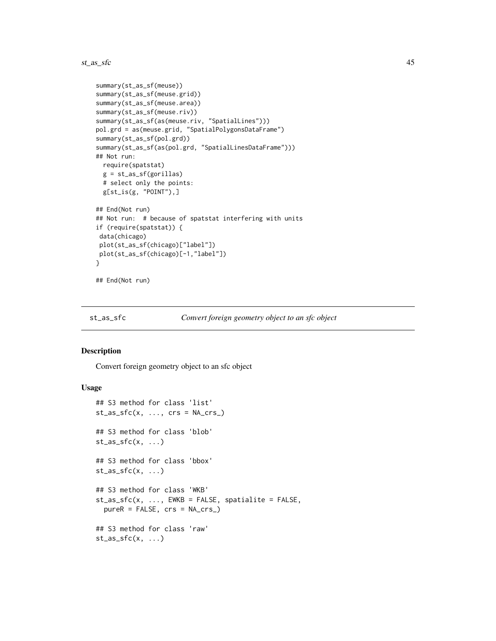```
summary(st_as_sf(meuse))
summary(st_as_sf(meuse.grid))
summary(st_as_sf(meuse.area))
summary(st_as_sf(meuse.riv))
summary(st_as_sf(as(meuse.riv, "SpatialLines")))
pol.grd = as(meuse.grid, "SpatialPolygonsDataFrame")
summary(st_as_sf(pol.grd))
summary(st_as_sf(as(pol.grd, "SpatialLinesDataFrame")))
## Not run:
 require(spatstat)
 g = st_as_sf(gorillas)
 # select only the points:
 g[st_is(g, "POINT"),]
## End(Not run)
## Not run: # because of spatstat interfering with units
if (require(spatstat)) {
data(chicago)
plot(st_as_sf(chicago)["label"])
plot(st_as_sf(chicago)[-1,"label"])
}
## End(Not run)
```
<span id="page-44-0"></span>

```
st_as_sfc Convert foreign geometry object to an sfc object
```
### Description

Convert foreign geometry object to an sfc object

#### Usage

```
## S3 method for class 'list'
st\_as\_sfc(x, \ldots, \text{crs} = \text{NA\_crs})## S3 method for class 'blob'
st\_as\_sfc(x, \ldots)## S3 method for class 'bbox'
st_{as\_sfc(x, \ldots)}## S3 method for class 'WKB'
st\_as\_sfc(x, ..., EWKB = FALSE, spatialite = FALSE,pureR = FALSE, crs = NA_crs_)
## S3 method for class 'raw'
st\_as\_sfc(x, \ldots)
```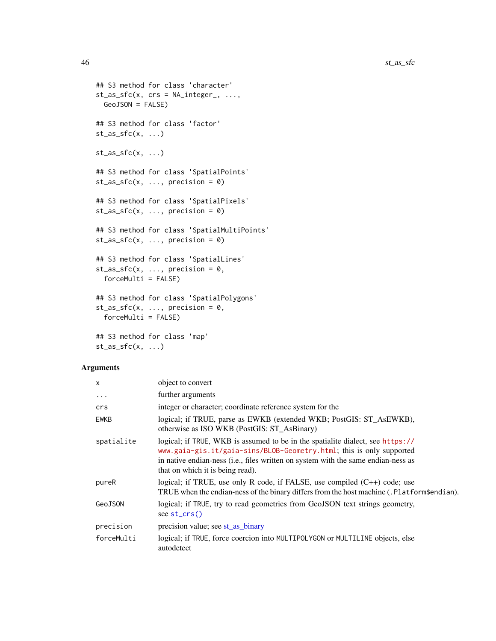```
## S3 method for class 'character'
st\_as\_sfc(x, crs = NA\_integer_1, ...,GeoJSON = FALSE)
## S3 method for class 'factor'
st\_as\_sfc(x, ...)st\_as\_sfc(x, \ldots)## S3 method for class 'SpatialPoints'
st_as_sfc(x, ..., precision = 0)
## S3 method for class 'SpatialPixels'
st\_as\_sfc(x, ..., precision = 0)## S3 method for class 'SpatialMultiPoints'
st_as_sfc(x, ..., precision = 0)## S3 method for class 'SpatialLines'
st\_as\_sfc(x, ..., precision = 0,forceMulti = FALSE)
## S3 method for class 'SpatialPolygons'
st\_as\_sfc(x, ..., precision = 0,forceMulti = FALSE)
## S3 method for class 'map'
st\_as\_sfc(x, \ldots)
```

| X          | object to convert                                                                                                                                                                                                                                                               |
|------------|---------------------------------------------------------------------------------------------------------------------------------------------------------------------------------------------------------------------------------------------------------------------------------|
| $\cdots$   | further arguments                                                                                                                                                                                                                                                               |
| crs        | integer or character; coordinate reference system for the                                                                                                                                                                                                                       |
| EWKB       | logical; if TRUE, parse as EWKB (extended WKB; PostGIS: ST_AsEWKB),<br>otherwise as ISO WKB (PostGIS: ST_AsBinary)                                                                                                                                                              |
| spatialite | logical; if TRUE, WKB is assumed to be in the spatialite dialect, see https://<br>www.gaia-gis.it/gaia-sins/BLOB-Geometry.html; this is only supported<br>in native endian-ness (i.e., files written on system with the same endian-ness as<br>that on which it is being read). |
| pureR      | logical; if TRUE, use only R code, if FALSE, use compiled $(C++)$ code; use<br>TRUE when the endian-ness of the binary differs from the host machine (. Platform\$endian).                                                                                                      |
| GeoJSON    | logical; if TRUE, try to read geometries from GeoJSON text strings geometry,<br>$see st_crs()$                                                                                                                                                                                  |
| precision  | precision value; see st_as_binary                                                                                                                                                                                                                                               |
| forceMulti | logical; if TRUE, force coercion into MULTIPOLYGON or MULTILINE objects, else<br>autodetect                                                                                                                                                                                     |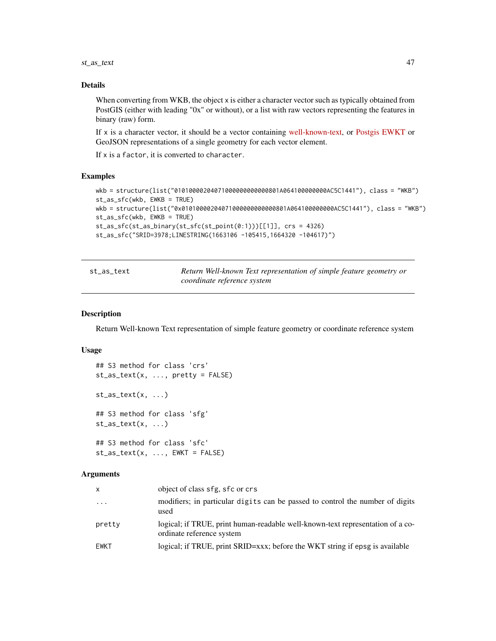st\_as\_text 47

### Details

When converting from WKB, the object x is either a character vector such as typically obtained from PostGIS (either with leading "0x" or without), or a list with raw vectors representing the features in binary (raw) form.

If x is a character vector, it should be a vector containing [well-known-text,](http://www.opengeospatial.org/standards/wkt-crs) or [Postgis EWKT](http://postgis.refractions.net/docs/using_postgis_dbmanagement.html#EWKB_EWKT) or GeoJSON representations of a single geometry for each vector element.

If x is a factor, it is converted to character.

### Examples

```
wkb = structure(list("01010000204071000000000000801A064100000000AC5C1441"), class = "WKB")
st_as_sfc(wkb, EWKB = TRUE)
wkb = structure(list("0x01010000204071000000000000801A064100000000AC5C1441"), class = "WKB")
st_as_sfc(wkb, EWKB = TRUE)
st_as_sfc(st_as_binary(st_sfc(st_point(0:1)))[[1]], crs = 4326)
st_as_sfc("SRID=3978;LINESTRING(1663106 -105415,1664320 -104617)")
```

| st_as_text | Return Well-known Text representation of simple feature geometry or |
|------------|---------------------------------------------------------------------|
|            | coordinate reference system                                         |

### Description

Return Well-known Text representation of simple feature geometry or coordinate reference system

### Usage

```
## S3 method for class 'crs'
st_as\_text(x, ..., pretty = FALSE)st\_as\_text(x, ...)## S3 method for class 'sfg'
st\_as\_text(x, ...)## S3 method for class 'sfc'
```
 $st\_as\_text(x, ..., EWKT = FALSE)$ 

| X           | object of class sfg, sfc or crs                                                                             |
|-------------|-------------------------------------------------------------------------------------------------------------|
| $\cdot$     | modifiers; in particular digits can be passed to control the number of digits<br>used                       |
| pretty      | logical; if TRUE, print human-readable well-known-text representation of a co-<br>ordinate reference system |
| <b>EWKT</b> | logical; if TRUE, print SRID=xxx; before the WKT string if epsg is available                                |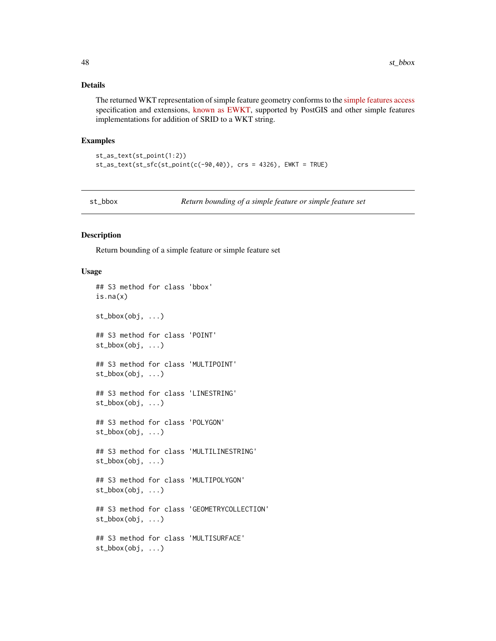## Details

The returned WKT representation of simple feature geometry conforms to the [simple features access](http://www.opengeospatial.org/standards/sfa) specification and extensions, [known as EWKT,](http://postgis.net/docs/using_postgis_dbmanagement.html#EWKB_EWKT) supported by PostGIS and other simple features implementations for addition of SRID to a WKT string.

### Examples

```
st_as_text(st_point(1:2))
st_as_text(st_sfc(st_point(c(-90,40)), crs = 4326), EWKT = TRUE)
```
<span id="page-47-0"></span>st\_bbox *Return bounding of a simple feature or simple feature set*

## Description

Return bounding of a simple feature or simple feature set

# Usage

```
## S3 method for class 'bbox'
is.na(x)
st_bbox(obj, ...)
## S3 method for class 'POINT'
st_bbox(obj, ...)
## S3 method for class 'MULTIPOINT'
st_bbox(obj, ...)
## S3 method for class 'LINESTRING'
st_bbox(obj, ...)
## S3 method for class 'POLYGON'
st_bbox(obj, ...)
## S3 method for class 'MULTILINESTRING'
st_bbox(obj, ...)
## S3 method for class 'MULTIPOLYGON'
st_bbox(obj, ...)
## S3 method for class 'GEOMETRYCOLLECTION'
st_bbox(obj, ...)
## S3 method for class 'MULTISURFACE'
st_bbox(obj, ...)
```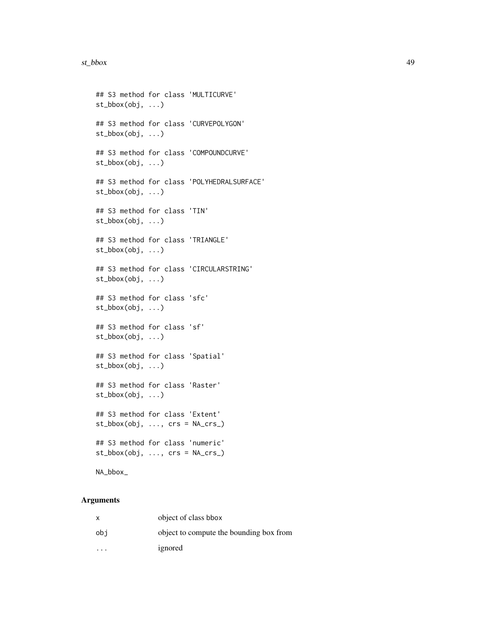```
## S3 method for class 'MULTICURVE'
st_bbox(obj, ...)
## S3 method for class 'CURVEPOLYGON'
st_bbox(obj, ...)
## S3 method for class 'COMPOUNDCURVE'
st_bbox(obj, ...)
## S3 method for class 'POLYHEDRALSURFACE'
st_bbox(obj, ...)
## S3 method for class 'TIN'
st_bbox(obj, ...)
## S3 method for class 'TRIANGLE'
st_bbox(obj, ...)
## S3 method for class 'CIRCULARSTRING'
st_bbox(obj, ...)
## S3 method for class 'sfc'
st_bbox(obj, ...)
## S3 method for class 'sf'
st_bbox(obj, ...)
## S3 method for class 'Spatial'
st_bbox(obj, ...)
## S3 method for class 'Raster'
st_bbox(obj, ...)
## S3 method for class 'Extent'
st_bbox(obj, ..., crs = NA_crs_)
## S3 method for class 'numeric'
st_bbox(obj, ..., crs = NA_crs_)
```
### Arguments

NA\_bbox\_

| $\times$ | object of class bbox                    |
|----------|-----------------------------------------|
| obi      | object to compute the bounding box from |
| .        | ignored                                 |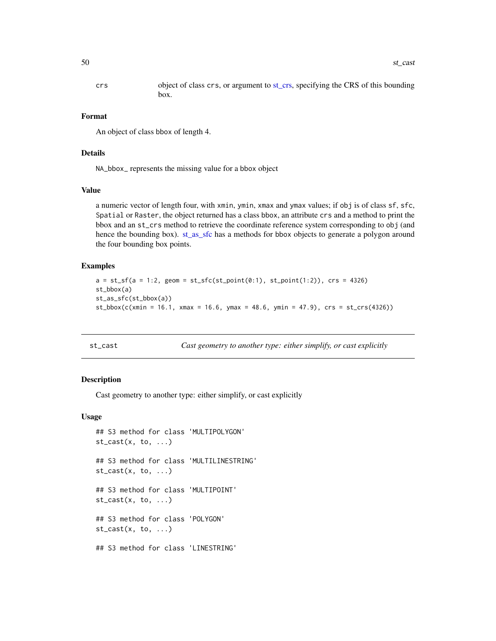crs object of class crs, or argument to [st\\_crs,](#page-55-0) specifying the CRS of this bounding box.

### Format

An object of class bbox of length 4.

### Details

NA\_bbox\_ represents the missing value for a bbox object

### Value

a numeric vector of length four, with xmin, ymin, xmax and ymax values; if obj is of class sf, sfc, Spatial or Raster, the object returned has a class bbox, an attribute crs and a method to print the bbox and an st\_crs method to retrieve the coordinate reference system corresponding to obj (and hence the bounding box). [st\\_as\\_sfc](#page-44-0) has a methods for bbox objects to generate a polygon around the four bounding box points.

### Examples

```
a = st_s f(a = 1:2, geom = st_s f c(st_point(0:1), st_point(1:2)), crs = 4326)st_bbox(a)
st_as_sfc(st_bbox(a))
st_bbox(c(xmin = 16.1, xmax = 16.6, ymax = 48.6, ymin = 47.9), crs = st_ccrs(4326))
```
<span id="page-49-0"></span>

st\_cast *Cast geometry to another type: either simplify, or cast explicitly*

### Description

Cast geometry to another type: either simplify, or cast explicitly

#### Usage

```
## S3 method for class 'MULTIPOLYGON'
st\_cast(x, to, \ldots)## S3 method for class 'MULTILINESTRING'
st\_cast(x, to, ...)## S3 method for class 'MULTIPOINT'
st\_cast(x, to, \ldots)## S3 method for class 'POLYGON'
st\_cast(x, to, ...)## S3 method for class 'LINESTRING'
```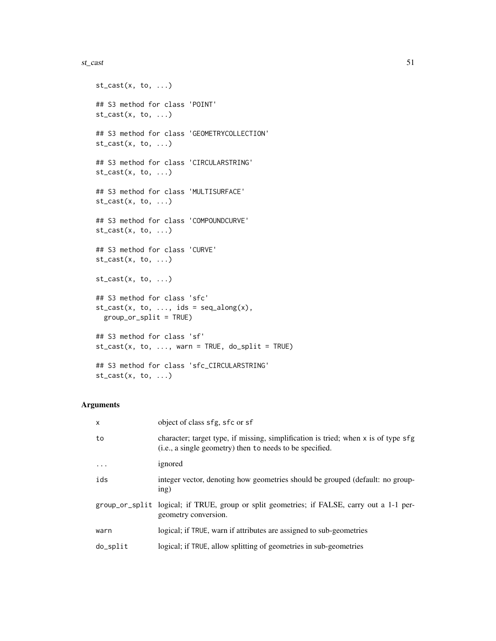#### st\_cast 51

```
st\_cast(x, to, ...)## S3 method for class 'POINT'
st\_cast(x, to, ...)## S3 method for class 'GEOMETRYCOLLECTION'
st\_cast(x, to, \ldots)## S3 method for class 'CIRCULARSTRING'
st\_cast(x, to, ...)## S3 method for class 'MULTISURFACE'
st\_cast(x, to, ...)## S3 method for class 'COMPOUNDCURVE'
st\_cast(x, to, ...)## S3 method for class 'CURVE'
st\_cast(x, to, ...)st\_cast(x, to, ...)## S3 method for class 'sfc'
st\_cast(x, to, ...,ids = seq\_along(x),group_or_split = TRUE)
## S3 method for class 'sf'
st\_cast(x, to, ..., warn = TRUE, do\_split = TRUE)## S3 method for class 'sfc_CIRCULARSTRING'
```
 $st\_cast(x, to, ...)$ 

| $\mathsf{x}$ | object of class sfg, sfc or sf                                                                                                                 |
|--------------|------------------------------------------------------------------------------------------------------------------------------------------------|
| to           | character; target type, if missing, simplification is tried; when x is of type sfg<br>(i.e., a single geometry) then to needs to be specified. |
| $\ddotsc$    | ignored                                                                                                                                        |
| ids          | integer vector, denoting how geometries should be grouped (default: no group-<br>ing)                                                          |
|              | group_or_split logical; if TRUE, group or split geometries; if FALSE, carry out a 1-1 per-<br>geometry conversion.                             |
| warn         | logical; if TRUE, warn if attributes are assigned to sub-geometries                                                                            |
| do_split     | logical; if TRUE, allow splitting of geometries in sub-geometries                                                                              |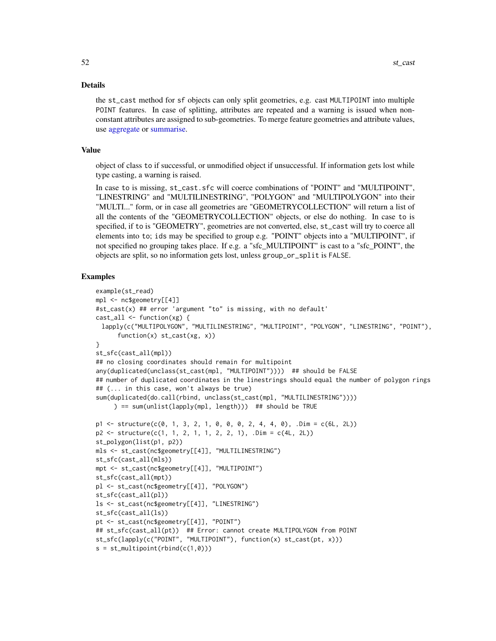### Details

the st\_cast method for sf objects can only split geometries, e.g. cast MULTIPOINT into multiple POINT features. In case of splitting, attributes are repeated and a warning is issued when nonconstant attributes are assigned to sub-geometries. To merge feature geometries and attribute values, use [aggregate](#page-3-0) or [summarise.](#page-85-0)

### Value

object of class to if successful, or unmodified object if unsuccessful. If information gets lost while type casting, a warning is raised.

In case to is missing, st\_cast.sfc will coerce combinations of "POINT" and "MULTIPOINT", "LINESTRING" and "MULTILINESTRING", "POLYGON" and "MULTIPOLYGON" into their "MULTI..." form, or in case all geometries are "GEOMETRYCOLLECTION" will return a list of all the contents of the "GEOMETRYCOLLECTION" objects, or else do nothing. In case to is specified, if to is "GEOMETRY", geometries are not converted, else, st\_cast will try to coerce all elements into to; ids may be specified to group e.g. "POINT" objects into a "MULTIPOINT", if not specified no grouping takes place. If e.g. a "sfc\_MULTIPOINT" is cast to a "sfc\_POINT", the objects are split, so no information gets lost, unless group\_or\_split is FALSE.

```
example(st_read)
mpl <- nc$geometry[[4]]
#st_cast(x) ## error 'argument "to" is missing, with no default'
cast\_all \leq function(xg) {
 lapply(c("MULTIPOLYGON", "MULTILINESTRING", "MULTIPOINT", "POLYGON", "LINESTRING", "POINT"),
      function(x) st_cast(xg, x))
}
st_sfc(cast_all(mpl))
## no closing coordinates should remain for multipoint
any(duplicated(unclass(st_cast(mpl, "MULTIPOINT")))) ## should be FALSE
## number of duplicated coordinates in the linestrings should equal the number of polygon rings
## (... in this case, won't always be true)
sum(duplicated(do.call(rbind, unclass(st_cast(mpl, "MULTILINESTRING"))))
     ) == sum(unlist(lapply(mpl, length))) ## should be TRUE
p1 <- structure(c(0, 1, 3, 2, 1, 0, 0, 0, 2, 4, 4, 0), .Dim = c(6L, 2L))
p2 \le structure(c(1, 1, 2, 1, 1, 2, 2, 1), .Dim = c(4L, 2L))
st_polygon(list(p1, p2))
mls <- st_cast(nc$geometry[[4]], "MULTILINESTRING")
st_sfc(cast_all(mls))
mpt <- st_cast(nc$geometry[[4]], "MULTIPOINT")
st_sfc(cast_all(mpt))
pl <- st_cast(nc$geometry[[4]], "POLYGON")
st_sfc(cast_all(pl))
ls <- st_cast(nc$geometry[[4]], "LINESTRING")
st_sfc(cast_all(ls))
pt <- st_cast(nc$geometry[[4]], "POINT")
## st_sfc(cast_all(pt)) ## Error: cannot create MULTIPOLYGON from POINT
st_sfc(lapply(c("POINT", "MULTIPOINT"), function(x) st_cast(pt, x)))
s = st_multipoint(rbind(c(1,0)))
```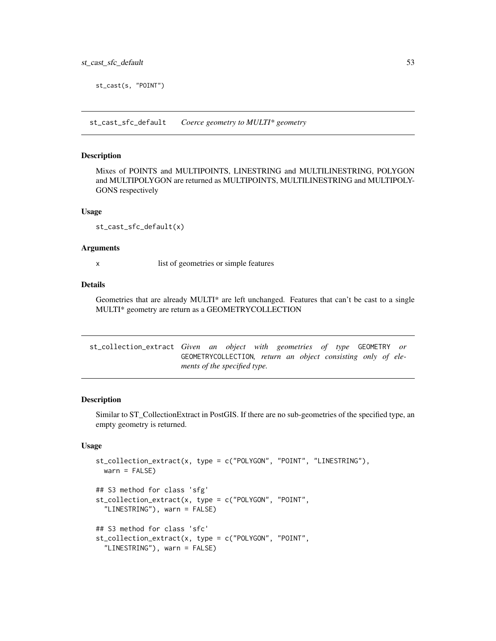st\_cast(s, "POINT")

st\_cast\_sfc\_default *Coerce geometry to MULTI\* geometry*

### Description

Mixes of POINTS and MULTIPOINTS, LINESTRING and MULTILINESTRING, POLYGON and MULTIPOLYGON are returned as MULTIPOINTS, MULTILINESTRING and MULTIPOLY-GONS respectively

#### Usage

st\_cast\_sfc\_default(x)

### Arguments

x list of geometries or simple features

## Details

Geometries that are already MULTI\* are left unchanged. Features that can't be cast to a single MULTI\* geometry are return as a GEOMETRYCOLLECTION

st\_collection\_extract *Given an object with geometries of type* GEOMETRY *or* GEOMETRYCOLLECTION*, return an object consisting only of elements of the specified type.*

### Description

Similar to ST\_CollectionExtract in PostGIS. If there are no sub-geometries of the specified type, an empty geometry is returned.

### Usage

```
st_collection_extract(x, type = c("POLYGON", "POINT", "LINESTRING"),
 wan = FALSE)
## S3 method for class 'sfg'
st_collection_extract(x, type = c("POLYGON", "POINT",
  "LINESTRING"), warn = FALSE)
## S3 method for class 'sfc'
st_collection_extract(x, type = c("POLYGON", "POINT",
 "LINESTRING"), warn = FALSE)
```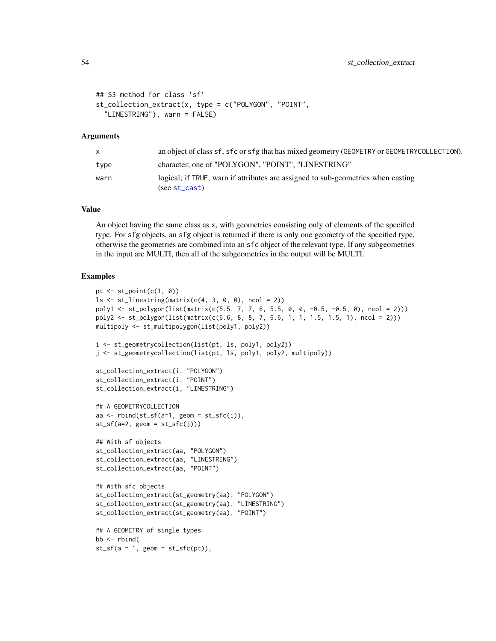```
## S3 method for class 'sf'
st_collection_extract(x, type = c("POLYGON", "POINT",
  "LINESTRING"), warn = FALSE)
```
#### Arguments

| <b>X</b> | an object of class sf, sfc or sfg that has mixed geometry (GEOMETRY or GEOMETRYCOLLECTION).         |
|----------|-----------------------------------------------------------------------------------------------------|
| type     | character; one of "POLYGON", "POINT", "LINESTRING"                                                  |
| warn     | logical; if TRUE, warn if attributes are assigned to sub-geometries when casting<br>$(see st_cast)$ |

# Value

An object having the same class as x, with geometries consisting only of elements of the specified type. For sfg objects, an sfg object is returned if there is only one geometry of the specified type, otherwise the geometries are combined into an sfc object of the relevant type. If any subgeometries in the input are MULTI, then all of the subgeometries in the output will be MULTI.

```
pt \le st_point(c(1, 0))
ls \leftarrow st\_linesring(matrix(c(4, 3, 0, 0), ncol = 2))poly1 <- st_polygon(list(matrix(c(5.5, 7, 7, 6, 5.5, 0, 0, -0.5, -0.5, 0), ncol = 2)))
poly2 <- st_polygon(list(matrix(c(6.6, 8, 8, 7, 6.6, 1, 1, 1.5, 1.5, 1), ncol = 2)))
multipoly <- st_multipolygon(list(poly1, poly2))
i <- st_geometrycollection(list(pt, ls, poly1, poly2))
j <- st_geometrycollection(list(pt, ls, poly1, poly2, multipoly))
st_collection_extract(i, "POLYGON")
st_collection_extract(i, "POINT")
st_collection_extract(i, "LINESTRING")
## A GEOMETRYCOLLECTION
aa \le rbind(st_sf(a=1, geom = st_sfc(i)),
st_s(f(a=2, geom = st_sfc(j)))## With sf objects
st_collection_extract(aa, "POLYGON")
st_collection_extract(aa, "LINESTRING")
st_collection_extract(aa, "POINT")
## With sfc objects
st_collection_extract(st_geometry(aa), "POLYGON")
st_collection_extract(st_geometry(aa), "LINESTRING")
st_collection_extract(st_geometry(aa), "POINT")
## A GEOMETRY of single types
bb \leftarrow rbind(
st_s(f(a = 1, geom = st_sfc(pt)),
```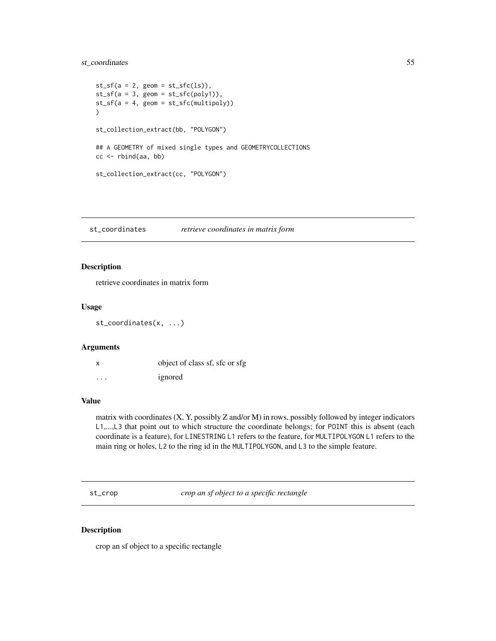## st\_coordinates 55

```
st_s(f(a = 2, geom = st_sfc(1s)),st_s(f(a = 3, geom = st_sfc(poly1)),st_sf(a = 4, geom = st_sfc(multipoly))
\lambdast_collection_extract(bb, "POLYGON")
## A GEOMETRY of mixed single types and GEOMETRYCOLLECTIONS
cc <- rbind(aa, bb)
st_collection_extract(cc, "POLYGON")
```
st\_coordinates *retrieve coordinates in matrix form*

# Description

retrieve coordinates in matrix form

# Usage

st\_coordinates(x, ...)

# Arguments

| X        | object of class sf, sfc or sfg |
|----------|--------------------------------|
| $\cdots$ | ignored                        |

## Value

matrix with coordinates (X, Y, possibly Z and/or M) in rows, possibly followed by integer indicators L1,...,L3 that point out to which structure the coordinate belongs; for POINT this is absent (each coordinate is a feature), for LINESTRING L1 refers to the feature, for MULTIPOLYGON L1 refers to the main ring or holes, L2 to the ring id in the MULTIPOLYGON, and L3 to the simple feature.

st\_crop *crop an sf object to a specific rectangle*

## Description

crop an sf object to a specific rectangle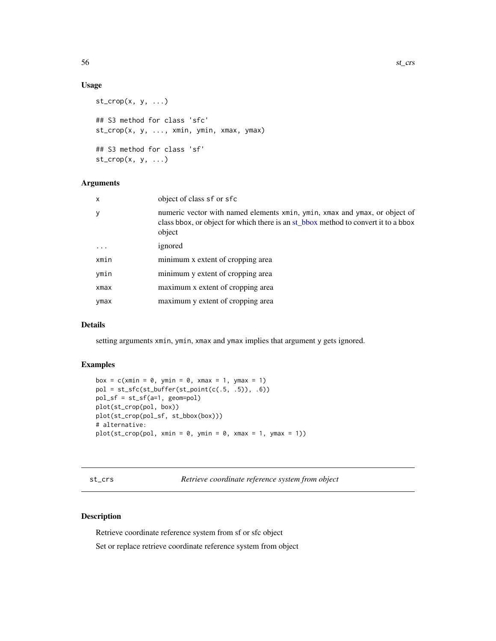# Usage

```
st\_crop(x, y, ...)## S3 method for class 'sfc'
st_crop(x, y, ..., xmin, ymin, xmax, ymax)
## S3 method for class 'sf'
st\_crop(x, y, ...)
```
## Arguments

| $\mathsf{x}$ | object of class sf or sfc                                                                                                                                                  |
|--------------|----------------------------------------------------------------------------------------------------------------------------------------------------------------------------|
| y            | numeric vector with named elements xmin, ymin, xmax and ymax, or object of<br>class bbox, or object for which there is an st_bbox method to convert it to a bbox<br>object |
|              | ignored                                                                                                                                                                    |
| xmin         | minimum x extent of cropping area                                                                                                                                          |
| ymin         | minimum y extent of cropping area                                                                                                                                          |
| xmax         | maximum x extent of cropping area                                                                                                                                          |
| ymax         | maximum y extent of cropping area                                                                                                                                          |
|              |                                                                                                                                                                            |

## Details

setting arguments xmin, ymin, xmax and ymax implies that argument y gets ignored.

# Examples

```
box = c(xmin = 0, ymin = 0, xmax = 1, ymax = 1)pol = st_sfc(st_buffer(st_point(c(.5, .5)), .6))pol_sf = st_sf(a=1, geom=pol)
plot(st_crop(pol, box))
plot(st_crop(pol_sf, st_bbox(box)))
# alternative:
plot(st_crop(pol, xmin = 0, ymin = 0, xmax = 1, ymax = 1))
```
<span id="page-55-0"></span>st\_crs *Retrieve coordinate reference system from object*

# Description

Retrieve coordinate reference system from sf or sfc object

Set or replace retrieve coordinate reference system from object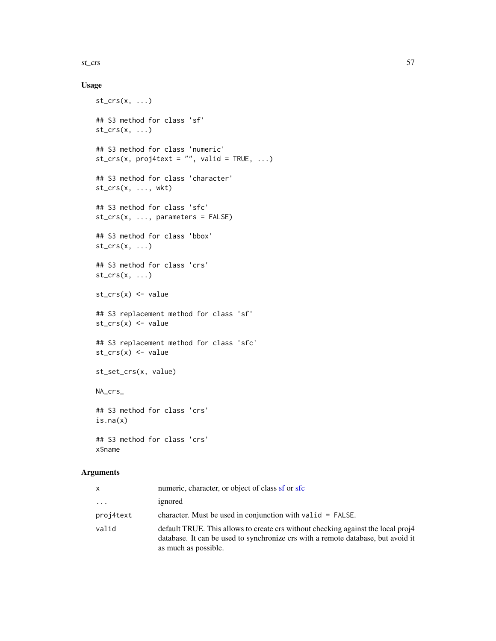### st\_crs 57

# Usage

```
st\_crs(x, \ldots)## S3 method for class 'sf'
st\_crs(x, \ldots)## S3 method for class 'numeric'
st\_crs(x, projecttext{ = } "", valid = TRUE, ...)## S3 method for class 'character'
st_crs(x, ..., wkt)
## S3 method for class 'sfc'
st_crs(x, ..., parameters = FALSE)
## S3 method for class 'bbox'
st\_crs(x, \ldots)## S3 method for class 'crs'
st\_crs(x, \ldots)st\_crs(x) \leftarrow value## S3 replacement method for class 'sf'
st\_crs(x) \leftarrow value## S3 replacement method for class 'sfc'
st\_crs(x) \leftarrow valuest_set_crs(x, value)
NA_crs_
## S3 method for class 'crs'
is.na(x)
## S3 method for class 'crs'
x$name
```

| x         | numeric, character, or object of class sf or sfc                                                                                                                                             |
|-----------|----------------------------------------------------------------------------------------------------------------------------------------------------------------------------------------------|
| $\cdots$  | ignored                                                                                                                                                                                      |
| proj4text | character. Must be used in conjunction with valid $=$ FALSE.                                                                                                                                 |
| valid     | default TRUE. This allows to create crs without checking against the local proj4<br>database. It can be used to synchronize crs with a remote database, but avoid it<br>as much as possible. |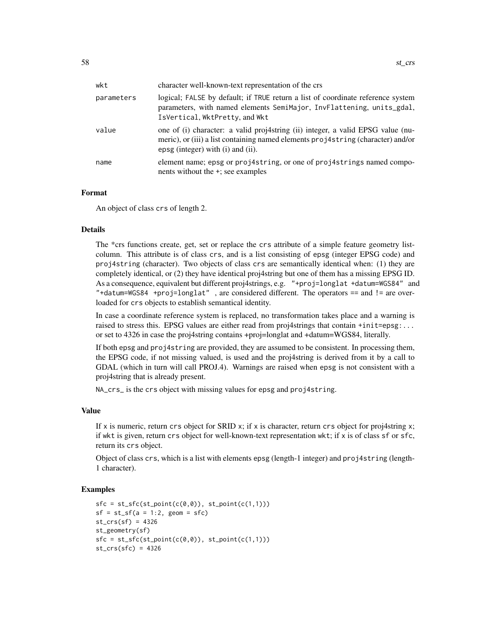| wkt        | character well-known-text representation of the crs                                                                                                                                                      |
|------------|----------------------------------------------------------------------------------------------------------------------------------------------------------------------------------------------------------|
| parameters | logical; FALSE by default; if TRUE return a list of coordinate reference system<br>parameters, with named elements SemiMajor, InvFlattening, units_gdal,<br>IsVertical, WktPretty, and Wkt               |
| value      | one of (i) character: a valid proj4string (ii) integer, a valid EPSG value (nu-<br>meric), or (iii) a list containing named elements proj4string (character) and/or<br>epsg (integer) with (i) and (ii). |
| name       | element name; epsg or proj4string, or one of proj4strings named compo-<br>nents without the +; see examples                                                                                              |

### Format

An object of class crs of length 2.

#### Details

The \*crs functions create, get, set or replace the crs attribute of a simple feature geometry listcolumn. This attribute is of class crs, and is a list consisting of epsg (integer EPSG code) and proj4string (character). Two objects of class crs are semantically identical when: (1) they are completely identical, or (2) they have identical proj4string but one of them has a missing EPSG ID. As a consequence, equivalent but different proj4strings, e.g. "+proj=longlat +datum=WGS84" and "+datum=WGS84 +proj=longlat" , are considered different. The operators == and != are overloaded for crs objects to establish semantical identity.

In case a coordinate reference system is replaced, no transformation takes place and a warning is raised to stress this. EPSG values are either read from proj4strings that contain +init=epsg:... or set to 4326 in case the proj4string contains +proj=longlat and +datum=WGS84, literally.

If both epsg and proj4string are provided, they are assumed to be consistent. In processing them, the EPSG code, if not missing valued, is used and the proj4string is derived from it by a call to GDAL (which in turn will call PROJ.4). Warnings are raised when epsg is not consistent with a proj4string that is already present.

NA\_crs\_ is the crs object with missing values for epsg and proj4string.

### Value

If x is numeric, return crs object for SRID x; if x is character, return crs object for proj4string x; if wkt is given, return crs object for well-known-text representation wkt; if  $x$  is of class  $sf$  or  $sfc$ , return its crs object.

Object of class crs, which is a list with elements epsg (length-1 integer) and proj4string (length-1 character).

```
sfc = st_sfc(st\_point(c(0,0)), st\_point(c(1,1)))sf = st_s(f(a = 1:2, geom = sfc)st\_crs(sf) = 4326st_geometry(sf)
sfc = st_sfc(st\_point(c(\theta, \theta)), st\_point(c(1,1)))st\_crs(sfc) = 4326
```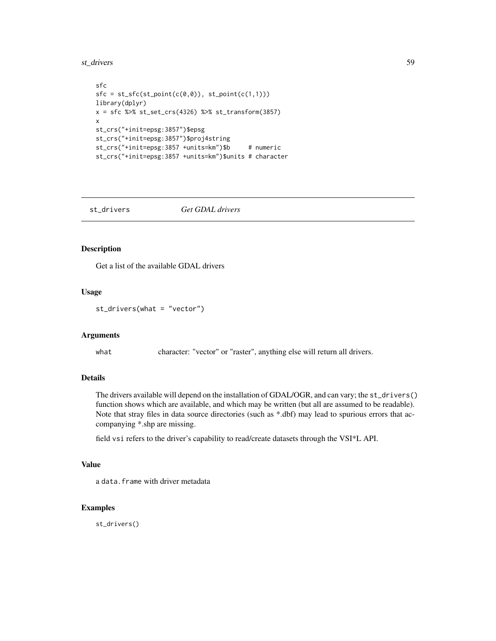st\_drivers 59

```
sfc
sfc = st_sfc(st\_point(c(\theta, \theta)), st\_point(c(1,1)))library(dplyr)
x = sfc %\gg st_set_crs(4326) %\gg st_transform(3857)
x
st_crs("+init=epsg:3857")$epsg
st_crs("+init=epsg:3857")$proj4string
st_crs("+init=epsg:3857 +units=km")$b # numeric
st_crs("+init=epsg:3857 +units=km")$units # character
```
st\_drivers *Get GDAL drivers*

# Description

Get a list of the available GDAL drivers

### Usage

st\_drivers(what = "vector")

#### **Arguments**

what character: "vector" or "raster", anything else will return all drivers.

# Details

The drivers available will depend on the installation of GDAL/OGR, and can vary; the st\_drivers() function shows which are available, and which may be written (but all are assumed to be readable). Note that stray files in data source directories (such as \*.dbf) may lead to spurious errors that accompanying \*.shp are missing.

field vsi refers to the driver's capability to read/create datasets through the VSI\*L API.

## Value

a data.frame with driver metadata

# Examples

st\_drivers()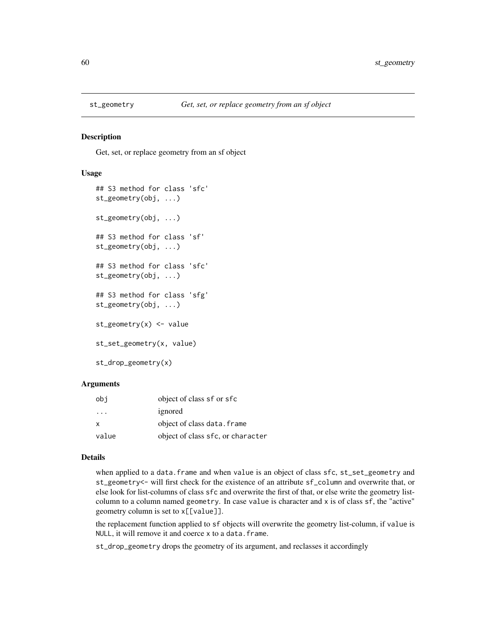#### Description

Get, set, or replace geometry from an sf object

### Usage

```
## S3 method for class 'sfc'
st_geometry(obj, ...)
st_geometry(obj, ...)
## S3 method for class 'sf'
st_geometry(obj, ...)
## S3 method for class 'sfc'
st_geometry(obj, ...)
## S3 method for class 'sfg'
st_geometry(obj, ...)
st\_geometry(x) <- value
st_set_geometry(x, value)
st_drop_geometry(x)
```
### Arguments

| obi                     | object of class sf or sfc         |
|-------------------------|-----------------------------------|
| $\cdot$ $\cdot$ $\cdot$ | ignored                           |
| X                       | object of class data. frame       |
| value                   | object of class sfc, or character |

#### Details

when applied to a data. frame and when value is an object of class sfc, st\_set\_geometry and st\_geometry<- will first check for the existence of an attribute sf\_column and overwrite that, or else look for list-columns of class sfc and overwrite the first of that, or else write the geometry listcolumn to a column named geometry. In case value is character and x is of class sf, the "active" geometry column is set to x[[value]].

the replacement function applied to sf objects will overwrite the geometry list-column, if value is NULL, it will remove it and coerce x to a data. frame.

st\_drop\_geometry drops the geometry of its argument, and reclasses it accordingly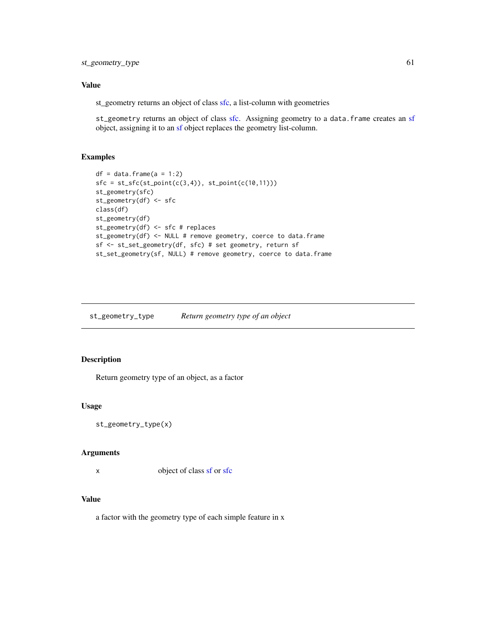# Value

st\_geometry returns an object of class [sfc,](#page-33-0) a list-column with geometries

st\_geometry returns an object of class [sfc.](#page-33-0) Assigning geometry to a data.frame creates an [sf](#page-30-1) object, assigning it to an [sf](#page-30-1) object replaces the geometry list-column.

# Examples

```
df = data frame(a = 1:2)sfc = st_sfc(st\_point(c(3,4)), st\_point(c(10,11)))st_geometry(sfc)
st_geometry(df) <- sfc
class(df)
st_geometry(df)
st_geometry(df) <- sfc # replaces
st_geometry(df) <- NULL # remove geometry, coerce to data.frame
sf <- st_set_geometry(df, sfc) # set geometry, return sf
st_set_geometry(sf, NULL) # remove geometry, coerce to data.frame
```
st\_geometry\_type *Return geometry type of an object*

# Description

Return geometry type of an object, as a factor

### Usage

st\_geometry\_type(x)

#### **Arguments**

x object of class [sf](#page-30-1) or [sfc](#page-33-0)

# Value

a factor with the geometry type of each simple feature in x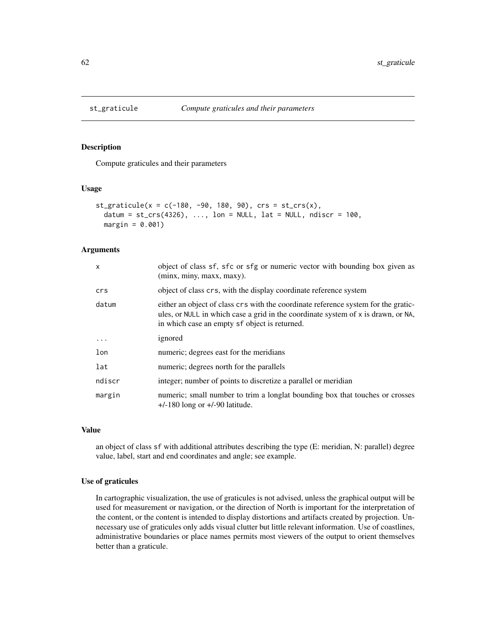# Description

Compute graticules and their parameters

#### Usage

```
st\_graticule(x = c(-180, -90, 180, 90), crs = st\_crs(x),datum = st_crs(4326), ..., lon = NULL, lat = NULL, ndiscr = 100,
 margin = 0.001)
```
### Arguments

| $\mathsf{x}$ | object of class sf, sfc or sfg or numeric vector with bounding box given as<br>(minx, miny, maxx, maxy).                                                                                                                 |
|--------------|--------------------------------------------------------------------------------------------------------------------------------------------------------------------------------------------------------------------------|
| crs          | object of class crs, with the display coordinate reference system                                                                                                                                                        |
| datum        | either an object of class crs with the coordinate reference system for the gratic-<br>ules, or NULL in which case a grid in the coordinate system of x is drawn, or NA,<br>in which case an empty sf object is returned. |
| $\cdots$     | ignored                                                                                                                                                                                                                  |
| lon          | numeric; degrees east for the meridians                                                                                                                                                                                  |
| lat          | numeric; degrees north for the parallels                                                                                                                                                                                 |
| ndiscr       | integer; number of points to discretize a parallel or meridian                                                                                                                                                           |
| margin       | numeric; small number to trim a longlat bounding box that touches or crosses<br>$+/-180$ long or $+/-90$ latitude.                                                                                                       |

## Value

an object of class sf with additional attributes describing the type (E: meridian, N: parallel) degree value, label, start and end coordinates and angle; see example.

## Use of graticules

In cartographic visualization, the use of graticules is not advised, unless the graphical output will be used for measurement or navigation, or the direction of North is important for the interpretation of the content, or the content is intended to display distortions and artifacts created by projection. Unnecessary use of graticules only adds visual clutter but little relevant information. Use of coastlines, administrative boundaries or place names permits most viewers of the output to orient themselves better than a graticule.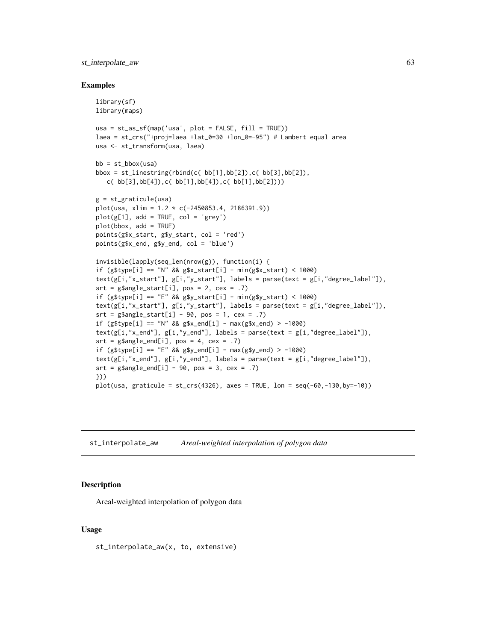## st\_interpolate\_aw 63

#### Examples

```
library(sf)
library(maps)
usa = st_as_sf(map('usa', plot = FALSE, fill = TRUE))
laea = st_crs("+proj=laea +lat_0=30 +lon_0=-95") # Lambert equal area
usa <- st_transform(usa, laea)
bb = st\_bbox(usa)bbox = st_{\text{linestring}}(rbind(c( bb[1], bb[2]), c( bb[3], bb[2]),c( bb[3],bb[4]),c( bb[1],bb[4]),c( bb[1],bb[2])))
g = st_graticule(usa)
plot(usa, xlim = 1.2 * c(-2450853.4, 2186391.9))
plot(g[1], add = TRUE, col = 'grey')plot(bbox, add = TRUE)
points(g$x_start, g$y_start, col = 'red')
points(g$x_end, g$y_end, col = 'blue')
invisible(lapply(seq_len(nrow(g)), function(i) {
if (g$type[i] == "N" && g$x_start[i] - min(g$x_start) < 1000)
text(g[i, "x_sstart"], g[i, "y_sstart"], labels = parse(text = g[i, "degree_llabel"]),
srt = g\angle_start[i], pos = 2, cex = .7)
if (g\type[i] == "E" && g\y_start[i] - min(g\y_start) < 1000)
text(g[i, "x_sstart"], g[i, "y_sstart"], labels = parse(text = g[i, "degree_llabel"]),
srt = g\angle_start[i] - 90, pos = 1, cex = .7)
if (g$type[i] == "N" && g$x_end[i] - max(g$x_end) > -1000)
text(g[i,"x_end"], g[i,"y_end"], labels = parse(text = g[i,"degree_label"]),
srt = g\angle_end[i], pos = 4, cex = .7)
if (g$type[i] == "E" && g$y_end[i] - max(g$y_end) > -1000)
text(g[i, "x<sub>-</sub>end"], g[i, "y<sub>-</sub>end"], labels = parse(text = g[i, "degree<sub>-label"]),</sub>
srt = g\angle_end[i] - 90, pos = 3, cex = .7)
}))
plot(usa, graticule = st\_crs(4326), axes = TRUE, lon = seq(-60, -130, by=-10))
```
st\_interpolate\_aw *Areal-weighted interpolation of polygon data*

### **Description**

Areal-weighted interpolation of polygon data

### Usage

st\_interpolate\_aw(x, to, extensive)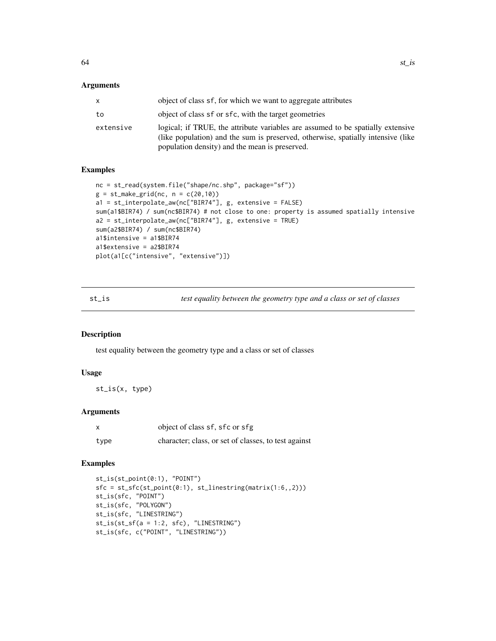### Arguments

|           | object of class sf, for which we want to aggregate attributes                                                                                                                                                         |
|-----------|-----------------------------------------------------------------------------------------------------------------------------------------------------------------------------------------------------------------------|
| to        | object of class sf or sfc, with the target geometries                                                                                                                                                                 |
| extensive | logical; if TRUE, the attribute variables are assumed to be spatially extensive<br>(like population) and the sum is preserved, otherwise, spatially intensive (like<br>population density) and the mean is preserved. |

# Examples

```
nc = st_read(system.file("shape/nc.shp", package="sf"))
g = st_make\_grid(nc, n = c(20, 10))a1 = st_interpolate_aw(nc["BIR74"], g, extensive = FALSE)
sum(a1$BIR74) / sum(nc$BIR74) # not close to one: property is assumed spatially intensive
a2 = st_interpolate_aw(nc["BIR74"], g, extensive = TRUE)
sum(a2$BIR74) / sum(nc$BIR74)
a1$intensive = a1$BIR74
a1$extensive = a2$BIR74
plot(a1[c("intensive", "extensive")])
```
st\_is *test equality between the geometry type and a class or set of classes*

# Description

test equality between the geometry type and a class or set of classes

# Usage

st\_is(x, type)

### Arguments

| x    | object of class sf, sfc or sfg                       |
|------|------------------------------------------------------|
| type | character; class, or set of classes, to test against |

```
st_is(st_point(0:1), "POINT")
sfc = st_sfc(st_point(0:1), st_linestring(matrix(1:6,,2)))
st_is(sfc, "POINT")
st_is(sfc, "POLYGON")
st_is(sfc, "LINESTRING")
st_is(st_sf(a = 1:2, sfc), "LINESTRING")
st_is(sfc, c("POINT", "LINESTRING"))
```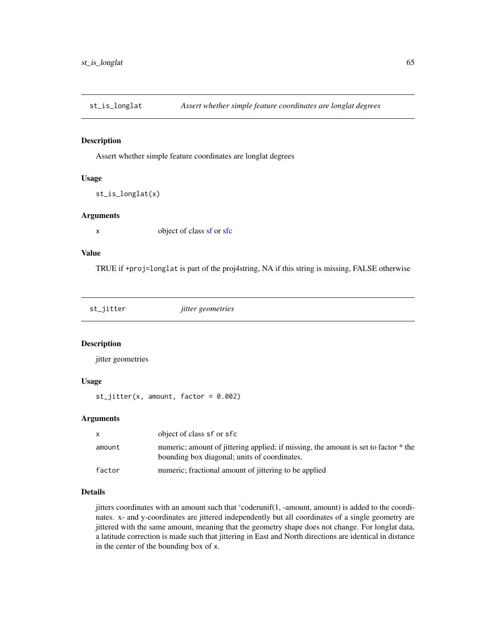st\_is\_longlat *Assert whether simple feature coordinates are longlat degrees*

### Description

Assert whether simple feature coordinates are longlat degrees

# Usage

```
st_is_longlat(x)
```
#### Arguments

x object of class [sf](#page-30-1) or [sfc](#page-33-0)

## Value

TRUE if +proj=longlat is part of the proj4string, NA if this string is missing, FALSE otherwise

| st_jitter | <i>jitter geometries</i> |  |
|-----------|--------------------------|--|
|-----------|--------------------------|--|

### Description

jitter geometries

### Usage

 $st\_jitter(x, amount, factor = 0.002)$ 

# Arguments

|        | object of class sf or sfc                                                                                                           |
|--------|-------------------------------------------------------------------------------------------------------------------------------------|
| amount | numeric; amount of jittering applied; if missing, the amount is set to factor * the<br>bounding box diagonal; units of coordinates. |
| factor | numeric; fractional amount of jittering to be applied                                                                               |

# Details

jitters coordinates with an amount such that 'coderunif(1, -amount, amount) is added to the coordinates. x- and y-coordinates are jittered independently but all coordinates of a single geometry are jittered with the same amount, meaning that the geometry shape does not change. For longlat data, a latitude correction is made such that jittering in East and North directions are identical in distance in the center of the bounding box of x.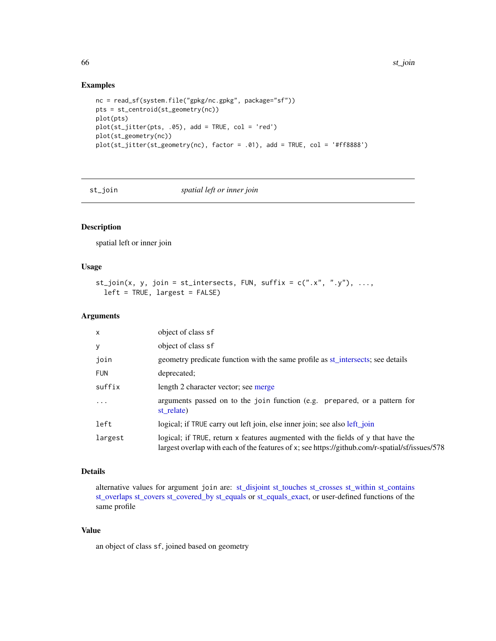## Examples

```
nc = read_sf(system.file("gpkg/nc.gpkg", package="sf"))
pts = st_centroid(st_geometry(nc))
plot(pts)
plot(st_jitter(pts, .05), add = TRUE, col = 'red')
plot(st_geometry(nc))
plot(st_jitter(st_geometry(nc), factor = .01), add = TRUE, col = '#ff8888')
```
st\_join *spatial left or inner join*

# Description

spatial left or inner join

# Usage

```
st_join(x, y, join = st_intersects, FUN, suffix = c("x", "y"), ...,left = TRUE, largest = FALSE)
```
## Arguments

| $\mathsf{x}$ | object of class sf                                                                                                                                                                 |
|--------------|------------------------------------------------------------------------------------------------------------------------------------------------------------------------------------|
| У            | object of class sf                                                                                                                                                                 |
| join         | geometry predicate function with the same profile as st_intersects; see details                                                                                                    |
| <b>FUN</b>   | deprecated;                                                                                                                                                                        |
| suffix       | length 2 character vector; see merge                                                                                                                                               |
| $\ddots$     | arguments passed on to the join function (e.g. prepared, or a pattern for<br>st relate)                                                                                            |
| left         | logical; if TRUE carry out left join, else inner join; see also left join                                                                                                          |
| largest      | logical; if TRUE, return x features augmented with the fields of y that have the<br>largest overlap with each of the features of x; see https://github.com/r-spatial/sf/issues/578 |

# Details

alternative values for argument join are: [st\\_disjoint](#page-13-0) [st\\_touches](#page-13-0) [st\\_crosses](#page-13-0) [st\\_within](#page-13-0) [st\\_contains](#page-13-0) [st\\_overlaps](#page-13-0) [st\\_covers](#page-13-0) [st\\_covered\\_by](#page-13-0) [st\\_equals](#page-13-0) or [st\\_equals\\_exact,](#page-13-0) or user-defined functions of the same profile

## Value

an object of class sf, joined based on geometry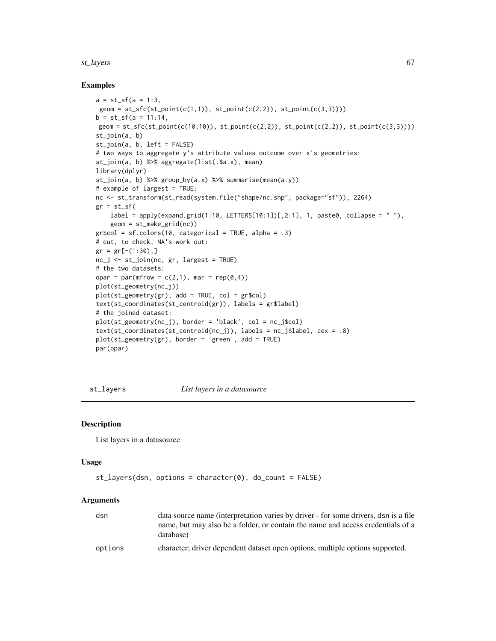#### st\_layers 67

### Examples

```
a = st_s f(a = 1:3,geom = st_sfc(st\_point(c(1,1)), st\_point(c(2,2)), st\_point(c(3,3))))b = st_s f(a = 11:14,geom = st\_sfc(st\_point(c(10,10)), st\_point(c(2,2)), st\_point(c(2,2)), st\_point(c(3,3))))st_join(a, b)
st_join(a, b, left = FALSE)
# two ways to aggregate y's attribute values outcome over x's geometries:
st_join(a, b) %>% aggregate(list(.$a.x), mean)
library(dplyr)
st_join(a, b) %>% group_by(a.x) %>% summarise(mean(a.y))
# example of largest = TRUE:
nc <- st_transform(st_read(system.file("shape/nc.shp", package="sf")), 2264)
gr = st_s f(label = apply(expand.grid(1:10, LETTERS[10:1])[,2:1], 1, paste0, collapse = ""),
    geom = st_make_grid(nc))
gr$col = sf.coolors(10, categorical = TRUE, alpha = .3)# cut, to check, NA's work out:
gr = gr[-(1:30),]nc_j <- st_join(nc, gr, largest = TRUE)
# the two datasets:
opar = par(mfrow = c(2,1), mar = rep(0,4))
plot(st_geometry(nc_j))
plot(st_geometry(gr), add = TRUE, col = gr$col)
text(st_coordinates(st_centroid(gr)), labels = gr$label)
# the joined dataset:
plot(st_geometry(nc_j), border = 'black', col = nc_j$col)
text(st_coordinates(st_centroid(nc_j)), labels = nc_j$label, cex = .8)
plot(st\_geometry(gr), border = 'green', add = TRUE)par(opar)
```
st\_layers *List layers in a datasource*

#### **Description**

List layers in a datasource

### Usage

```
st_layers(dsn, options = character(0), do_count = FALSE)
```

| dsn     | data source name (interpretation varies by driver - for some drivers, dsn is a file<br>name, but may also be a folder, or contain the name and access credentials of a<br>database) |
|---------|-------------------------------------------------------------------------------------------------------------------------------------------------------------------------------------|
| options | character; driver dependent dataset open options, multiple options supported.                                                                                                       |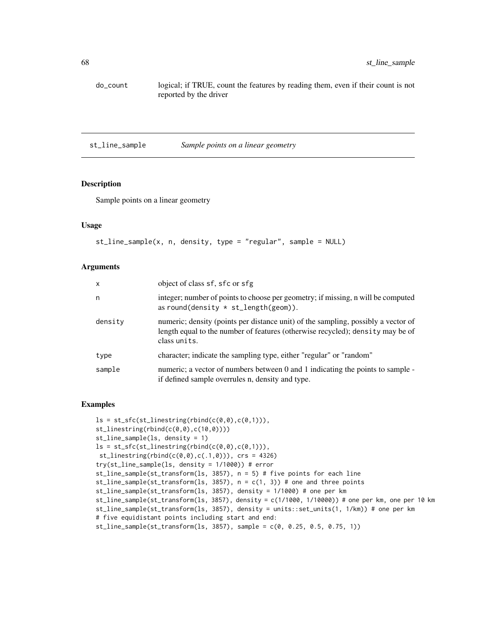do\_count logical; if TRUE, count the features by reading them, even if their count is not reported by the driver

st\_line\_sample *Sample points on a linear geometry*

# Description

Sample points on a linear geometry

### Usage

```
st_line_sample(x, n, density, type = "regular", sample = NULL)
```
### Arguments

| $\boldsymbol{\mathsf{x}}$ | object of class sf, sfc or sfg                                                                                                                                                      |
|---------------------------|-------------------------------------------------------------------------------------------------------------------------------------------------------------------------------------|
| n                         | integer; number of points to choose per geometry; if missing, n will be computed<br>as round(density $*$ st_length(geom)).                                                          |
| density                   | numeric; density (points per distance unit) of the sampling, possibly a vector of<br>length equal to the number of features (otherwise recycled); density may be of<br>class units. |
| type                      | character; indicate the sampling type, either "regular" or "random"                                                                                                                 |
| sample                    | numeric; a vector of numbers between 0 and 1 indicating the points to sample -<br>if defined sample overrules n, density and type.                                                  |

```
ls = st_sfc(st_linestring(rbind(c(0,0),c(0,1))),st_linestring(rbind(c(0,0),c(10,0))))
st_line_sample(ls, density = 1)
ls = st_sfc(st_linestring(rbind(c(0,0),c(0,1))),
st_{\text{linestring}}(rbind(c(0,0),c(.1,0))), crs = 4326)
try(st_line_sample(ls, density = 1/1000)) # error
st_line_sample(st_transform(ls, 3857), n = 5) # five points for each line
st_line_sample(st_transform(ls, 3857), n = c(1, 3)) # one and three points
st_line_sample(st_transform(ls, 3857), density = 1/1000) # one per km
st_line_sample(st_transform(ls, 3857), density = c(1/1000, 1/10000)) # one per km, one per 10 km
st_line_sample(st_transform(ls, 3857), density = units::set_units(1, 1/km)) # one per km
# five equidistant points including start and end:
st\_line\_sample(st\_transform(ls, 3857), sample = c(0, 0.25, 0.5, 0.75, 1))
```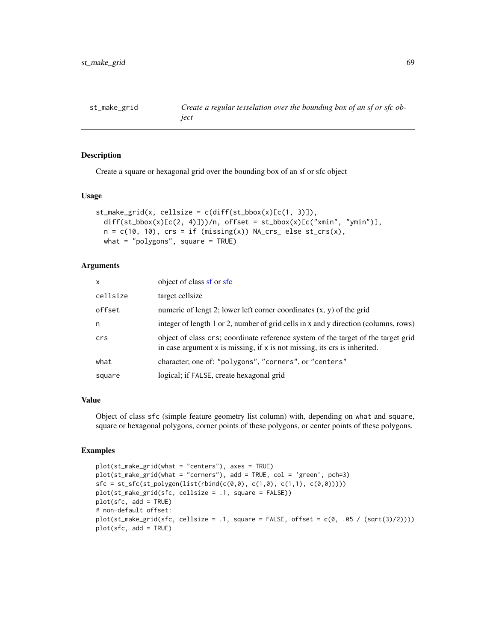st\_make\_grid *Create a regular tesselation over the bounding box of an sf or sfc object*

# Description

Create a square or hexagonal grid over the bounding box of an sf or sfc object

### Usage

```
st\_make\_grid(x, cellsize = c(diff(st\_bbox(x)[c(1, 3)]),diff(st_bbox(x)[c(2, 4)]))/n, offset = st_bbox(x)[c("xmin", "ymin")],
 n = c(10, 10), crs = if (missing(x)) NA_crs else st_crs(x),
 what = "polygons", square = TRUE)
```
## Arguments

| $\mathsf{x}$ | object of class sf or sfc                                                                                                                                      |
|--------------|----------------------------------------------------------------------------------------------------------------------------------------------------------------|
| cellsize     | target cellsize                                                                                                                                                |
| offset       | numeric of lengt 2; lower left corner coordinates $(x, y)$ of the grid                                                                                         |
| n            | integer of length 1 or 2, number of grid cells in x and y direction (columns, rows)                                                                            |
| crs          | object of class crs; coordinate reference system of the target of the target grid<br>in case argument x is missing, if x is not missing, its crs is inherited. |
| what         | character; one of: "polygons", "corners", or "centers"                                                                                                         |
| square       | logical; if FALSE, create hexagonal grid                                                                                                                       |

### Value

Object of class sfc (simple feature geometry list column) with, depending on what and square, square or hexagonal polygons, corner points of these polygons, or center points of these polygons.

```
plot(st_make_grid(what = "centers"), axes = TRUE)
plot(st_make_grid(what = "corners"), add = TRUE, col = 'green', pch=3)
sfc = st_sfc(st_polygon(list(rbind(c(0,0), c(1,0), c(1,1), c(0,0))))plot(st_make_grid(sfc, cellsize = .1, square = FALSE))
plot(sfc, add = TRUE)
# non-default offset:
plot(st_make_grid(sfc, cellsize = .1, square = FALSE, offset = c(\theta, .05 / (sqrt(3)/2))))plot(sfc, add = TRUE)
```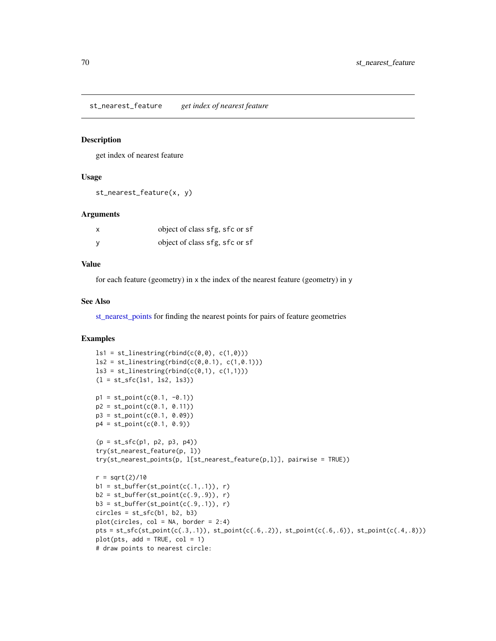<span id="page-69-0"></span>st\_nearest\_feature *get index of nearest feature*

#### Description

get index of nearest feature

### Usage

```
st_nearest_feature(x, y)
```
### Arguments

| $\boldsymbol{\mathsf{x}}$ | object of class sfg, sfc or sf |  |  |
|---------------------------|--------------------------------|--|--|
|                           | object of class sfg, sfc or sf |  |  |

### Value

for each feature (geometry) in x the index of the nearest feature (geometry) in y

#### See Also

[st\\_nearest\\_points](#page-70-0) for finding the nearest points for pairs of feature geometries

```
ls1 = st_linestring(rbind(c(0,0), c(1,0)))ls2 = st_{linestrip}(rbind(c(0, 0.1), c(1, 0.1)))ls3 = st_{{\text{linesring}}}(rbind(c(0,1), c(1,1)))(1 = st_sfc(1s1, 1s2, 1s3))p1 = st\_point(c(0.1, -0.1))p2 = st\_point(c(0.1, 0.11))p3 = st_point(c(0.1, 0.09))
p4 = st\_point(c(0.1, 0.9))(p = st_sfc(p1, p2, p3, p4))try(st_nearest_feature(p, l))
try(st_nearest_points(p, l[st_nearest_feature(p,l)], pairwise = TRUE))
r = sqrt(2)/10b1 = st_buffer(st_point(c(.1,.1)), r)b2 = st_buffer(st_point(c(.9,.9)), r)b3 = st_buffer(st_point(c(.9,.1)), r)circles = st_sfc(b1, b2, b3)plot(circles, col = NA, border = 2:4)
pts = st\_sfc(st\_point(c(.3,.1)), st\_point(c(.6,.2)), st\_point(c(.6,.6)), st\_point(c(.4,.8)))plot(pts, add = TRUE, col = 1)# draw points to nearest circle:
```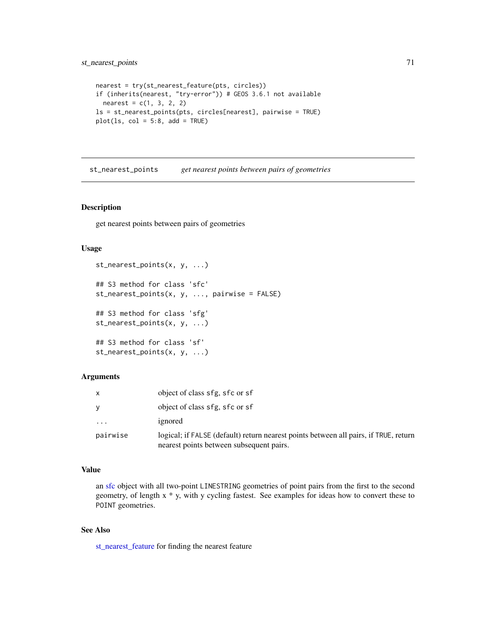```
nearest = try(st_nearest_feature(pts, circles))
if (inherits(nearest, "try-error")) # GEOS 3.6.1 not available
 nearest = c(1, 3, 2, 2)ls = st_nearest_points(pts, circles[nearest], pairwise = TRUE)
plot(ls, col = 5:8, add = TRUE)
```
<span id="page-70-0"></span>st\_nearest\_points *get nearest points between pairs of geometries*

#### Description

get nearest points between pairs of geometries

### Usage

```
st_nearest_points(x, y, ...)
## S3 method for class 'sfc'
st_nearest_points(x, y, ..., pairwise = FALSE)
## S3 method for class 'sfg'
st_nearest_points(x, y, ...)
## S3 method for class 'sf'
st_nearest_points(x, y, ...)
```
### Arguments

| X        | object of class sfg. sfc or sf                                                                                                   |
|----------|----------------------------------------------------------------------------------------------------------------------------------|
| y        | object of class sfg. sfc or sf                                                                                                   |
| .        | ignored                                                                                                                          |
| pairwise | logical; if FALSE (default) return nearest points between all pairs, if TRUE, return<br>nearest points between subsequent pairs. |

### Value

an [sfc](#page-33-0) object with all two-point LINESTRING geometries of point pairs from the first to the second geometry, of length x \* y, with y cycling fastest. See examples for ideas how to convert these to POINT geometries.

### See Also

[st\\_nearest\\_feature](#page-69-0) for finding the nearest feature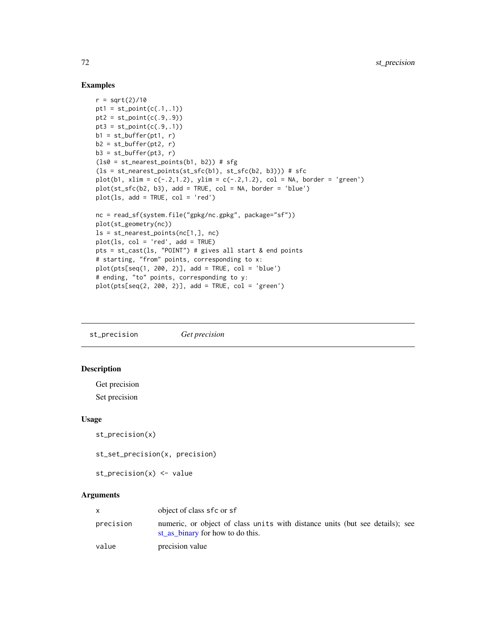# Examples

```
r = sqrt(2)/10pt1 = st\_point(c(.1,.1))pt2 = st\_point(c(.9,.9))pt3 = st\_point(c(.9,.1))b1 = st_buffer(pt1, r)b2 = st_buffer(pt2, r)b3 = st_buffer(pt3, r)(ls0 = st\_nearest\_points(b1, b2)) # sfg
(ls = st_nearest_points(st_sfc(b1), st_sfc(b2, b3))) # sfc
plot(b1, xlim = c(-.2, 1.2), ylim = c(-.2, 1.2), col = NA, border = 'green')plot(st_sfc(b2, b3), add = TRUE, col = NA, border = 'blue')
plot(ls, add = TRUE, col = 'red')
nc = read_sf(system.file("gpkg/nc.gpkg", package="sf"))
plot(st_geometry(nc))
ls = st_nearest_points(nc[1,], nc)
plot(ls, col = 'red', add = TRUE)pts = st_cast(ls, "POINT") # gives all start & end points
# starting, "from" points, corresponding to x:
plot(pts[seq(1, 200, 2)], add = TRUE, col = 'blue')# ending, "to" points, corresponding to y:
plot(pts[seq(2, 200, 2)], add = TRUE, col = 'green')
```
st\_precision *Get precision*

# Description

Get precision Set precision

## Usage

```
st_precision(x)
```
st\_set\_precision(x, precision)

```
st_precision(x) <- value
```

|           | object of class sfc or sf                                                                                        |
|-----------|------------------------------------------------------------------------------------------------------------------|
| precision | numeric, or object of class units with distance units (but see details); see<br>st as binary for how to do this. |
| value     | precision value                                                                                                  |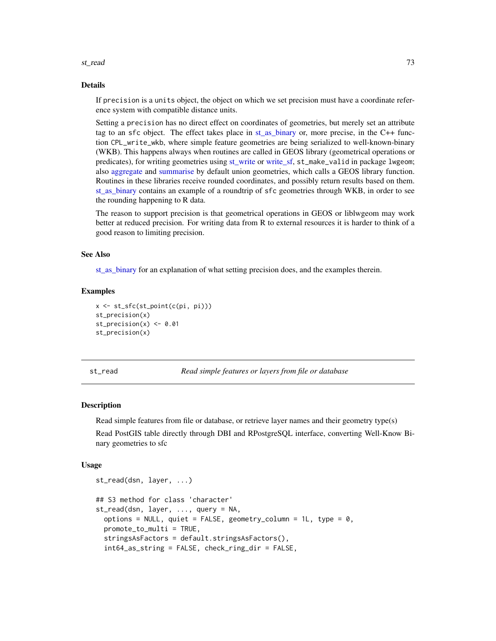#### <span id="page-72-0"></span>st\_read 73

#### Details

If precision is a units object, the object on which we set precision must have a coordinate reference system with compatible distance units.

Setting a precision has no direct effect on coordinates of geometries, but merely set an attribute tag to an sfc object. The effect takes place in  $st\_as\_binary$  or, more precise, in the C++ function CPL\_write\_wkb, where simple feature geometries are being serialized to well-known-binary (WKB). This happens always when routines are called in GEOS library (geometrical operations or predicates), for writing geometries using [st\\_write](#page-81-0) or [write\\_sf,](#page-81-1) st\_make\_valid in package lwgeom; also [aggregate](#page-3-0) and [summarise](#page-85-0) by default union geometries, which calls a GEOS library function. Routines in these libraries receive rounded coordinates, and possibly return results based on them. [st\\_as\\_binary](#page-40-0) contains an example of a roundtrip of sfc geometries through WKB, in order to see the rounding happening to R data.

The reason to support precision is that geometrical operations in GEOS or liblwgeom may work better at reduced precision. For writing data from R to external resources it is harder to think of a good reason to limiting precision.

#### See Also

[st\\_as\\_binary](#page-40-0) for an explanation of what setting precision does, and the examples therein.

#### Examples

```
x <- st_sfc(st_point(c(pi, pi)))
st_precision(x)
st_precision(x) <- 0.01
st_precision(x)
```
st\_read *Read simple features or layers from file or database*

#### Description

Read simple features from file or database, or retrieve layer names and their geometry type(s)

Read PostGIS table directly through DBI and RPostgreSQL interface, converting Well-Know Binary geometries to sfc

```
st_read(dsn, layer, ...)
## S3 method for class 'character'
st_read(dsn, layer, ..., query = NA,
 options = NULL, quiet = FALSE, geometry_column = 1L, type = 0,
 promote_to_multi = TRUE,
 stringsAsFactors = default.stringsAsFactors(),
 int64_as_string = FALSE, check_ring_dir = FALSE,
```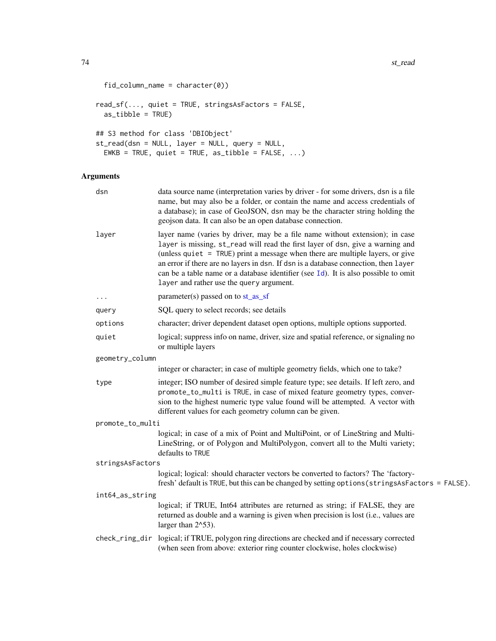```
74 st_read state of the state of the state of the state of the state of the state of the state of the state of the state of the state of the state of the state of the state of the state of the state of the state of the sta
```

```
fid_column_name = character(0))
read_sf(..., quiet = TRUE, stringsAsFactors = FALSE,
 as_tibble = TRUE)
## S3 method for class 'DBIObject'
st_read(dsn = NULL, layer = NULL, query = NULL,
 EWKB = TRUE, quiet = TRUE, as\_tibble = FALSE, ...
```

| dsn              | data source name (interpretation varies by driver - for some drivers, dsn is a file<br>name, but may also be a folder, or contain the name and access credentials of<br>a database); in case of GeoJSON, dsn may be the character string holding the<br>geojson data. It can also be an open database connection.                                                                                                                                                             |
|------------------|-------------------------------------------------------------------------------------------------------------------------------------------------------------------------------------------------------------------------------------------------------------------------------------------------------------------------------------------------------------------------------------------------------------------------------------------------------------------------------|
| layer            | layer name (varies by driver, may be a file name without extension); in case<br>layer is missing, st_read will read the first layer of dsn, give a warning and<br>(unless quiet $=$ TRUE) print a message when there are multiple layers, or give<br>an error if there are no layers in dsn. If dsn is a database connection, then layer<br>can be a table name or a database identifier (see $Id$ ). It is also possible to omit<br>layer and rather use the query argument. |
| $\cdot$          | parameter(s) passed on to st_as_sf                                                                                                                                                                                                                                                                                                                                                                                                                                            |
| query            | SQL query to select records; see details                                                                                                                                                                                                                                                                                                                                                                                                                                      |
| options          | character; driver dependent dataset open options, multiple options supported.                                                                                                                                                                                                                                                                                                                                                                                                 |
| quiet            | logical; suppress info on name, driver, size and spatial reference, or signaling no<br>or multiple layers                                                                                                                                                                                                                                                                                                                                                                     |
| geometry_column  |                                                                                                                                                                                                                                                                                                                                                                                                                                                                               |
|                  | integer or character; in case of multiple geometry fields, which one to take?                                                                                                                                                                                                                                                                                                                                                                                                 |
| type             | integer; ISO number of desired simple feature type; see details. If left zero, and<br>promote_to_multi is TRUE, in case of mixed feature geometry types, conver-<br>sion to the highest numeric type value found will be attempted. A vector with<br>different values for each geometry column can be given.                                                                                                                                                                  |
| promote_to_multi |                                                                                                                                                                                                                                                                                                                                                                                                                                                                               |
|                  | logical; in case of a mix of Point and MultiPoint, or of LineString and Multi-<br>LineString, or of Polygon and MultiPolygon, convert all to the Multi variety;<br>defaults to TRUE                                                                                                                                                                                                                                                                                           |
| stringsAsFactors |                                                                                                                                                                                                                                                                                                                                                                                                                                                                               |
|                  | logical; logical: should character vectors be converted to factors? The 'factory-<br>fresh' default is TRUE, but this can be changed by setting options (stringsAsFactors = FALSE).                                                                                                                                                                                                                                                                                           |
| int64_as_string  |                                                                                                                                                                                                                                                                                                                                                                                                                                                                               |
|                  | logical; if TRUE, Int64 attributes are returned as string; if FALSE, they are<br>returned as double and a warning is given when precision is lost (i.e., values are<br>larger than 2^53).                                                                                                                                                                                                                                                                                     |
|                  | check_ring_dir logical; if TRUE, polygon ring directions are checked and if necessary corrected<br>(when seen from above: exterior ring counter clockwise, holes clockwise)                                                                                                                                                                                                                                                                                                   |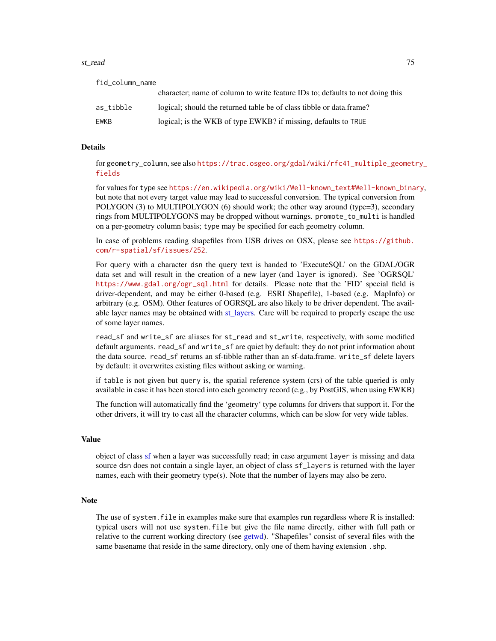#### <span id="page-74-0"></span>st\_read 75

| fid_column_name |                                                                               |
|-----------------|-------------------------------------------------------------------------------|
|                 | character; name of column to write feature IDs to; defaults to not doing this |
| as_tibble       | logical; should the returned table be of class tibble or data.frame?          |
| <b>EWKB</b>     | logical; is the WKB of type EWKB? if missing, defaults to TRUE                |

#### Details

for geometry\_column, see also [https://trac.osgeo.org/gdal/wiki/rfc41\\_multiple\\_geometr](https://trac.osgeo.org/gdal/wiki/rfc41_multiple_geometry_fields)y\_ [fields](https://trac.osgeo.org/gdal/wiki/rfc41_multiple_geometry_fields)

for values for type see [https://en.wikipedia.org/wiki/Well-known\\_text#Well-known\\_binary](https://en.wikipedia.org/wiki/Well-known_text#Well-known_binary), but note that not every target value may lead to successful conversion. The typical conversion from POLYGON (3) to MULTIPOLYGON (6) should work; the other way around (type=3), secondary rings from MULTIPOLYGONS may be dropped without warnings. promote\_to\_multi is handled on a per-geometry column basis; type may be specified for each geometry column.

In case of problems reading shapefiles from USB drives on OSX, please see [https://github.](https://github.com/r-spatial/sf/issues/252) [com/r-spatial/sf/issues/252](https://github.com/r-spatial/sf/issues/252).

For query with a character dsn the query text is handed to 'ExecuteSQL' on the GDAL/OGR data set and will result in the creation of a new layer (and layer is ignored). See 'OGRSQL' [https://www.gdal.org/ogr\\_sql.html](https://www.gdal.org/ogr_sql.html) for details. Please note that the 'FID' special field is driver-dependent, and may be either 0-based (e.g. ESRI Shapefile), 1-based (e.g. MapInfo) or arbitrary (e.g. OSM). Other features of OGRSQL are also likely to be driver dependent. The available layer names may be obtained with [st\\_layers.](#page-66-0) Care will be required to properly escape the use of some layer names.

read\_sf and write\_sf are aliases for st\_read and st\_write, respectively, with some modified default arguments. read\_sf and write\_sf are quiet by default: they do not print information about the data source. read\_sf returns an sf-tibble rather than an sf-data.frame. write\_sf delete layers by default: it overwrites existing files without asking or warning.

if table is not given but query is, the spatial reference system (crs) of the table queried is only available in case it has been stored into each geometry record (e.g., by PostGIS, when using EWKB)

The function will automatically find the 'geometry' type columns for drivers that support it. For the other drivers, it will try to cast all the character columns, which can be slow for very wide tables.

#### Value

object of class [sf](#page-30-0) when a layer was successfully read; in case argument layer is missing and data source dsn does not contain a single layer, an object of class sf\_layers is returned with the layer names, each with their geometry type(s). Note that the number of layers may also be zero.

#### **Note**

The use of system.file in examples make sure that examples run regardless where R is installed: typical users will not use system.file but give the file name directly, either with full path or relative to the current working directory (see [getwd\)](#page-0-0). "Shapefiles" consist of several files with the same basename that reside in the same directory, only one of them having extension . shp.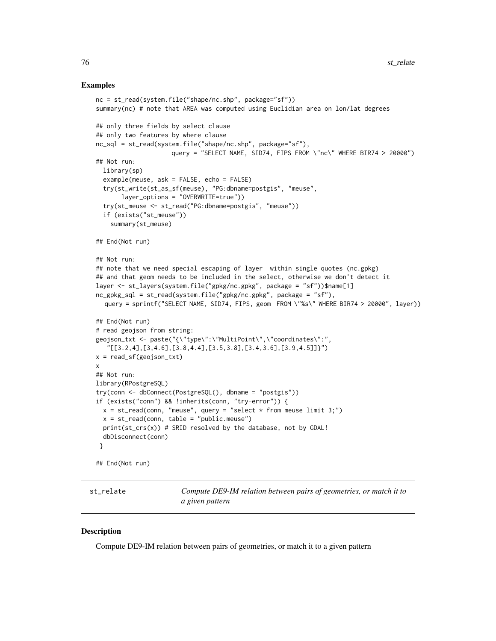#### Examples

```
nc = st_read(system.file("shape/nc.shp", package="sf"))
summary(nc) # note that AREA was computed using Euclidian area on lon/lat degrees
## only three fields by select clause
## only two features by where clause
nc_sql = st_read(system.file("shape/nc.shp", package="sf"),
                     query = "SELECT NAME, SID74, FIPS FROM \"nc\" WHERE BIR74 > 20000")
## Not run:
  library(sp)
  example(meuse, ask = FALSE, echo = FALSE)
  try(st_write(st_as_sf(meuse), "PG:dbname=postgis", "meuse",
       layer_options = "OVERWRITE=true"))
  try(st_meuse <- st_read("PG:dbname=postgis", "meuse"))
  if (exists("st_meuse"))
    summary(st_meuse)
## End(Not run)
## Not run:
## note that we need special escaping of layer within single quotes (nc.gpkg)
## and that geom needs to be included in the select, otherwise we don't detect it
layer <- st_layers(system.file("gpkg/nc.gpkg", package = "sf"))$name[1]
nc_gpkg_sql = st_read(system.file("gpkg/nc.gpkg", package = "sf"),
  query = sprintf("SELECT NAME, SID74, FIPS, geom FROM \"%s\" WHERE BIR74 > 20000", layer))
## End(Not run)
# read geojson from string:
geojson_txt <- paste("{\"type\":\"MultiPoint\",\"coordinates\":",
   "[[3.2,4],[3,4.6],[3.8,4.4],[3.5,3.8],[3.4,3.6],[3.9,4.5]]}")
x = read_sf(geojson_txt)
x
## Not run:
library(RPostgreSQL)
try(conn <- dbConnect(PostgreSQL(), dbname = "postgis"))
if (exists("conn") && !inherits(conn, "try-error")) {
  x = st_{read}(conn, 'meuse', query = 'select * from meuse limit 3;')x = st_{read}(conn, table = "public.meuse")print(st_crs(x)) # SRID resolved by the database, not by GDAL!
  dbDisconnect(conn)
 }
## End(Not run)
```
st\_relate *Compute DE9-IM relation between pairs of geometries, or match it to a given pattern*

#### Description

Compute DE9-IM relation between pairs of geometries, or match it to a given pattern

<span id="page-75-0"></span>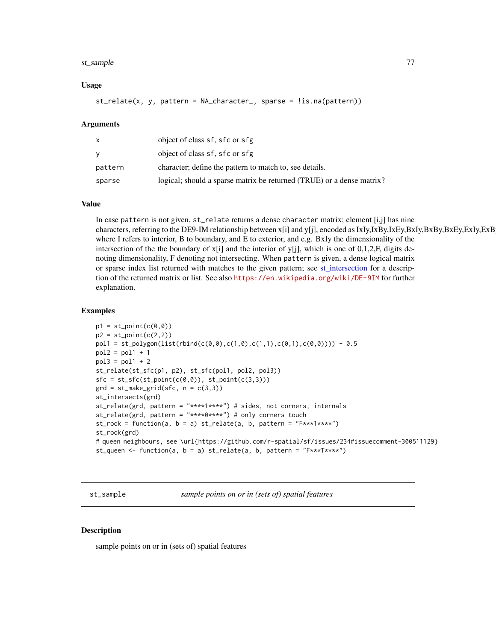#### <span id="page-76-0"></span>st\_sample 77

#### Usage

 $st_{\text{relate}}(x, y, pattern = NA_{\text{character}_{\text{rel}}}, sparse = lis.na(pathern))$ 

#### Arguments

| X       | object of class sf, sfc or sfg                                        |
|---------|-----------------------------------------------------------------------|
| y       | object of class sf, sfc or sfg                                        |
| pattern | character; define the pattern to match to, see details.               |
| sparse  | logical; should a sparse matrix be returned (TRUE) or a dense matrix? |

#### Value

In case pattern is not given, st\_relate returns a dense character matrix; element [i,j] has nine characters, referring to the DE9-IM relationship between x[i] and y[j], encoded as IxIy,IxBy,IxEy,BxIy,BxBy,BxEy,ExIy,ExBy,ExEy where I refers to interior, B to boundary, and E to exterior, and e.g. BxIy the dimensionality of the intersection of the the boundary of  $x[i]$  and the interior of y[j], which is one of 0,1,2,F, digits denoting dimensionality, F denoting not intersecting. When pattern is given, a dense logical matrix or sparse index list returned with matches to the given pattern; see [st\\_intersection](#page-11-0) for a description of the returned matrix or list. See also <https://en.wikipedia.org/wiki/DE-9IM> for further explanation.

## Examples

```
p1 = st\_point(c(0, 0))p2 = st\_point(c(2,2))pol1 = st_polygon(list(rbind(c(0,0),c(1,0),c(1,1),c(0,1),c(0,0)))) - 0.5
pol2 = pol1 + 1pol3 = pol1 + 2st_relate(st_sfc(p1, p2), st_sfc(pol1, pol2, pol3))
sfc = st_sfc(st\_point(c(0,0)), st\_point(c(3,3)))grd = st\_make\_grid(sfc, n = c(3,3))st_intersects(grd)
st_relate(grd, pattern = "****1****") # sides, not corners, internals
st_relate(grd, pattern = "****0****") # only corners touch
st_rook = function(a, b = a) st_relate(a, b, pattern = "F***1****")
st_rook(grd)
# queen neighbours, see \url{https://github.com/r-spatial/sf/issues/234#issuecomment-300511129}
st_queen <- function(a, b = a) st_relate(a, b, pattern = "F***T****")
```
st\_sample *sample points on or in (sets of) spatial features*

#### Description

sample points on or in (sets of) spatial features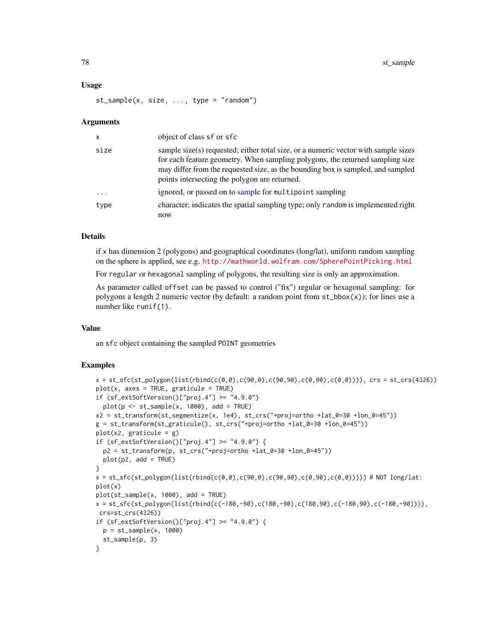#### <span id="page-77-0"></span>Usage

 $st\_sample(x, size, ..., type = "random")$ 

#### Arguments

| x         | object of class sf or sfc                                                                                                                                                                                                                                                                               |
|-----------|---------------------------------------------------------------------------------------------------------------------------------------------------------------------------------------------------------------------------------------------------------------------------------------------------------|
| size      | sample size(s) requested; either total size, or a numeric vector with sample sizes<br>for each feature geometry. When sampling polygons, the returned sampling size<br>may differ from the requested size, as the bounding box is sampled, and sampled<br>points intersecting the polygon are returned. |
| $\ddotsc$ | ignored, or passed on to sample for multipoint sampling                                                                                                                                                                                                                                                 |
| type      | character; indicates the spatial sampling type; only random is implemented right<br>now                                                                                                                                                                                                                 |

#### Details

if x has dimension 2 (polygons) and geographical coordinates (long/lat), uniform random sampling on the sphere is applied, see e.g. <http://mathworld.wolfram.com/SpherePointPicking.html>

For regular or hexagonal sampling of polygons, the resulting size is only an approximation.

As parameter called offset can be passed to control ("fix") regular or hexagonal sampling: for polygons a length 2 numeric vector (by default: a random point from  $st_bbox(x)$ ); for lines use a number like runif(1).

#### Value

an sfc object containing the sampled POINT geometries

#### Examples

```
x = st_sfc(st_polygon(list(rbind(c(0,0),c(90,0),c(90,90),c(0,90),c(0,0)))), crs = st_crs(4326))
plot(x, axes = TRUE, gradient = TRUE)if (sf_extSoftVersion()["proj.4"] >= "4.9.0")
  plot(p \leftarrow st\_sample(x, 1000), add = TRUE)x2 = st_transform(st_segmentize(x, 1e4), st_crs("+proj=ortho +lat_0=30 +lon_0=45"))
g = st_{transform(st_gratioule() , st_crs("+proj=ortho + lat_0=30 +lon_0=45"))plot(x2, gradient)if (sf_extSoftVersion()["proj.4"] >= "4.9.0") {
  p2 = st_transform(p, st_crs("+proj=ortho +lat_0=30 +lon_0=45"))
  plot(p2, add = TRUE)}
x = st_sfc(st_polygon(list(rbind(c(0,0),c(90,0),c(90,90),c(9,90),c(0,90)))) # NOT long/lat:
plot(x)
plot(st_sample(x, 1000), add = TRUE)
x = st\_sfc(st\_polygon(list(rbind(c(-180, -90), c(180, -90), c(180, 90), c(-180, 90), c(-180, -90))))crs=st_crs(4326))
if (sf_{extSoftVersion()['proj.4"] \geq "4.9.0") {
  p = st_s = mple(x, 1000)st_sample(p, 3)
}
```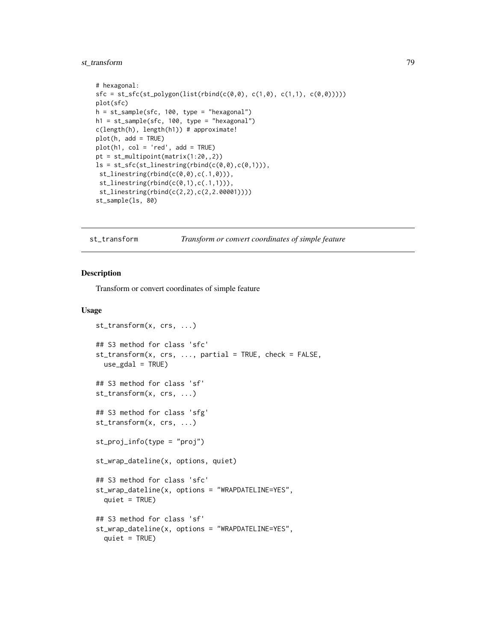## <span id="page-78-0"></span>st\_transform 79

```
# hexagonal:
sfc = st_sfc(st_polygon(list(rbind(c(0, 0), c(1, 0), c(1, 1), c(0, 0))))plot(sfc)
h = st_s = mple(sfc, 100, type = "hexagonal")h1 = st_sample(sfc, 100, type = "hexagonal")
c(length(h), length(h1)) # approximate!
plot(h, add = TRUE)
plot(h1, col = 'red', add = TRUE)pt = st_multipoint(matrix(1:20,,2))
ls = st_sfc(st_linestring(rbind(c(0,0),c(0,1))),st_linestring(rbind(c(0,0),c(.1,0))),
 st_linestring(rbind(c(0,1),c(.1,1))),
 st_linestring(rbind(c(2,2),c(2,2.00001))))
st_sample(ls, 80)
```

```
st_transform Transform or convert coordinates of simple feature
```
#### Description

Transform or convert coordinates of simple feature

```
st_transform(x, crs, ...)
## S3 method for class 'sfc'
st_{\text{transform}}(x, \text{crs}, \ldots, \text{partial} = \text{TRUE}, \text{check} = \text{FALSE},use_gdal = TRUE)
## S3 method for class 'sf'
st_transform(x, crs, ...)
## S3 method for class 'sfg'
st_transform(x, crs, ...)
st\_proj\_info(type = "proj")st_wrap_dateline(x, options, quiet)
## S3 method for class 'sfc'
st_wrap_dateline(x, options = "WRAPDATELINE=YES",
  quiet = TRUE)
## S3 method for class 'sf'
st_wrap_dateline(x, options = "WRAPDATELINE=YES",
  quiet = TRUE)
```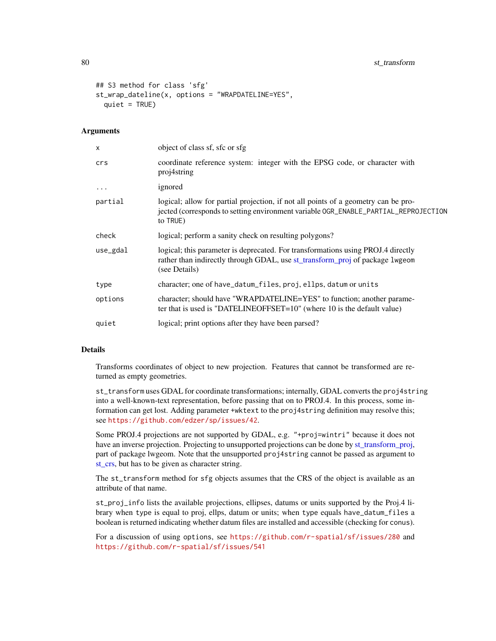```
## S3 method for class 'sfg'
st_wrap_dateline(x, options = "WRAPDATELINE=YES",
  quiet = TRUE)
```
#### Arguments

| $\mathsf{x}$ | object of class sf, sfc or sfg                                                                                                                                                        |
|--------------|---------------------------------------------------------------------------------------------------------------------------------------------------------------------------------------|
| crs          | coordinate reference system: integer with the EPSG code, or character with<br>proj4string                                                                                             |
| $\cdots$     | ignored                                                                                                                                                                               |
| partial      | logical; allow for partial projection, if not all points of a geometry can be pro-<br>jected (corresponds to setting environment variable OGR_ENABLE_PARTIAL_REPROJECTION<br>to TRUE) |
| check        | logical; perform a sanity check on resulting polygons?                                                                                                                                |
| use_gdal     | logical; this parameter is deprecated. For transformations using PROJ.4 directly<br>rather than indirectly through GDAL, use st_transform_proj of package lwgeom<br>(see Details)     |
| type         | character; one of have_datum_files, proj, ellps, datum or units                                                                                                                       |
| options      | character; should have "WRAPDATELINE=YES" to function; another parame-<br>ter that is used is "DATELINEOFFSET= $10$ " (where 10 is the default value)                                 |
| quiet        | logical; print options after they have been parsed?                                                                                                                                   |
|              |                                                                                                                                                                                       |

#### Details

Transforms coordinates of object to new projection. Features that cannot be transformed are returned as empty geometries.

st\_transform uses GDAL for coordinate transformations; internally, GDAL converts the proj4string into a well-known-text representation, before passing that on to PROJ.4. In this process, some information can get lost. Adding parameter +wktext to the proj4string definition may resolve this; see <https://github.com/edzer/sp/issues/42>.

Some PROJ.4 projections are not supported by GDAL, e.g. "+proj=wintri" because it does not have an inverse projection. Projecting to unsupported projections can be done by [st\\_transform\\_proj,](#page-0-0) part of package lwgeom. Note that the unsupported proj4string cannot be passed as argument to [st\\_crs,](#page-55-0) but has to be given as character string.

The st\_transform method for sfg objects assumes that the CRS of the object is available as an attribute of that name.

st\_proj\_info lists the available projections, ellipses, datums or units supported by the Proj.4 library when type is equal to proj, ellps, datum or units; when type equals have\_datum\_files a boolean is returned indicating whether datum files are installed and accessible (checking for conus).

For a discussion of using options, see <https://github.com/r-spatial/sf/issues/280> and <https://github.com/r-spatial/sf/issues/541>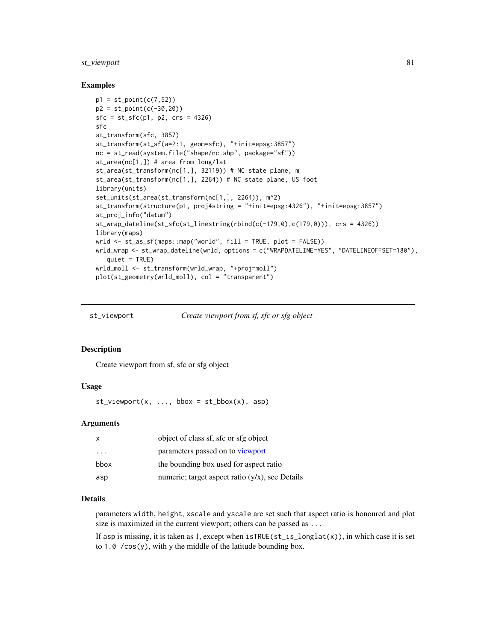## <span id="page-80-0"></span>st\_viewport 81

#### Examples

```
p1 = st\_point(c(7, 52))p2 = st\_point(c(-30, 20))sfc = st_sfc(p1, p2, crs = 4326)sfc
st_transform(sfc, 3857)
st_transform(st_sf(a=2:1, geom=sfc), "+init=epsg:3857")
nc = st_read(system.file("shape/nc.shp", package="sf"))
st_area(nc[1,]) # area from long/lat
st_area(st_transform(nc[1,], 32119)) # NC state plane, m
st_area(st_transform(nc[1,], 2264)) # NC state plane, US foot
library(units)
set_units(st_area(st_transform(nc[1,], 2264)), m^2)
st_transform(structure(p1, proj4string = "+init=epsg:4326"), "+init=epsg:3857")
st_proj_info("datum")
st_wrap_dateline(st_sfc(st_linestring(rbind(c(-179,0),c(179,0))), crs = 4326))
library(maps)
wrld <- st_as_sf(maps::map("world", fill = TRUE, plot = FALSE))
wrld_wrap <- st_wrap_dateline(wrld, options = c("WRAPDATELINE=YES", "DATELINEOFFSET=180"),
   quiet = TRUE)
wrld_moll <- st_transform(wrld_wrap, "+proj=moll")
plot(st_geometry(wrld_moll), col = "transparent")
```
st\_viewport *Create viewport from sf, sfc or sfg object*

#### **Description**

Create viewport from sf, sfc or sfg object

#### Usage

 $st\_viewport(x, ..., bbox = st\_bbox(x), asp)$ 

#### Arguments

| $\mathsf{x}$ | object of class sf, sfc or sfg object              |
|--------------|----------------------------------------------------|
| .            | parameters passed on to viewport                   |
| bbox         | the bounding box used for aspect ratio             |
| asp          | numeric; target aspect ratio $(y/x)$ , see Details |

## Details

parameters width, height, xscale and yscale are set such that aspect ratio is honoured and plot size is maximized in the current viewport; others can be passed as ...

If asp is missing, it is taken as 1, except when  $is$  TRUE( $st_is\_longlat(x)$ ), in which case it is set to  $1.0$  /cos(y), with y the middle of the latitude bounding box.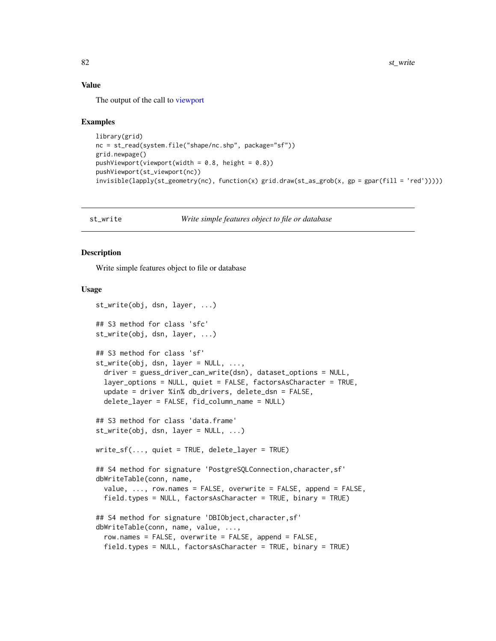#### Value

The output of the call to [viewport](#page-0-0)

#### Examples

```
library(grid)
nc = st_read(system.file("shape/nc.shp", package="sf"))
grid.newpage()
pushViewport(viewport(width = 0.8, height = 0.8))
pushViewport(st_viewport(nc))
invisible(lapply(st_geometry(nc), function(x) grid.draw(st_as_grob(x, gp = gpar(fill = 'red')))))
```
<span id="page-81-0"></span>st\_write *Write simple features object to file or database*

## <span id="page-81-1"></span>Description

Write simple features object to file or database

```
st_write(obj, dsn, layer, ...)
## S3 method for class 'sfc'
st_write(obj, dsn, layer, ...)
## S3 method for class 'sf'
st_write(obj, dsn, layer = NULL, ...,
  driver = guess_driver_can_write(dsn), dataset_options = NULL,
  layer_options = NULL, quiet = FALSE, factorsAsCharacter = TRUE,
  update = driver %in% db_drivers, delete_dsn = FALSE,
  delete_layer = FALSE, fid_column_name = NULL)
## S3 method for class 'data.frame'
st_write(obj, dsn, layer = NULL, ...)
write\_sf(..., quite = TRUE, delete\_layer = TRUE)## S4 method for signature 'PostgreSQLConnection, character, sf'
dbWriteTable(conn, name,
  value, \ldots, row.names = FALSE, overwrite = FALSE, append = FALSE,
  field.types = NULL, factorsAsCharacter = TRUE, binary = TRUE)
## S4 method for signature 'DBIObject,character,sf'
dbWriteTable(conn, name, value, ...,
  row.names = FALSE, overwrite = FALSE, append = FALSE,
  field.types = NULL, factorsAsCharacter = TRUE, binary = TRUE)
```
<span id="page-81-2"></span>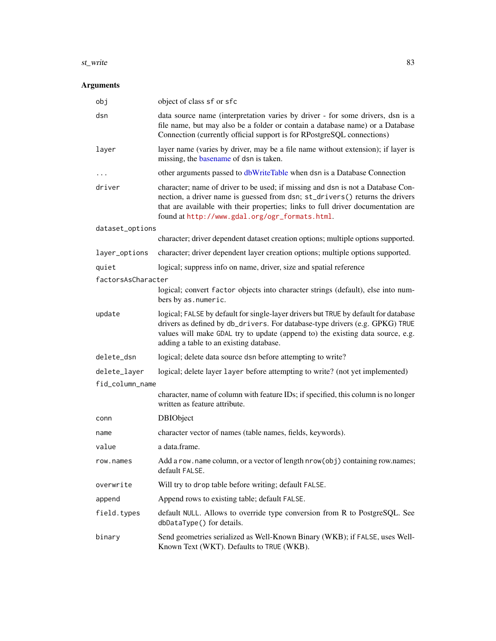#### <span id="page-82-0"></span>st\_write 83

| obj                | object of class sf or sfc                                                                                                                                                                                                                                                                             |
|--------------------|-------------------------------------------------------------------------------------------------------------------------------------------------------------------------------------------------------------------------------------------------------------------------------------------------------|
| dsn                | data source name (interpretation varies by driver - for some drivers, dsn is a<br>file name, but may also be a folder or contain a database name) or a Database<br>Connection (currently official support is for RPostgreSQL connections)                                                             |
| layer              | layer name (varies by driver, may be a file name without extension); if layer is<br>missing, the basename of dsn is taken.                                                                                                                                                                            |
|                    | other arguments passed to dbWriteTable when dsn is a Database Connection                                                                                                                                                                                                                              |
| driver             | character; name of driver to be used; if missing and dsn is not a Database Con-<br>nection, a driver name is guessed from dsn; st_drivers() returns the drivers<br>that are available with their properties; links to full driver documentation are<br>found at http://www.gdal.org/ogr_formats.html. |
| dataset_options    |                                                                                                                                                                                                                                                                                                       |
|                    | character; driver dependent dataset creation options; multiple options supported.                                                                                                                                                                                                                     |
| layer_options      | character; driver dependent layer creation options; multiple options supported.                                                                                                                                                                                                                       |
| quiet              | logical; suppress info on name, driver, size and spatial reference                                                                                                                                                                                                                                    |
| factorsAsCharacter |                                                                                                                                                                                                                                                                                                       |
|                    | logical; convert factor objects into character strings (default), else into num-<br>bers by as.numeric.                                                                                                                                                                                               |
| update             | logical; FALSE by default for single-layer drivers but TRUE by default for database<br>drivers as defined by db_drivers. For database-type drivers (e.g. GPKG) TRUE<br>values will make GDAL try to update (append to) the existing data source, e.g.<br>adding a table to an existing database.      |
| delete_dsn         | logical; delete data source dsn before attempting to write?                                                                                                                                                                                                                                           |
| delete_layer       | logical; delete layer layer before attempting to write? (not yet implemented)                                                                                                                                                                                                                         |
| fid_column_name    |                                                                                                                                                                                                                                                                                                       |
|                    | character, name of column with feature IDs; if specified, this column is no longer<br>written as feature attribute.                                                                                                                                                                                   |
| conn               | <b>DBIObject</b>                                                                                                                                                                                                                                                                                      |
| name               | character vector of names (table names, fields, keywords).                                                                                                                                                                                                                                            |
| value              | a data.frame.                                                                                                                                                                                                                                                                                         |
| row.names          | Add a row.name column, or a vector of length nrow(obj) containing row.names;<br>default FALSE.                                                                                                                                                                                                        |
| overwrite          | Will try to drop table before writing; default FALSE.                                                                                                                                                                                                                                                 |
| append             | Append rows to existing table; default FALSE.                                                                                                                                                                                                                                                         |
| field.types        | default NULL. Allows to override type conversion from R to PostgreSQL. See<br>dbDataType() for details.                                                                                                                                                                                               |
| binary             | Send geometries serialized as Well-Known Binary (WKB); if FALSE, uses Well-<br>Known Text (WKT). Defaults to TRUE (WKB).                                                                                                                                                                              |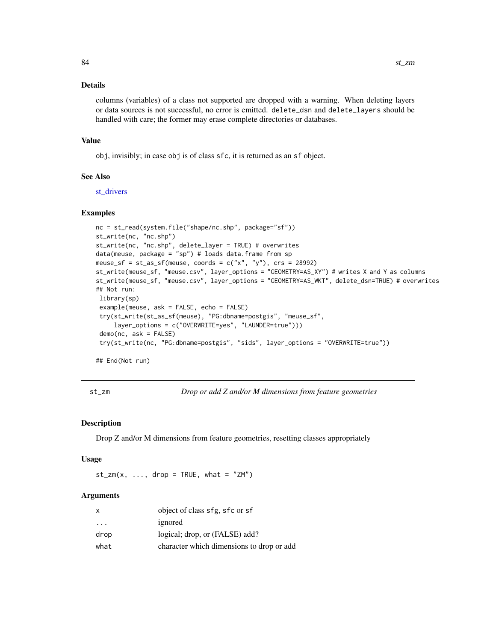#### <span id="page-83-0"></span>Details

columns (variables) of a class not supported are dropped with a warning. When deleting layers or data sources is not successful, no error is emitted. delete\_dsn and delete\_layers should be handled with care; the former may erase complete directories or databases.

#### Value

obj, invisibly; in case obj is of class sfc, it is returned as an sf object.

#### See Also

st drivers

#### Examples

```
nc = st_read(system.file("shape/nc.shp", package="sf"))
st_write(nc, "nc.shp")
st_write(nc, "nc.shp", delete_layer = TRUE) # overwrites
data(meuse, package = "sp") # loads data.frame from sp
meuse_sf = st\_as\_sf(meuse, coords = c("x", "y"), crs = 28992)st_write(meuse_sf, "meuse.csv", layer_options = "GEOMETRY=AS_XY") # writes X and Y as columns
st_write(meuse_sf, "meuse.csv", layer_options = "GEOMETRY=AS_WKT", delete_dsn=TRUE) # overwrites
## Not run:
library(sp)
 example(meuse, ask = FALSE, echo = FALSE)
 try(st_write(st_as_sf(meuse), "PG:dbname=postgis", "meuse_sf",
     layer_options = c("OVERWRITE=yes", "LAUNDER=true")))
 demo(nc, ask = FALSE)
 try(st_write(nc, "PG:dbname=postgis", "sids", layer_options = "OVERWRITE=true"))
```
## End(Not run)

st\_zm *Drop or add Z and/or M dimensions from feature geometries*

#### **Description**

Drop Z and/or M dimensions from feature geometries, resetting classes appropriately

#### Usage

 $st\_zm(x, ..., drop = TRUE, what = "ZM")$ 

| x                       | object of class sfg, sfc or sf            |
|-------------------------|-------------------------------------------|
| $\cdot$ $\cdot$ $\cdot$ | ignored                                   |
| drop                    | logical; drop, or (FALSE) add?            |
| what                    | character which dimensions to drop or add |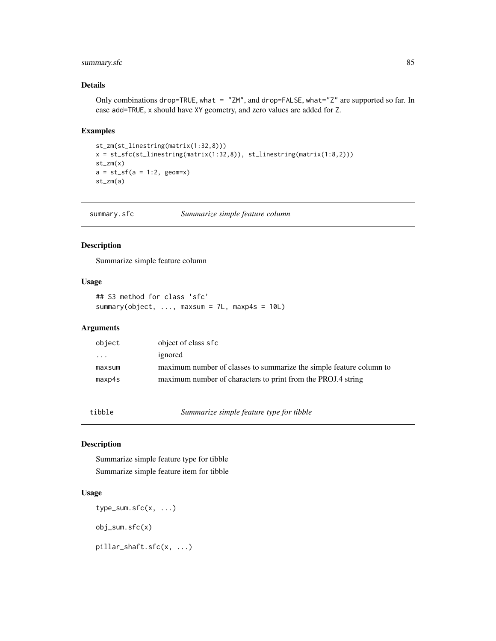## <span id="page-84-0"></span>summary.sfc 85

## Details

Only combinations drop=TRUE, what =  $"ZM"$ , and drop=FALSE, what= $"Z"$  are supported so far. In case add=TRUE, x should have XY geometry, and zero values are added for Z.

#### Examples

```
st_zm(st_linestring(matrix(1:32,8)))
x = st_sfc(st_linestring(matrix(1:32,8)), st_linestring(matrix(1:8,2)))st_zm(x)
a = st_s f(a = 1:2, geom=x)st_zm(a)
```
summary.sfc *Summarize simple feature column*

## Description

Summarize simple feature column

#### Usage

```
## S3 method for class 'sfc'
summary(object, ..., maxsum = 7L, maxp4s = 10L)
```
#### Arguments

| maximum number of classes to summarize the simple feature column to |
|---------------------------------------------------------------------|
|                                                                     |
|                                                                     |

tibble *Summarize simple feature type for tibble*

#### Description

Summarize simple feature type for tibble Summarize simple feature item for tibble

#### Usage

type\_sum.sfc(x, ...) obj\_sum.sfc(x) pillar\_shaft.sfc(x, ...)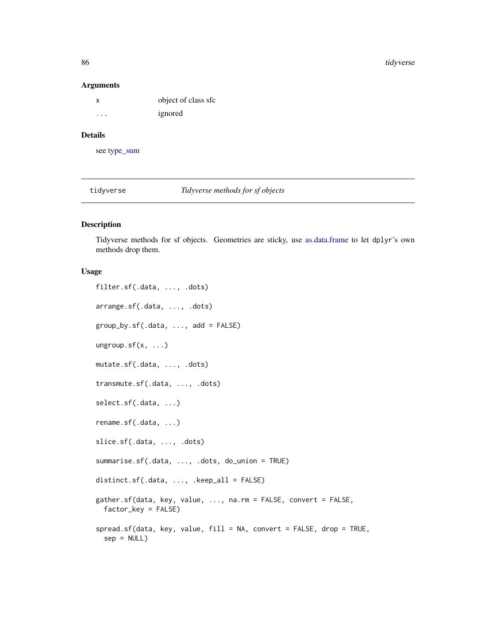86 tidyverse

#### Arguments

| $\boldsymbol{\mathsf{x}}$ | object of class sfc |
|---------------------------|---------------------|
| .                         | ignored             |

## Details

see [type\\_sum](#page-0-0)

tidyverse *Tidyverse methods for sf objects*

#### <span id="page-85-0"></span>Description

Tidyverse methods for sf objects. Geometries are sticky, use [as.data.frame](#page-0-0) to let dplyr's own methods drop them.

```
filter.sf(.data, ..., .dots)
arrange.sf(.data, ..., .dots)
group_by.sf(.data, ..., add = FALSE)ungroup.sf(x, \ldots)mutate.sf(.data, ..., .dots)
transmute.sf(.data, ..., .dots)
select.sf(.data, ...)
rename.sf(.data, ...)
slice.sf(.data, ..., .dots)
summarise.sf(.data, ..., .dots, do_union = TRUE)
distinct.sf(.data, ..., .keep_all = FALSE)
gather.sf(data, key, value, ..., na.rm = FALSE, convert = FALSE,
  factor_key = FALSE)
spread.sf(data, key, value, fill = NA, convert = FALSE, drop = TRUE,
  sep = NULL)
```
<span id="page-85-1"></span>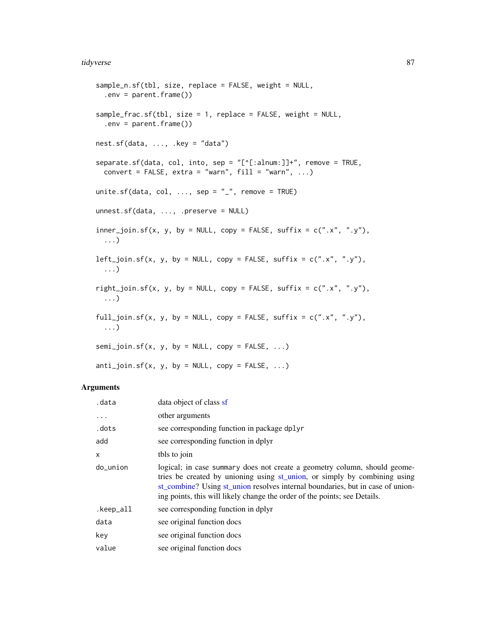#### <span id="page-86-0"></span>tidyverse and the state of the state of the state of the state of the state of the state of the state of the state of the state of the state of the state of the state of the state of the state of the state of the state of

```
sample_n.sf(tbl, size, replace = FALSE, weight = NULL,
  env = parent.frame()sample_frac.sf(tbl, size = 1, replace = FALSE, weight = NULL,
  .env = parent.frame())
nest.sf(data, ..., .key = "data")
separate.sf(data, col, into, sep = "[^[:alnum:]]+", remove = TRUE,
 convert = FALSE, extra = "warn", fill = "warn", ...)
unite.sf(data, col, ..., sep = "_", remove = TRUE)
unnest.sf(data, ..., .preserve = NULL)
inner\_join.sf(x, y, by = NULL, copy = FALSE, suffix = c(".x", ".y"),...)
left\_join.sf(x, y, by = NULL, copy = FALSE, suffix = c("x", "y"),...)
right_join.sf(x, y, by = NULL, copy = FALSE, suffix = c("x", "y"),
  ...)
full_join.sf(x, y, by = NULL, copy = FALSE, suffix = c(".x", ".y"),
  ...)
semi_join.sf(x, y, by = NULL, copy = FALSE, ...)anti\_join.sf(x, y, by = NULL, copy = FALSE, ...)
```

| .data     | data object of class sf                                                                                                                                                                                                                                                                                               |
|-----------|-----------------------------------------------------------------------------------------------------------------------------------------------------------------------------------------------------------------------------------------------------------------------------------------------------------------------|
| $\cdots$  | other arguments                                                                                                                                                                                                                                                                                                       |
| .dots     | see corresponding function in package dplyr                                                                                                                                                                                                                                                                           |
| add       | see corresponding function in dplyr                                                                                                                                                                                                                                                                                   |
| X         | tbls to join                                                                                                                                                                                                                                                                                                          |
| do_union  | logical; in case summary does not create a geometry column, should geome-<br>tries be created by unioning using st_union, or simply by combining using<br>st_combine? Using st_union resolves internal boundaries, but in case of union-<br>ing points, this will likely change the order of the points; see Details. |
| .keep_all | see corresponding function in dplyr                                                                                                                                                                                                                                                                                   |
| data      | see original function docs                                                                                                                                                                                                                                                                                            |
| key       | see original function docs                                                                                                                                                                                                                                                                                            |
| value     | see original function docs                                                                                                                                                                                                                                                                                            |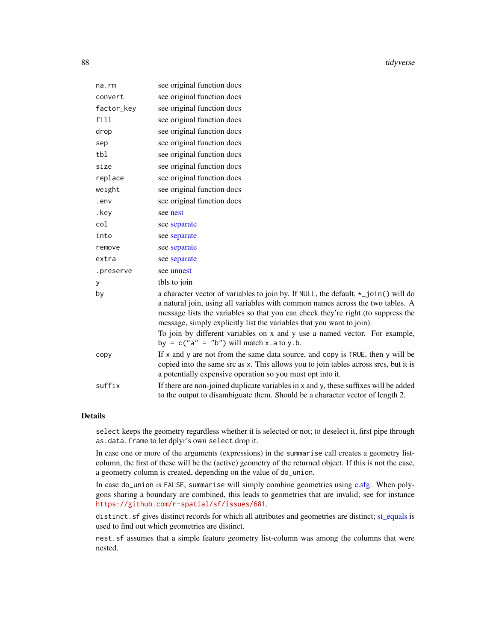<span id="page-87-0"></span>

| na.rm      | see original function docs                                                                                                                                                                                                                                                                                                                                                                                                                                        |
|------------|-------------------------------------------------------------------------------------------------------------------------------------------------------------------------------------------------------------------------------------------------------------------------------------------------------------------------------------------------------------------------------------------------------------------------------------------------------------------|
| convert    | see original function docs                                                                                                                                                                                                                                                                                                                                                                                                                                        |
| factor_key | see original function docs                                                                                                                                                                                                                                                                                                                                                                                                                                        |
| fill       | see original function docs                                                                                                                                                                                                                                                                                                                                                                                                                                        |
| drop       | see original function docs                                                                                                                                                                                                                                                                                                                                                                                                                                        |
| sep        | see original function docs                                                                                                                                                                                                                                                                                                                                                                                                                                        |
| tbl        | see original function docs                                                                                                                                                                                                                                                                                                                                                                                                                                        |
| size       | see original function docs                                                                                                                                                                                                                                                                                                                                                                                                                                        |
| replace    | see original function docs                                                                                                                                                                                                                                                                                                                                                                                                                                        |
| weight     | see original function docs                                                                                                                                                                                                                                                                                                                                                                                                                                        |
| .env       | see original function docs                                                                                                                                                                                                                                                                                                                                                                                                                                        |
| .key       | see nest                                                                                                                                                                                                                                                                                                                                                                                                                                                          |
| col        | see separate                                                                                                                                                                                                                                                                                                                                                                                                                                                      |
| into       | see separate                                                                                                                                                                                                                                                                                                                                                                                                                                                      |
| remove     | see separate                                                                                                                                                                                                                                                                                                                                                                                                                                                      |
| extra      | see separate                                                                                                                                                                                                                                                                                                                                                                                                                                                      |
| .preserve  | see unnest                                                                                                                                                                                                                                                                                                                                                                                                                                                        |
| У          | tbls to join                                                                                                                                                                                                                                                                                                                                                                                                                                                      |
| by         | a character vector of variables to join by. If NULL, the default, *_join() will do<br>a natural join, using all variables with common names across the two tables. A<br>message lists the variables so that you can check they're right (to suppress the<br>message, simply explicitly list the variables that you want to join).<br>To join by different variables on x and y use a named vector. For example,<br>by = $c("a" = "b")$ will match x . a to y . b. |
| copy       | If x and y are not from the same data source, and copy is TRUE, then y will be<br>copied into the same src as x. This allows you to join tables across srcs, but it is<br>a potentially expensive operation so you must opt into it.                                                                                                                                                                                                                              |
| suffix     | If there are non-joined duplicate variables in x and y, these suffixes will be added<br>to the output to disambiguate them. Should be a character vector of length 2.                                                                                                                                                                                                                                                                                             |

## Details

select keeps the geometry regardless whether it is selected or not; to deselect it, first pipe through as.data.frame to let dplyr's own select drop it.

In case one or more of the arguments (expressions) in the summarise call creates a geometry listcolumn, the first of these will be the (active) geometry of the returned object. If this is not the case, a geometry column is created, depending on the value of do\_union.

In case do\_union is FALSE, summarise will simply combine geometries using [c.sfg.](#page-35-0) When polygons sharing a boundary are combined, this leads to geometries that are invalid; see for instance <https://github.com/r-spatial/sf/issues/681>.

distinct.sf gives distinct records for which all attributes and geometries are distinct; [st\\_equals](#page-13-0) is used to find out which geometries are distinct.

nest.sf assumes that a simple feature geometry list-column was among the columns that were nested.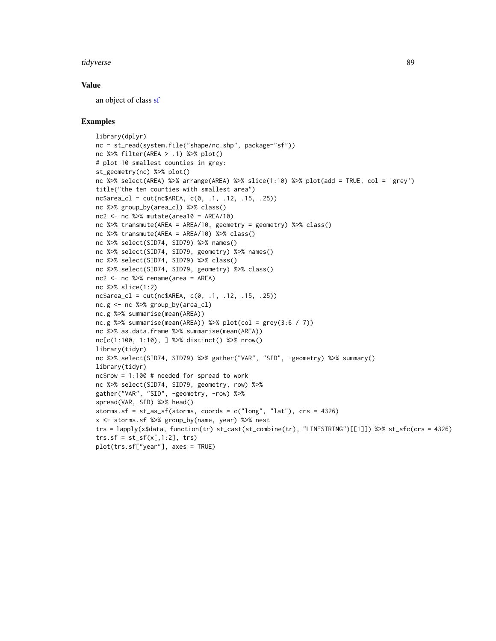#### <span id="page-88-0"></span>tidyverse and the state of the state of the state of the state of the state of the state of the state of the state of the state of the state of the state of the state of the state of the state of the state of the state of

#### Value

an object of class [sf](#page-30-0)

#### Examples

```
library(dplyr)
nc = st_read(system.file("shape/nc.shp", package="sf"))
nc %>% filter(AREA > .1) %>% plot()
# plot 10 smallest counties in grey:
st_geometry(nc) %>% plot()
nc %>% select(AREA) %>% arrange(AREA) %>% slice(1:10) %>% plot(add = TRUE, col = 'grey')
title("the ten counties with smallest area")
nc\{area_cl} = cut(nc\{AREA}, c(0, .1, .12, .15, .25))
nc %>% group_by(area_cl) %>% class()
nc2 < - nc %>% mutate(area10 = AREA/10)
nc %>% transmute(AREA = AREA/10, geometry = geometry) %>% class()
nc %>% transmute(AREA = AREA/10) %>% class()
nc %>% select(SID74, SID79) %>% names()
nc %>% select(SID74, SID79, geometry) %>% names()
nc %>% select(SID74, SID79) %>% class()
nc %>% select(SID74, SID79, geometry) %>% class()
nc2 <- nc %>% rename(area = AREA)
nc %>% slice(1:2)
nc\{area_cl} = cut(nc\{area}, c(0, .1, .12, .15, .25))
nc.g <- nc %>% group_by(area_cl)
nc.g %>% summarise(mean(AREA))
nc.g %\gg% summarise(mean(AREA)) %\gg% plot(col = grey(3:6 / 7))
nc %>% as.data.frame %>% summarise(mean(AREA))
nc[c(1:100, 1:10), ] %>% distinct() %>% nrow()
library(tidyr)
nc %>% select(SID74, SID79) %>% gather("VAR", "SID", -geometry) %>% summary()
library(tidyr)
nc$row = 1:100 # needed for spread to worknc %>% select(SID74, SID79, geometry, row) %>%
gather("VAR", "SID", -geometry, -row) %>%
spread(VAR, SID) %>% head()
storms.sf = st_as_sf(storms, coords = c("long", "lat"), crs = 4326)x <- storms.sf %>% group_by(name, year) %>% nest
trs = lapply(x$data, function(tr) st_cast(st_combine(tr), "LINESTRING")[[1]]) %>% st_sfc(crs = 4326)
trs.sf = st_s(f(x[, 1:2], trs)plot(trs.sf["year"], axes = TRUE)
```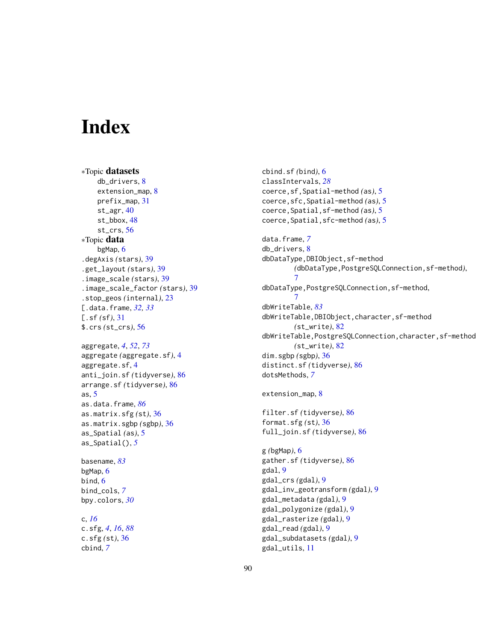# **Index**

```
∗Topic datasets
    db_drivers, 8
    extension_map, 8
    prefix_map, 31
    st_agr, 40
    48
    st_crs, 56
∗Topic data
    bgMap, 6
.degAxis (stars), 39
.get_layout (stars), 39
.image_scale (stars), 39
.image_scale_factor (stars), 39
.stop_geos (internal), 23
[.data.frame, 32, 33
[.sf (sf), 31
$.crs (st_crs), 56
```

```
aggregate, 4, 52, 73
aggregate (aggregate.sf), 4
aggregate.sf, 4
anti_join.sf (tidyverse), 86
arrange.sf (tidyverse), 86
as, 5
as.data.frame, 86
as.matrix.sfg (st), 36
as.matrix.sgbp (sgbp), 36
as_Spatial (as), 5
as_Spatial(), 5
```

```
basename, 83
bgMap, 6
bind, 6
bind_cols, 7
bpy.colors, 30
```

```
c, 16
c.sfg, 4, 16, 88
c.sfg (st), 36
cbind, 7
```
cbind.sf *(*bind*)*, [6](#page-5-0) classIntervals, *[28](#page-27-0)* coerce,sf,Spatial-method *(*as*)*, [5](#page-4-0) coerce,sfc,Spatial-method *(*as*)*, [5](#page-4-0) coerce,Spatial,sf-method *(*as*)*, [5](#page-4-0) coerce,Spatial,sfc-method *(*as*)*, [5](#page-4-0) data.frame, *[7](#page-6-0)* db\_drivers, [8](#page-7-0) dbDataType,DBIObject,sf-method *(*dbDataType,PostgreSQLConnection,sf-method*)*, [7](#page-6-0) dbDataType,PostgreSQLConnection,sf-method, [7](#page-6-0) dbWriteTable, *[83](#page-82-0)* dbWriteTable,DBIObject,character,sf-method *(*st\_write*)*, [82](#page-81-2) dbWriteTable,PostgreSQLConnection,character,sf-method *(*st\_write*)*, [82](#page-81-2) dim.sgbp *(*sgbp*)*, [36](#page-35-1) distinct.sf *(*tidyverse*)*, [86](#page-85-1) dotsMethods, *[7](#page-6-0)* extension\_map, [8](#page-7-0)

```
filter.sf (tidyverse), 86
format.sfg (st), 36
full_join.sf (tidyverse), 86
```

```
g (bgMap), 6
gather.sf (tidyverse), 86
gdal, 9
gdal_crs (gdal), 9
gdal_inv_geotransform (gdal), 9
gdal_metadata (gdal), 9
gdal_polygonize (gdal), 9
gdal_rasterize (gdal), 9
gdal_read (gdal), 9
gdal_subdatasets (gdal), 9
gdal_utils, 11
```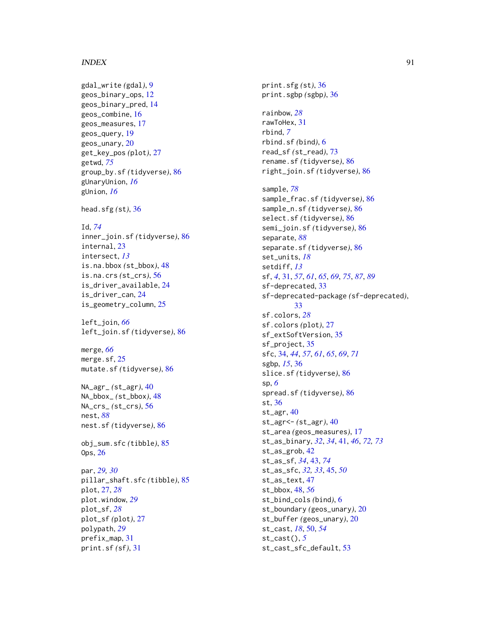#### INDEX  $91$

gdal\_write *(*gdal *)* , [9](#page-8-0) geos\_binary\_ops , [12](#page-11-1) geos\_binary\_pred , [14](#page-13-1) geos\_combine , [16](#page-15-1) geos\_measures , [17](#page-16-0) geos\_query , [19](#page-18-0) geos\_unary , [20](#page-19-0) get\_key\_pos *(*plot *)* , [27](#page-26-0) getwd , *[75](#page-74-0)* group\_by.sf *(*tidyverse *)* , [86](#page-85-1) gUnaryUnion , *[16](#page-15-1)* gUnion , *[16](#page-15-1)*

head.sfg *(*st *)* , [36](#page-35-1)

# Id , *[74](#page-73-0)*

inner\_join.sf *(*tidyverse *)* , [86](#page-85-1) internal, [23](#page-22-0) intersect , *[13](#page-12-0)* is.na.bbox *(*st\_bbox *)* , [48](#page-47-0) is.na.crs *(*st\_crs *)* , [56](#page-55-1) is\_driver\_available , [24](#page-23-0) is\_driver\_can , [24](#page-23-0) is\_geometry\_column , [25](#page-24-0)

left\_join , *[66](#page-65-0)* left\_join.sf *(*tidyverse *)* , [86](#page-85-1)

merge , *[66](#page-65-0)* merge.sf,[25](#page-24-0) mutate.sf *(*tidyverse *)* , [86](#page-85-1)

NA\_agr\_ *(*st\_agr *)* , [40](#page-39-0) NA\_bbox\_ *(*st\_bbox *)* , [48](#page-47-0) NA\_crs\_ *(*st\_crs *)* , [56](#page-55-1) nest , *[88](#page-87-0)* nest.sf *(*tidyverse *)* , [86](#page-85-1)

obj\_sum.sfc *(*tibble *)* , [85](#page-84-0) Ops , [26](#page-25-0)

par , *[29](#page-28-0) , [30](#page-29-0)* pillar\_shaft.sfc *(*tibble *)* , [85](#page-84-0) plot , [27](#page-26-0) , *[28](#page-27-0)* plot.window , *[29](#page-28-0)* plot\_sf , *[28](#page-27-0)* plot\_sf *(*plot *)* , [27](#page-26-0) polypath , *[29](#page-28-0)* prefix\_map , [31](#page-30-1) print.sf *(*sf *)* , [31](#page-30-1)

print.sfg *(*st *)* , [36](#page-35-1) print.sgbp *(*sgbp *)* , [36](#page-35-1) rainbow , *[28](#page-27-0)* rawToHex, [31](#page-30-1) rbind , *[7](#page-6-0)* rbind.sf *(*bind *)* , [6](#page-5-0) read\_sf *(*st\_read *)* , [73](#page-72-0) rename.sf *(*tidyverse *)* , [86](#page-85-1) right\_join.sf *(*tidyverse *)* , [86](#page-85-1) sample , *[78](#page-77-0)* sample\_frac.sf *(*tidyverse *)* , [86](#page-85-1) sample\_n.sf(tidyverse), [86](#page-85-1) select.sf(tidyverse), [86](#page-85-1) semi\_join.sf *(*tidyverse *)* , [86](#page-85-1) separate , *[88](#page-87-0)* separate.sf *(*tidyverse *)* , [86](#page-85-1) set\_units , *[18](#page-17-0)* setdiff , *[13](#page-12-0)* sf , *[4](#page-3-1)* , [31](#page-30-1) , *[57](#page-56-0)* , *[61](#page-60-0)* , *[65](#page-64-0)* , *[69](#page-68-0)* , *[75](#page-74-0)* , *[87](#page-86-0)* , *[89](#page-88-0)* sf-deprecated, [33](#page-32-0) sf-deprecated-package *(*sf-deprecated *)* , [33](#page-32-0) sf.colors , *[28](#page-27-0)* sf.colors *(*plot *)* , [27](#page-26-0) sf\_extSoftVersion , [35](#page-34-0) sf\_project , [35](#page-34-0) sfc , [34](#page-33-0) , *[44](#page-43-0)* , *[57](#page-56-0)* , *[61](#page-60-0)* , *[65](#page-64-0)* , *[69](#page-68-0)* , *[71](#page-70-0)* sgbp , *[15](#page-14-0)* , [36](#page-35-1) slice.sf *(*tidyverse *)* , [86](#page-85-1) sp , *[6](#page-5-0)* spread.sf *(*tidyverse *)* , [86](#page-85-1) st , [36](#page-35-1) st\_agr, [40](#page-39-0) st\_agr<- *(*st\_agr *)* , [40](#page-39-0) st\_area *(*geos\_measures *)* , [17](#page-16-0) st\_as\_binary , *[32](#page-31-0)* , *[34](#page-33-0)* , [41](#page-40-1) , *[46](#page-45-0)* , *[72](#page-71-0) , [73](#page-72-0)* st\_as\_grob , [42](#page-41-0) st\_as\_sf , *[34](#page-33-0)* , [43](#page-42-1) , *[74](#page-73-0)* st\_as\_sfc , *[32](#page-31-0) , [33](#page-32-0)* , [45](#page-44-0) , *[50](#page-49-0)* st\_as\_text , [47](#page-46-0) st\_bbox , [48](#page-47-0) , *[56](#page-55-1)* st\_bind\_cols *(*bind *)* , [6](#page-5-0) st\_boundary *(*geos\_unary *)* , [20](#page-19-0) st\_buffer *(*geos\_unary *)* , [20](#page-19-0) st\_cast , *[18](#page-17-0)* , [50](#page-49-0) , *[54](#page-53-0)* st\_cast() , *[5](#page-4-0)* st\_cast\_sfc\_default , [53](#page-52-0)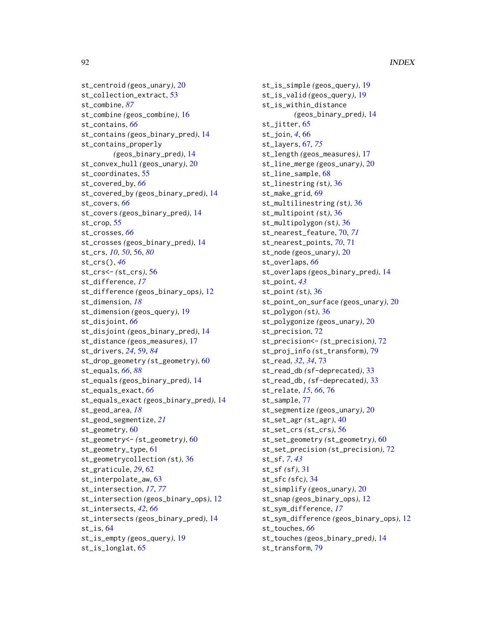```
st_centroid (geos_unary), 20
st_collection_extract, 53
st_combine, 87
st_combine (geos_combine), 16
st_contains, 66
st_contains (geos_binary_pred), 14
st_contains_properly
        (geos_binary_pred), 14
st_convex_hull (geos_unary), 20
st_coordinates, 55
st_covered_by, 66
st_covered_by (geos_binary_pred), 14
st_covers, 66
st_covers (geos_binary_pred), 14
st_crop, 55
st_crosses, 66
st_crosses (geos_binary_pred), 14
st_crs, 10, 50, 56, 80
st_crs(), 46
st_crs<- (st_crs), 56
st_difference, 17
st_difference (geos_binary_ops), 12
st_dimension, 18
st_dimension (geos_query), 19
st_disjoint, 66
st_disjoint (geos_binary_pred), 14
st_distance (geos_measures), 17
st_drivers, 24, 59, 84
st_drop_geometry (st_geometry), 60
st_equals, 66, 88
st_equals (geos_binary_pred), 14
st_equals_exact, 66
st_equals_exact (geos_binary_pred), 14
st_geod_area, 18
st_geod_segmentize, 21
st_geometry, 60
st_geometry<- (st_geometry), 60
st_geometry_type, 61
st_geometrycollection (st), 36
st_graticule, 29, 62
st_interpolate_aw, 63
st_intersection, 17, 77
st_intersection (geos_binary_ops), 12
st_intersects, 42, 66
st_intersects (geos_binary_pred), 14
st_is, 64
st_is_empty (geos_query), 19
st_is_longlat, 65
```

```
st_is_simple (geos_query), 19
st_is_valid (geos_query), 19
st_is_within_distance
         (geos_binary_pred), 14
st_jitter, 65
st_join, 4, 66
st_layers, 67, 75
st_length (geos_measures), 17
st_line_merge (geos_unary), 20
st_line_sample, 68
st_linestring (st), 36
st_make_grid, 69
st_multilinestring (st), 36
st_multipoint (st), 36
st_multipolygon (st), 36
st_nearest_feature, 70, 71
st_nearest_points, 70, 71
st_node (geos_unary), 20
st_overlaps, 66
st_overlaps (geos_binary_pred), 14
st_point, 43
st_point (st), 36
st_point_on_surface (geos_unary), 20
st_polygon (st), 36
st_polygonize (geos_unary), 20
st_precision, 72
st_precision<- (st_precision), 72
st_proj_info (st_transform), 79
st_read, 32, 34, 73
st_read_db (sf-deprecated), 33
st_read_db, (sf-deprecated), 33
st_relate, 15, 66, 76
st_sample, 77
st_segmentize (geos_unary), 20
st_set_agr (st_agr), 40
st_set_crs (st_crs), 56
st_set_geometry (st_geometry), 60
st_set_precision (st_precision), 72
st_sf, 7, 43
st_sf (sf), 31
st_sfc (sfc), 34
st_simplify (geos_unary), 20
st_snap (geos_binary_ops), 12
st_sym_difference, 17
st_sym_difference (geos_binary_ops), 12
st_touches, 66
st_touches (geos_binary_pred), 14
st_transform, 79
```